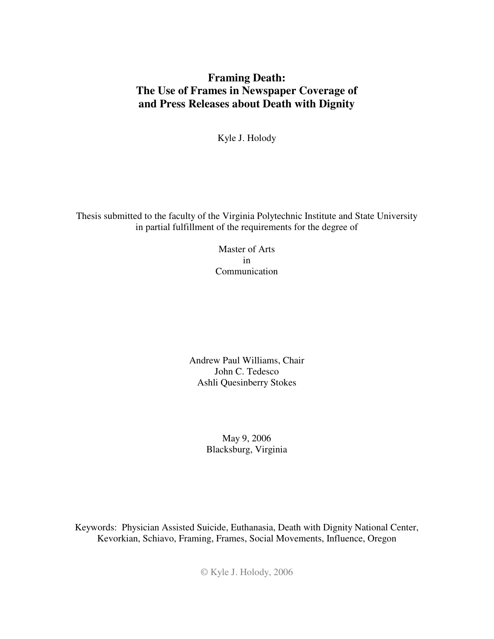## **Framing Death: The Use of Frames in Newspaper Coverage of and Press Releases about Death with Dignity**

Kyle J. Holody

Thesis submitted to the faculty of the Virginia Polytechnic Institute and State University in partial fulfillment of the requirements for the degree of

> Master of Arts in Communication

Andrew Paul Williams, Chair John C. Tedesco Ashli Quesinberry Stokes

> May 9, 2006 Blacksburg, Virginia

Keywords: Physician Assisted Suicide, Euthanasia, Death with Dignity National Center, Kevorkian, Schiavo, Framing, Frames, Social Movements, Influence, Oregon

© Kyle J. Holody, 2006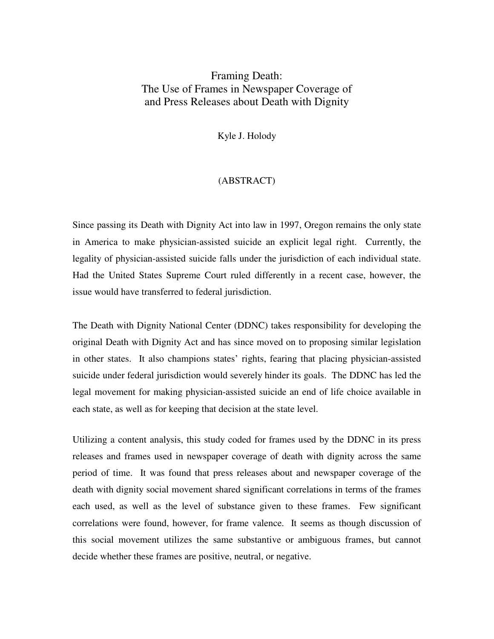## Framing Death: The Use of Frames in Newspaper Coverage of and Press Releases about Death with Dignity

Kyle J. Holody

### (ABSTRACT)

Since passing its Death with Dignity Act into law in 1997, Oregon remains the only state in America to make physician-assisted suicide an explicit legal right. Currently, the legality of physician-assisted suicide falls under the jurisdiction of each individual state. Had the United States Supreme Court ruled differently in a recent case, however, the issue would have transferred to federal jurisdiction.

The Death with Dignity National Center (DDNC) takes responsibility for developing the original Death with Dignity Act and has since moved on to proposing similar legislation in other states. It also champions states' rights, fearing that placing physician-assisted suicide under federal jurisdiction would severely hinder its goals. The DDNC has led the legal movement for making physician-assisted suicide an end of life choice available in each state, as well as for keeping that decision at the state level.

Utilizing a content analysis, this study coded for frames used by the DDNC in its press releases and frames used in newspaper coverage of death with dignity across the same period of time. It was found that press releases about and newspaper coverage of the death with dignity social movement shared significant correlations in terms of the frames each used, as well as the level of substance given to these frames. Few significant correlations were found, however, for frame valence. It seems as though discussion of this social movement utilizes the same substantive or ambiguous frames, but cannot decide whether these frames are positive, neutral, or negative.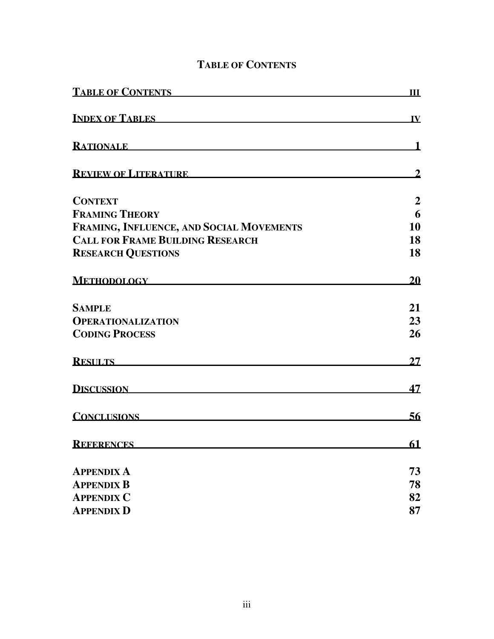| <b>TABLE OF CONTENTS</b>                 | Ш                       |
|------------------------------------------|-------------------------|
| <b>INDEX OF TABLES</b>                   | $\overline{\mathbf{W}}$ |
| RATIONALE <b>Example 2008</b>            | $\mathbf 1$             |
| <b>REVIEW OF LITERATURE</b>              |                         |
| <b>CONTEXT</b>                           | $\boldsymbol{2}$        |
| <b>FRAMING THEORY</b>                    | 6                       |
| FRAMING, INFLUENCE, AND SOCIAL MOVEMENTS | 10                      |
| <b>CALL FOR FRAME BUILDING RESEARCH</b>  | 18                      |
| <b>RESEARCH QUESTIONS</b>                | 18                      |
| METHODOLOGY NEWSFILM                     | 20                      |
| <b>SAMPLE</b>                            | 21                      |
| <b>OPERATIONALIZATION</b>                | 23                      |
| <b>CODING PROCESS</b>                    | 26                      |
| <b>RESULTS Example 2020</b>              | 27                      |
| <b>DISCUSSION</b>                        | 47                      |
| <b>CONCLUSIONS</b>                       | 56                      |
| <b>REFERENCES</b>                        | 61                      |
| <b>APPENDIX A</b>                        | 73                      |
| <b>APPENDIX B</b>                        | 78                      |
| <b>APPENDIX C</b>                        | 82                      |
| <b>APPENDIX D</b>                        | 87                      |

# **TABLE OF CONTENTS**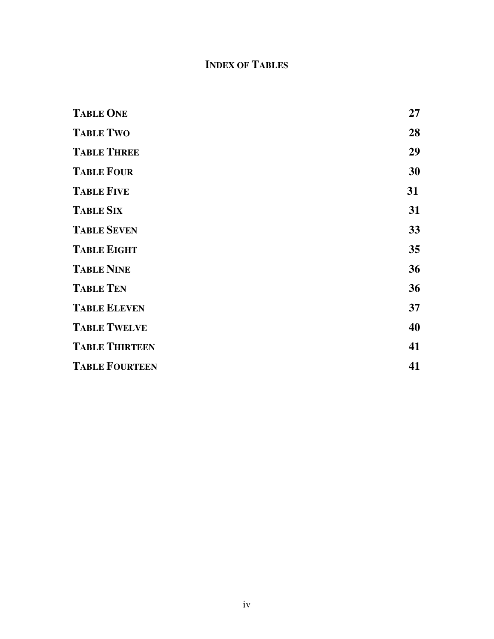# **INDEX OF TABLES**

| <b>TABLE ONE</b>      | 27 |
|-----------------------|----|
| <b>TABLE TWO</b>      | 28 |
| <b>TABLE THREE</b>    | 29 |
| <b>TABLE FOUR</b>     | 30 |
| <b>TABLE FIVE</b>     | 31 |
| <b>TABLE SIX</b>      | 31 |
| <b>TABLE SEVEN</b>    | 33 |
| <b>TABLE EIGHT</b>    | 35 |
| <b>TABLE NINE</b>     | 36 |
| <b>TABLE TEN</b>      | 36 |
| <b>TABLE ELEVEN</b>   | 37 |
| <b>TABLE TWELVE</b>   | 40 |
| <b>TABLE THIRTEEN</b> | 41 |
| <b>TABLE FOURTEEN</b> | 41 |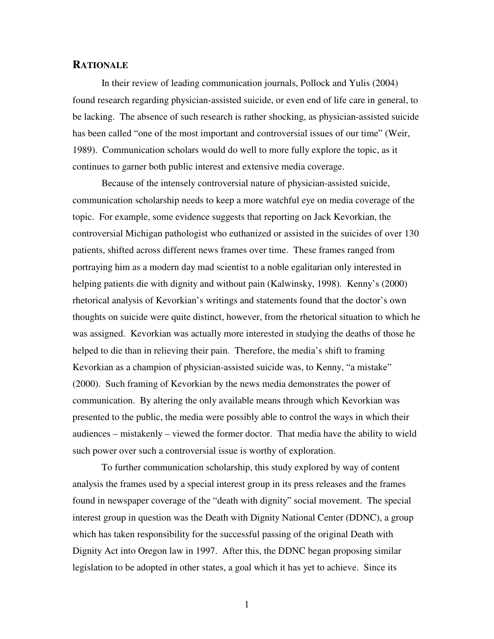#### **RATIONALE**

In their review of leading communication journals, Pollock and Yulis (2004) found research regarding physician-assisted suicide, or even end of life care in general, to be lacking. The absence of such research is rather shocking, as physician-assisted suicide has been called "one of the most important and controversial issues of our time" (Weir, 1989). Communication scholars would do well to more fully explore the topic, as it continues to garner both public interest and extensive media coverage.

Because of the intensely controversial nature of physician-assisted suicide, communication scholarship needs to keep a more watchful eye on media coverage of the topic. For example, some evidence suggests that reporting on Jack Kevorkian, the controversial Michigan pathologist who euthanized or assisted in the suicides of over 130 patients, shifted across different news frames over time. These frames ranged from portraying him as a modern day mad scientist to a noble egalitarian only interested in helping patients die with dignity and without pain (Kalwinsky, 1998). Kenny's (2000) rhetorical analysis of Kevorkian's writings and statements found that the doctor's own thoughts on suicide were quite distinct, however, from the rhetorical situation to which he was assigned. Kevorkian was actually more interested in studying the deaths of those he helped to die than in relieving their pain. Therefore, the media's shift to framing Kevorkian as a champion of physician-assisted suicide was, to Kenny, "a mistake" (2000). Such framing of Kevorkian by the news media demonstrates the power of communication. By altering the only available means through which Kevorkian was presented to the public, the media were possibly able to control the ways in which their audiences – mistakenly – viewed the former doctor. That media have the ability to wield such power over such a controversial issue is worthy of exploration.

To further communication scholarship, this study explored by way of content analysis the frames used by a special interest group in its press releases and the frames found in newspaper coverage of the "death with dignity" social movement. The special interest group in question was the Death with Dignity National Center (DDNC), a group which has taken responsibility for the successful passing of the original Death with Dignity Act into Oregon law in 1997. After this, the DDNC began proposing similar legislation to be adopted in other states, a goal which it has yet to achieve. Since its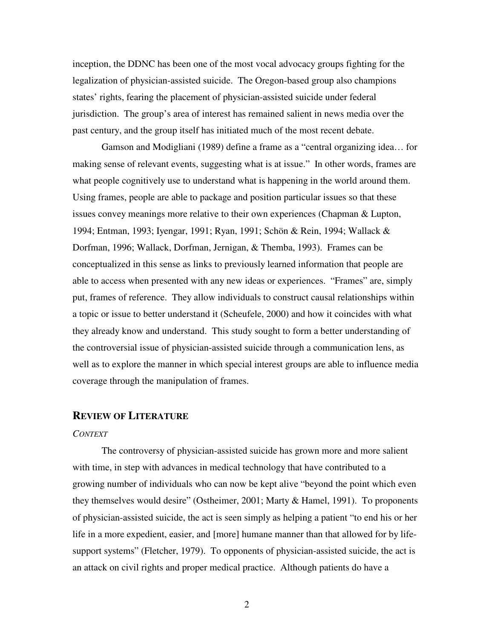inception, the DDNC has been one of the most vocal advocacy groups fighting for the legalization of physician-assisted suicide. The Oregon-based group also champions states' rights, fearing the placement of physician-assisted suicide under federal jurisdiction. The group's area of interest has remained salient in news media over the past century, and the group itself has initiated much of the most recent debate.

Gamson and Modigliani (1989) define a frame as a "central organizing idea… for making sense of relevant events, suggesting what is at issue." In other words, frames are what people cognitively use to understand what is happening in the world around them. Using frames, people are able to package and position particular issues so that these issues convey meanings more relative to their own experiences (Chapman & Lupton, 1994; Entman, 1993; Iyengar, 1991; Ryan, 1991; Schön & Rein, 1994; Wallack & Dorfman, 1996; Wallack, Dorfman, Jernigan, & Themba, 1993). Frames can be conceptualized in this sense as links to previously learned information that people are able to access when presented with any new ideas or experiences. "Frames" are, simply put, frames of reference. They allow individuals to construct causal relationships within a topic or issue to better understand it (Scheufele, 2000) and how it coincides with what they already know and understand. This study sought to form a better understanding of the controversial issue of physician-assisted suicide through a communication lens, as well as to explore the manner in which special interest groups are able to influence media coverage through the manipulation of frames.

### **REVIEW OF LITERATURE**

#### *CONTEXT*

The controversy of physician-assisted suicide has grown more and more salient with time, in step with advances in medical technology that have contributed to a growing number of individuals who can now be kept alive "beyond the point which even they themselves would desire" (Ostheimer, 2001; Marty & Hamel, 1991). To proponents of physician-assisted suicide, the act is seen simply as helping a patient "to end his or her life in a more expedient, easier, and [more] humane manner than that allowed for by lifesupport systems" (Fletcher, 1979). To opponents of physician-assisted suicide, the act is an attack on civil rights and proper medical practice. Although patients do have a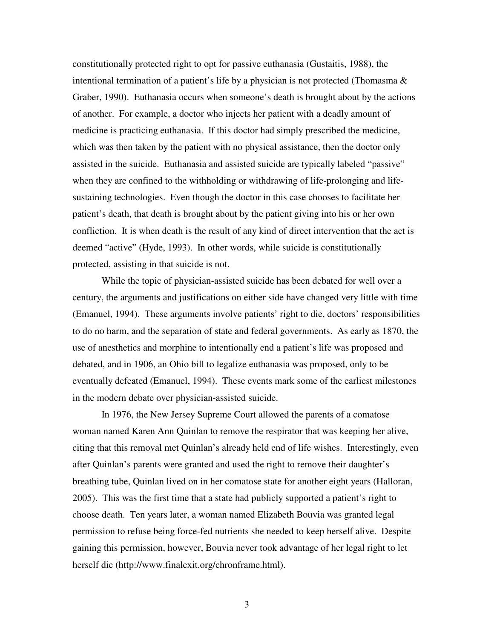constitutionally protected right to opt for passive euthanasia (Gustaitis, 1988), the intentional termination of a patient's life by a physician is not protected (Thomasma  $\&$ Graber, 1990). Euthanasia occurs when someone's death is brought about by the actions of another. For example, a doctor who injects her patient with a deadly amount of medicine is practicing euthanasia. If this doctor had simply prescribed the medicine, which was then taken by the patient with no physical assistance, then the doctor only assisted in the suicide. Euthanasia and assisted suicide are typically labeled "passive" when they are confined to the withholding or withdrawing of life-prolonging and lifesustaining technologies. Even though the doctor in this case chooses to facilitate her patient's death, that death is brought about by the patient giving into his or her own confliction. It is when death is the result of any kind of direct intervention that the act is deemed "active" (Hyde, 1993). In other words, while suicide is constitutionally protected, assisting in that suicide is not.

While the topic of physician-assisted suicide has been debated for well over a century, the arguments and justifications on either side have changed very little with time (Emanuel, 1994). These arguments involve patients' right to die, doctors' responsibilities to do no harm, and the separation of state and federal governments. As early as 1870, the use of anesthetics and morphine to intentionally end a patient's life was proposed and debated, and in 1906, an Ohio bill to legalize euthanasia was proposed, only to be eventually defeated (Emanuel, 1994). These events mark some of the earliest milestones in the modern debate over physician-assisted suicide.

In 1976, the New Jersey Supreme Court allowed the parents of a comatose woman named Karen Ann Quinlan to remove the respirator that was keeping her alive, citing that this removal met Quinlan's already held end of life wishes. Interestingly, even after Quinlan's parents were granted and used the right to remove their daughter's breathing tube, Quinlan lived on in her comatose state for another eight years (Halloran, 2005). This was the first time that a state had publicly supported a patient's right to choose death. Ten years later, a woman named Elizabeth Bouvia was granted legal permission to refuse being force-fed nutrients she needed to keep herself alive. Despite gaining this permission, however, Bouvia never took advantage of her legal right to let herself die (http://www.finalexit.org/chronframe.html).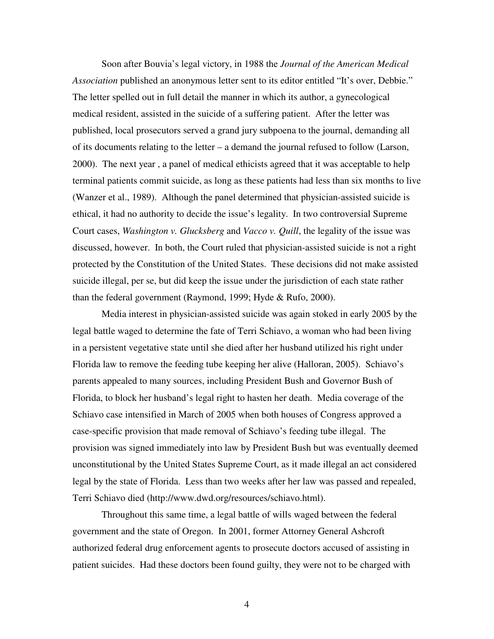Soon after Bouvia's legal victory, in 1988 the *Journal of the American Medical Association* published an anonymous letter sent to its editor entitled "It's over, Debbie." The letter spelled out in full detail the manner in which its author, a gynecological medical resident, assisted in the suicide of a suffering patient. After the letter was published, local prosecutors served a grand jury subpoena to the journal, demanding all of its documents relating to the letter – a demand the journal refused to follow (Larson, 2000). The next year , a panel of medical ethicists agreed that it was acceptable to help terminal patients commit suicide, as long as these patients had less than six months to live (Wanzer et al., 1989). Although the panel determined that physician-assisted suicide is ethical, it had no authority to decide the issue's legality. In two controversial Supreme Court cases, *Washington v. Glucksberg* and *Vacco v. Quill*, the legality of the issue was discussed, however. In both, the Court ruled that physician-assisted suicide is not a right protected by the Constitution of the United States. These decisions did not make assisted suicide illegal, per se, but did keep the issue under the jurisdiction of each state rather than the federal government (Raymond, 1999; Hyde & Rufo, 2000).

Media interest in physician-assisted suicide was again stoked in early 2005 by the legal battle waged to determine the fate of Terri Schiavo, a woman who had been living in a persistent vegetative state until she died after her husband utilized his right under Florida law to remove the feeding tube keeping her alive (Halloran, 2005). Schiavo's parents appealed to many sources, including President Bush and Governor Bush of Florida, to block her husband's legal right to hasten her death. Media coverage of the Schiavo case intensified in March of 2005 when both houses of Congress approved a case-specific provision that made removal of Schiavo's feeding tube illegal. The provision was signed immediately into law by President Bush but was eventually deemed unconstitutional by the United States Supreme Court, as it made illegal an act considered legal by the state of Florida. Less than two weeks after her law was passed and repealed, Terri Schiavo died (http://www.dwd.org/resources/schiavo.html).

Throughout this same time, a legal battle of wills waged between the federal government and the state of Oregon. In 2001, former Attorney General Ashcroft authorized federal drug enforcement agents to prosecute doctors accused of assisting in patient suicides. Had these doctors been found guilty, they were not to be charged with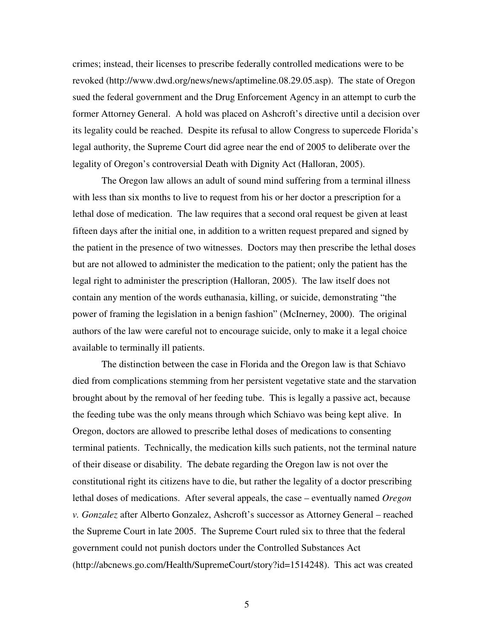crimes; instead, their licenses to prescribe federally controlled medications were to be revoked (http://www.dwd.org/news/news/aptimeline.08.29.05.asp). The state of Oregon sued the federal government and the Drug Enforcement Agency in an attempt to curb the former Attorney General. A hold was placed on Ashcroft's directive until a decision over its legality could be reached. Despite its refusal to allow Congress to supercede Florida's legal authority, the Supreme Court did agree near the end of 2005 to deliberate over the legality of Oregon's controversial Death with Dignity Act (Halloran, 2005).

The Oregon law allows an adult of sound mind suffering from a terminal illness with less than six months to live to request from his or her doctor a prescription for a lethal dose of medication. The law requires that a second oral request be given at least fifteen days after the initial one, in addition to a written request prepared and signed by the patient in the presence of two witnesses. Doctors may then prescribe the lethal doses but are not allowed to administer the medication to the patient; only the patient has the legal right to administer the prescription (Halloran, 2005). The law itself does not contain any mention of the words euthanasia, killing, or suicide, demonstrating "the power of framing the legislation in a benign fashion" (McInerney, 2000). The original authors of the law were careful not to encourage suicide, only to make it a legal choice available to terminally ill patients.

The distinction between the case in Florida and the Oregon law is that Schiavo died from complications stemming from her persistent vegetative state and the starvation brought about by the removal of her feeding tube. This is legally a passive act, because the feeding tube was the only means through which Schiavo was being kept alive. In Oregon, doctors are allowed to prescribe lethal doses of medications to consenting terminal patients. Technically, the medication kills such patients, not the terminal nature of their disease or disability. The debate regarding the Oregon law is not over the constitutional right its citizens have to die, but rather the legality of a doctor prescribing lethal doses of medications. After several appeals, the case – eventually named *Oregon v. Gonzalez* after Alberto Gonzalez, Ashcroft's successor as Attorney General – reached the Supreme Court in late 2005. The Supreme Court ruled six to three that the federal government could not punish doctors under the Controlled Substances Act (http://abcnews.go.com/Health/SupremeCourt/story?id=1514248). This act was created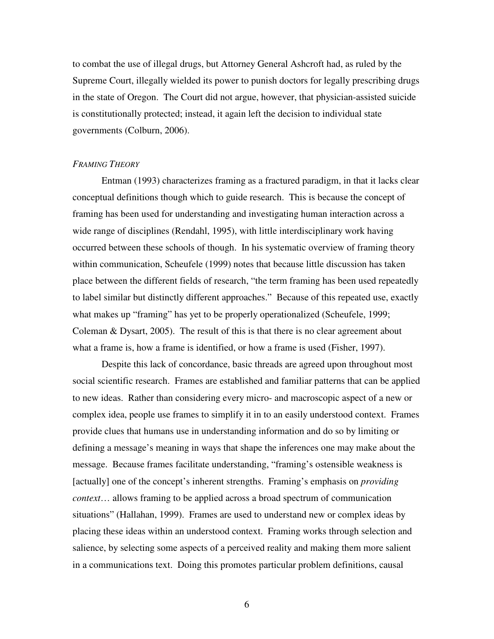to combat the use of illegal drugs, but Attorney General Ashcroft had, as ruled by the Supreme Court, illegally wielded its power to punish doctors for legally prescribing drugs in the state of Oregon. The Court did not argue, however, that physician-assisted suicide is constitutionally protected; instead, it again left the decision to individual state governments (Colburn, 2006).

#### *FRAMING THEORY*

Entman (1993) characterizes framing as a fractured paradigm, in that it lacks clear conceptual definitions though which to guide research. This is because the concept of framing has been used for understanding and investigating human interaction across a wide range of disciplines (Rendahl, 1995), with little interdisciplinary work having occurred between these schools of though. In his systematic overview of framing theory within communication, Scheufele (1999) notes that because little discussion has taken place between the different fields of research, "the term framing has been used repeatedly to label similar but distinctly different approaches." Because of this repeated use, exactly what makes up "framing" has yet to be properly operationalized (Scheufele, 1999; Coleman & Dysart, 2005). The result of this is that there is no clear agreement about what a frame is, how a frame is identified, or how a frame is used (Fisher, 1997).

Despite this lack of concordance, basic threads are agreed upon throughout most social scientific research. Frames are established and familiar patterns that can be applied to new ideas. Rather than considering every micro- and macroscopic aspect of a new or complex idea, people use frames to simplify it in to an easily understood context. Frames provide clues that humans use in understanding information and do so by limiting or defining a message's meaning in ways that shape the inferences one may make about the message. Because frames facilitate understanding, "framing's ostensible weakness is [actually] one of the concept's inherent strengths. Framing's emphasis on *providing context*… allows framing to be applied across a broad spectrum of communication situations" (Hallahan, 1999). Frames are used to understand new or complex ideas by placing these ideas within an understood context. Framing works through selection and salience, by selecting some aspects of a perceived reality and making them more salient in a communications text. Doing this promotes particular problem definitions, causal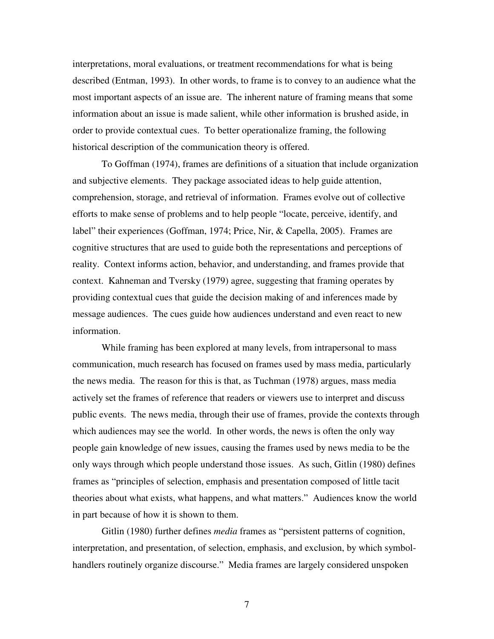interpretations, moral evaluations, or treatment recommendations for what is being described (Entman, 1993). In other words, to frame is to convey to an audience what the most important aspects of an issue are. The inherent nature of framing means that some information about an issue is made salient, while other information is brushed aside, in order to provide contextual cues. To better operationalize framing, the following historical description of the communication theory is offered.

To Goffman (1974), frames are definitions of a situation that include organization and subjective elements. They package associated ideas to help guide attention, comprehension, storage, and retrieval of information. Frames evolve out of collective efforts to make sense of problems and to help people "locate, perceive, identify, and label" their experiences (Goffman, 1974; Price, Nir, & Capella, 2005). Frames are cognitive structures that are used to guide both the representations and perceptions of reality. Context informs action, behavior, and understanding, and frames provide that context. Kahneman and Tversky (1979) agree, suggesting that framing operates by providing contextual cues that guide the decision making of and inferences made by message audiences. The cues guide how audiences understand and even react to new information.

While framing has been explored at many levels, from intrapersonal to mass communication, much research has focused on frames used by mass media, particularly the news media. The reason for this is that, as Tuchman (1978) argues, mass media actively set the frames of reference that readers or viewers use to interpret and discuss public events. The news media, through their use of frames, provide the contexts through which audiences may see the world. In other words, the news is often the only way people gain knowledge of new issues, causing the frames used by news media to be the only ways through which people understand those issues. As such, Gitlin (1980) defines frames as "principles of selection, emphasis and presentation composed of little tacit theories about what exists, what happens, and what matters." Audiences know the world in part because of how it is shown to them.

Gitlin (1980) further defines *media* frames as "persistent patterns of cognition, interpretation, and presentation, of selection, emphasis, and exclusion, by which symbolhandlers routinely organize discourse." Media frames are largely considered unspoken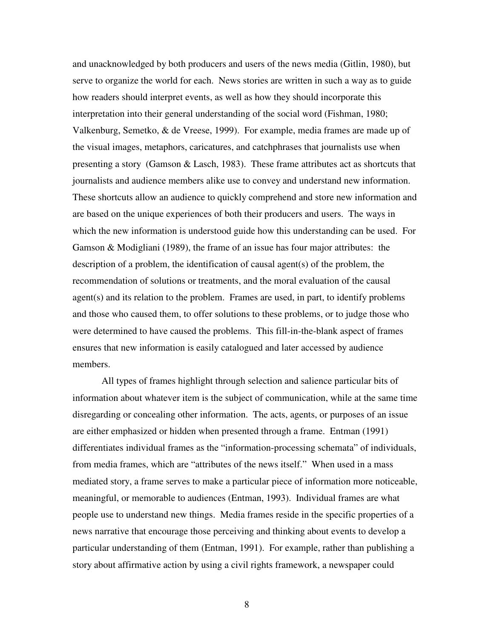and unacknowledged by both producers and users of the news media (Gitlin, 1980), but serve to organize the world for each. News stories are written in such a way as to guide how readers should interpret events, as well as how they should incorporate this interpretation into their general understanding of the social word (Fishman, 1980; Valkenburg, Semetko, & de Vreese, 1999). For example, media frames are made up of the visual images, metaphors, caricatures, and catchphrases that journalists use when presenting a story (Gamson & Lasch, 1983). These frame attributes act as shortcuts that journalists and audience members alike use to convey and understand new information. These shortcuts allow an audience to quickly comprehend and store new information and are based on the unique experiences of both their producers and users. The ways in which the new information is understood guide how this understanding can be used. For Gamson & Modigliani (1989), the frame of an issue has four major attributes: the description of a problem, the identification of causal agent(s) of the problem, the recommendation of solutions or treatments, and the moral evaluation of the causal agent(s) and its relation to the problem. Frames are used, in part, to identify problems and those who caused them, to offer solutions to these problems, or to judge those who were determined to have caused the problems. This fill-in-the-blank aspect of frames ensures that new information is easily catalogued and later accessed by audience members.

All types of frames highlight through selection and salience particular bits of information about whatever item is the subject of communication, while at the same time disregarding or concealing other information. The acts, agents, or purposes of an issue are either emphasized or hidden when presented through a frame. Entman (1991) differentiates individual frames as the "information-processing schemata" of individuals, from media frames, which are "attributes of the news itself." When used in a mass mediated story, a frame serves to make a particular piece of information more noticeable, meaningful, or memorable to audiences (Entman, 1993). Individual frames are what people use to understand new things. Media frames reside in the specific properties of a news narrative that encourage those perceiving and thinking about events to develop a particular understanding of them (Entman, 1991). For example, rather than publishing a story about affirmative action by using a civil rights framework, a newspaper could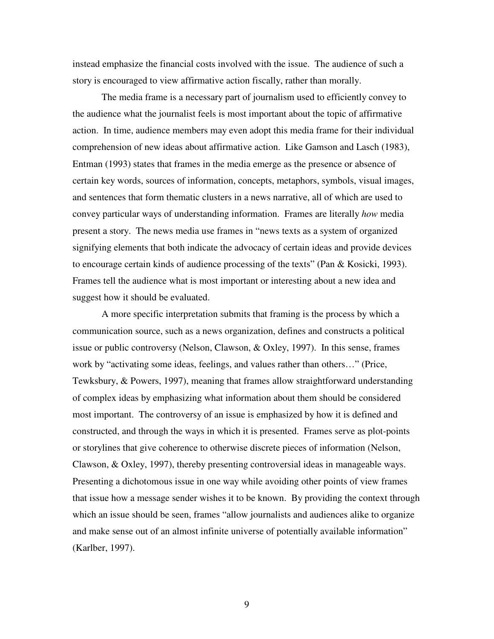instead emphasize the financial costs involved with the issue. The audience of such a story is encouraged to view affirmative action fiscally, rather than morally.

The media frame is a necessary part of journalism used to efficiently convey to the audience what the journalist feels is most important about the topic of affirmative action. In time, audience members may even adopt this media frame for their individual comprehension of new ideas about affirmative action. Like Gamson and Lasch (1983), Entman (1993) states that frames in the media emerge as the presence or absence of certain key words, sources of information, concepts, metaphors, symbols, visual images, and sentences that form thematic clusters in a news narrative, all of which are used to convey particular ways of understanding information. Frames are literally *how* media present a story. The news media use frames in "news texts as a system of organized signifying elements that both indicate the advocacy of certain ideas and provide devices to encourage certain kinds of audience processing of the texts" (Pan & Kosicki, 1993). Frames tell the audience what is most important or interesting about a new idea and suggest how it should be evaluated.

A more specific interpretation submits that framing is the process by which a communication source, such as a news organization, defines and constructs a political issue or public controversy (Nelson, Clawson, & Oxley, 1997). In this sense, frames work by "activating some ideas, feelings, and values rather than others…" (Price, Tewksbury, & Powers, 1997), meaning that frames allow straightforward understanding of complex ideas by emphasizing what information about them should be considered most important. The controversy of an issue is emphasized by how it is defined and constructed, and through the ways in which it is presented. Frames serve as plot-points or storylines that give coherence to otherwise discrete pieces of information (Nelson, Clawson, & Oxley, 1997), thereby presenting controversial ideas in manageable ways. Presenting a dichotomous issue in one way while avoiding other points of view frames that issue how a message sender wishes it to be known. By providing the context through which an issue should be seen, frames "allow journalists and audiences alike to organize and make sense out of an almost infinite universe of potentially available information" (Karlber, 1997).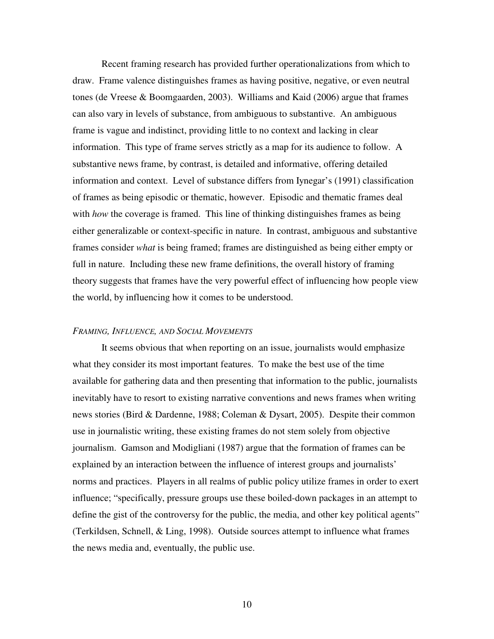Recent framing research has provided further operationalizations from which to draw. Frame valence distinguishes frames as having positive, negative, or even neutral tones (de Vreese & Boomgaarden, 2003). Williams and Kaid (2006) argue that frames can also vary in levels of substance, from ambiguous to substantive. An ambiguous frame is vague and indistinct, providing little to no context and lacking in clear information. This type of frame serves strictly as a map for its audience to follow. A substantive news frame, by contrast, is detailed and informative, offering detailed information and context. Level of substance differs from Iynegar's (1991) classification of frames as being episodic or thematic, however. Episodic and thematic frames deal with *how* the coverage is framed. This line of thinking distinguishes frames as being either generalizable or context-specific in nature. In contrast, ambiguous and substantive frames consider *what* is being framed; frames are distinguished as being either empty or full in nature. Including these new frame definitions, the overall history of framing theory suggests that frames have the very powerful effect of influencing how people view the world, by influencing how it comes to be understood.

#### *FRAMING, INFLUENCE, AND SOCIAL MOVEMENTS*

It seems obvious that when reporting on an issue, journalists would emphasize what they consider its most important features. To make the best use of the time available for gathering data and then presenting that information to the public, journalists inevitably have to resort to existing narrative conventions and news frames when writing news stories (Bird & Dardenne, 1988; Coleman & Dysart, 2005). Despite their common use in journalistic writing, these existing frames do not stem solely from objective journalism. Gamson and Modigliani (1987) argue that the formation of frames can be explained by an interaction between the influence of interest groups and journalists' norms and practices. Players in all realms of public policy utilize frames in order to exert influence; "specifically, pressure groups use these boiled-down packages in an attempt to define the gist of the controversy for the public, the media, and other key political agents" (Terkildsen, Schnell, & Ling, 1998). Outside sources attempt to influence what frames the news media and, eventually, the public use.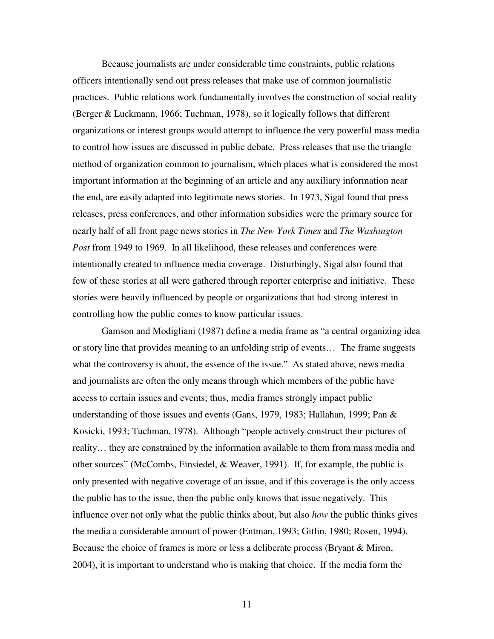Because journalists are under considerable time constraints, public relations officers intentionally send out press releases that make use of common journalistic practices. Public relations work fundamentally involves the construction of social reality (Berger & Luckmann, 1966; Tuchman, 1978), so it logically follows that different organizations or interest groups would attempt to influence the very powerful mass media to control how issues are discussed in public debate. Press releases that use the triangle method of organization common to journalism, which places what is considered the most important information at the beginning of an article and any auxiliary information near the end, are easily adapted into legitimate news stories. In 1973, Sigal found that press releases, press conferences, and other information subsidies were the primary source for nearly half of all front page news stories in *The New York Times* and *The Washington Post* from 1949 to 1969. In all likelihood, these releases and conferences were intentionally created to influence media coverage. Disturbingly, Sigal also found that few of these stories at all were gathered through reporter enterprise and initiative. These stories were heavily influenced by people or organizations that had strong interest in controlling how the public comes to know particular issues.

Gamson and Modigliani (1987) define a media frame as "a central organizing idea or story line that provides meaning to an unfolding strip of events… The frame suggests what the controversy is about, the essence of the issue." As stated above, news media and journalists are often the only means through which members of the public have access to certain issues and events; thus, media frames strongly impact public understanding of those issues and events (Gans, 1979, 1983; Hallahan, 1999; Pan & Kosicki, 1993; Tuchman, 1978). Although "people actively construct their pictures of reality… they are constrained by the information available to them from mass media and other sources" (McCombs, Einsiedel, & Weaver, 1991). If, for example, the public is only presented with negative coverage of an issue, and if this coverage is the only access the public has to the issue, then the public only knows that issue negatively. This influence over not only what the public thinks about, but also *how* the public thinks gives the media a considerable amount of power (Entman, 1993; Gitlin, 1980; Rosen, 1994). Because the choice of frames is more or less a deliberate process (Bryant & Miron, 2004), it is important to understand who is making that choice. If the media form the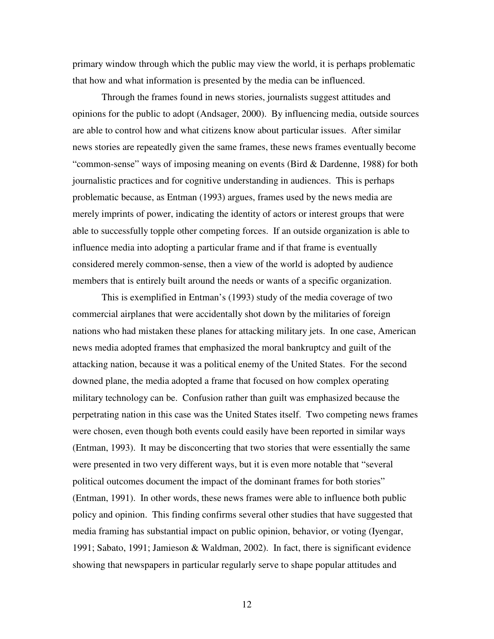primary window through which the public may view the world, it is perhaps problematic that how and what information is presented by the media can be influenced.

Through the frames found in news stories, journalists suggest attitudes and opinions for the public to adopt (Andsager, 2000). By influencing media, outside sources are able to control how and what citizens know about particular issues. After similar news stories are repeatedly given the same frames, these news frames eventually become "common-sense" ways of imposing meaning on events (Bird & Dardenne, 1988) for both journalistic practices and for cognitive understanding in audiences. This is perhaps problematic because, as Entman (1993) argues, frames used by the news media are merely imprints of power, indicating the identity of actors or interest groups that were able to successfully topple other competing forces. If an outside organization is able to influence media into adopting a particular frame and if that frame is eventually considered merely common-sense, then a view of the world is adopted by audience members that is entirely built around the needs or wants of a specific organization.

This is exemplified in Entman's (1993) study of the media coverage of two commercial airplanes that were accidentally shot down by the militaries of foreign nations who had mistaken these planes for attacking military jets. In one case, American news media adopted frames that emphasized the moral bankruptcy and guilt of the attacking nation, because it was a political enemy of the United States. For the second downed plane, the media adopted a frame that focused on how complex operating military technology can be. Confusion rather than guilt was emphasized because the perpetrating nation in this case was the United States itself. Two competing news frames were chosen, even though both events could easily have been reported in similar ways (Entman, 1993). It may be disconcerting that two stories that were essentially the same were presented in two very different ways, but it is even more notable that "several political outcomes document the impact of the dominant frames for both stories" (Entman, 1991). In other words, these news frames were able to influence both public policy and opinion. This finding confirms several other studies that have suggested that media framing has substantial impact on public opinion, behavior, or voting (Iyengar, 1991; Sabato, 1991; Jamieson & Waldman, 2002). In fact, there is significant evidence showing that newspapers in particular regularly serve to shape popular attitudes and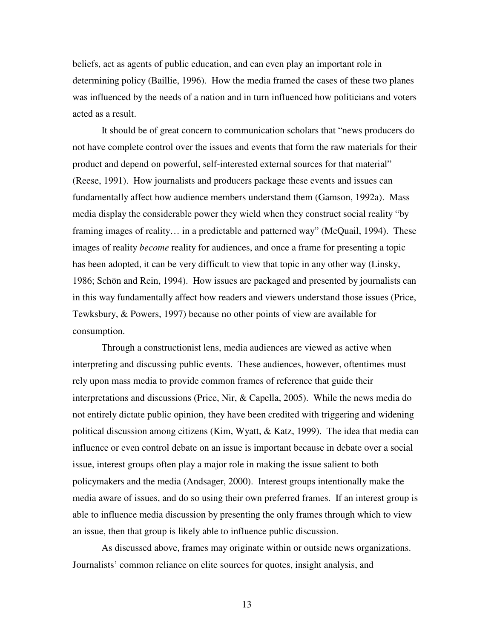beliefs, act as agents of public education, and can even play an important role in determining policy (Baillie, 1996). How the media framed the cases of these two planes was influenced by the needs of a nation and in turn influenced how politicians and voters acted as a result.

It should be of great concern to communication scholars that "news producers do not have complete control over the issues and events that form the raw materials for their product and depend on powerful, self-interested external sources for that material" (Reese, 1991). How journalists and producers package these events and issues can fundamentally affect how audience members understand them (Gamson, 1992a). Mass media display the considerable power they wield when they construct social reality "by framing images of reality… in a predictable and patterned way" (McQuail, 1994). These images of reality *become* reality for audiences, and once a frame for presenting a topic has been adopted, it can be very difficult to view that topic in any other way (Linsky, 1986; Schön and Rein, 1994). How issues are packaged and presented by journalists can in this way fundamentally affect how readers and viewers understand those issues (Price, Tewksbury, & Powers, 1997) because no other points of view are available for consumption.

Through a constructionist lens, media audiences are viewed as active when interpreting and discussing public events. These audiences, however, oftentimes must rely upon mass media to provide common frames of reference that guide their interpretations and discussions (Price, Nir, & Capella, 2005). While the news media do not entirely dictate public opinion, they have been credited with triggering and widening political discussion among citizens (Kim, Wyatt, & Katz, 1999). The idea that media can influence or even control debate on an issue is important because in debate over a social issue, interest groups often play a major role in making the issue salient to both policymakers and the media (Andsager, 2000). Interest groups intentionally make the media aware of issues, and do so using their own preferred frames. If an interest group is able to influence media discussion by presenting the only frames through which to view an issue, then that group is likely able to influence public discussion.

As discussed above, frames may originate within or outside news organizations. Journalists' common reliance on elite sources for quotes, insight analysis, and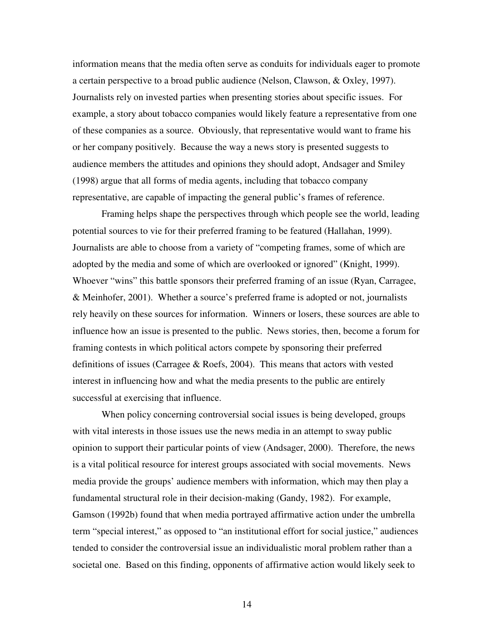information means that the media often serve as conduits for individuals eager to promote a certain perspective to a broad public audience (Nelson, Clawson, & Oxley, 1997). Journalists rely on invested parties when presenting stories about specific issues. For example, a story about tobacco companies would likely feature a representative from one of these companies as a source. Obviously, that representative would want to frame his or her company positively. Because the way a news story is presented suggests to audience members the attitudes and opinions they should adopt, Andsager and Smiley (1998) argue that all forms of media agents, including that tobacco company representative, are capable of impacting the general public's frames of reference.

Framing helps shape the perspectives through which people see the world, leading potential sources to vie for their preferred framing to be featured (Hallahan, 1999). Journalists are able to choose from a variety of "competing frames, some of which are adopted by the media and some of which are overlooked or ignored" (Knight, 1999). Whoever "wins" this battle sponsors their preferred framing of an issue (Ryan, Carragee, & Meinhofer, 2001). Whether a source's preferred frame is adopted or not, journalists rely heavily on these sources for information. Winners or losers, these sources are able to influence how an issue is presented to the public. News stories, then, become a forum for framing contests in which political actors compete by sponsoring their preferred definitions of issues (Carragee & Roefs, 2004). This means that actors with vested interest in influencing how and what the media presents to the public are entirely successful at exercising that influence.

When policy concerning controversial social issues is being developed, groups with vital interests in those issues use the news media in an attempt to sway public opinion to support their particular points of view (Andsager, 2000). Therefore, the news is a vital political resource for interest groups associated with social movements. News media provide the groups' audience members with information, which may then play a fundamental structural role in their decision-making (Gandy, 1982). For example, Gamson (1992b) found that when media portrayed affirmative action under the umbrella term "special interest," as opposed to "an institutional effort for social justice," audiences tended to consider the controversial issue an individualistic moral problem rather than a societal one. Based on this finding, opponents of affirmative action would likely seek to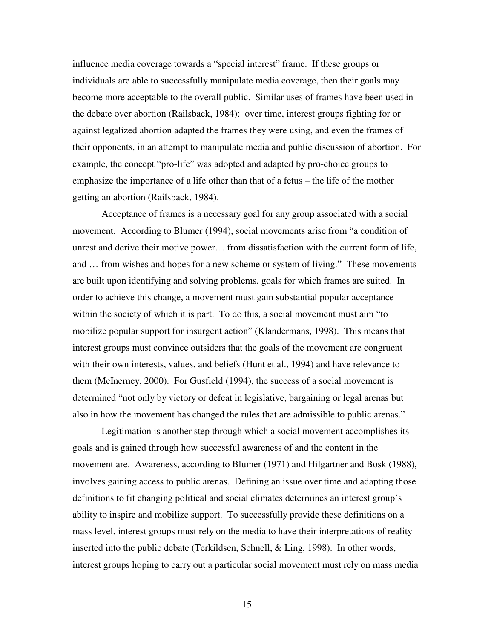influence media coverage towards a "special interest" frame. If these groups or individuals are able to successfully manipulate media coverage, then their goals may become more acceptable to the overall public. Similar uses of frames have been used in the debate over abortion (Railsback, 1984): over time, interest groups fighting for or against legalized abortion adapted the frames they were using, and even the frames of their opponents, in an attempt to manipulate media and public discussion of abortion. For example, the concept "pro-life" was adopted and adapted by pro-choice groups to emphasize the importance of a life other than that of a fetus – the life of the mother getting an abortion (Railsback, 1984).

Acceptance of frames is a necessary goal for any group associated with a social movement. According to Blumer (1994), social movements arise from "a condition of unrest and derive their motive power… from dissatisfaction with the current form of life, and … from wishes and hopes for a new scheme or system of living." These movements are built upon identifying and solving problems, goals for which frames are suited. In order to achieve this change, a movement must gain substantial popular acceptance within the society of which it is part. To do this, a social movement must aim "to mobilize popular support for insurgent action" (Klandermans, 1998). This means that interest groups must convince outsiders that the goals of the movement are congruent with their own interests, values, and beliefs (Hunt et al., 1994) and have relevance to them (McInerney, 2000). For Gusfield (1994), the success of a social movement is determined "not only by victory or defeat in legislative, bargaining or legal arenas but also in how the movement has changed the rules that are admissible to public arenas."

Legitimation is another step through which a social movement accomplishes its goals and is gained through how successful awareness of and the content in the movement are. Awareness, according to Blumer (1971) and Hilgartner and Bosk (1988), involves gaining access to public arenas. Defining an issue over time and adapting those definitions to fit changing political and social climates determines an interest group's ability to inspire and mobilize support. To successfully provide these definitions on a mass level, interest groups must rely on the media to have their interpretations of reality inserted into the public debate (Terkildsen, Schnell, & Ling, 1998). In other words, interest groups hoping to carry out a particular social movement must rely on mass media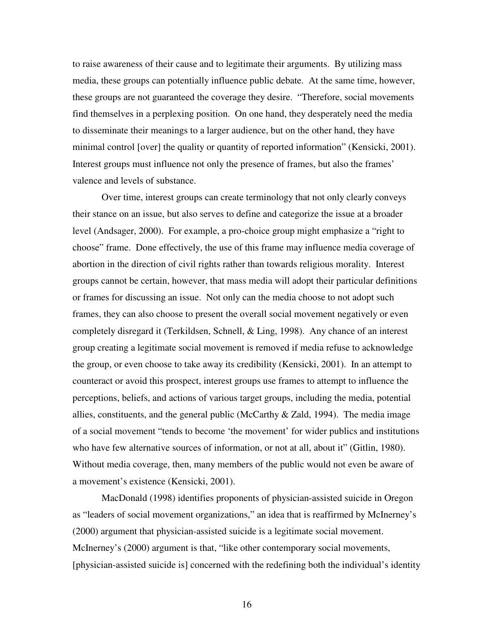to raise awareness of their cause and to legitimate their arguments. By utilizing mass media, these groups can potentially influence public debate. At the same time, however, these groups are not guaranteed the coverage they desire. "Therefore, social movements find themselves in a perplexing position. On one hand, they desperately need the media to disseminate their meanings to a larger audience, but on the other hand, they have minimal control [over] the quality or quantity of reported information" (Kensicki, 2001). Interest groups must influence not only the presence of frames, but also the frames' valence and levels of substance.

Over time, interest groups can create terminology that not only clearly conveys their stance on an issue, but also serves to define and categorize the issue at a broader level (Andsager, 2000). For example, a pro-choice group might emphasize a "right to choose" frame. Done effectively, the use of this frame may influence media coverage of abortion in the direction of civil rights rather than towards religious morality. Interest groups cannot be certain, however, that mass media will adopt their particular definitions or frames for discussing an issue. Not only can the media choose to not adopt such frames, they can also choose to present the overall social movement negatively or even completely disregard it (Terkildsen, Schnell, & Ling, 1998). Any chance of an interest group creating a legitimate social movement is removed if media refuse to acknowledge the group, or even choose to take away its credibility (Kensicki, 2001). In an attempt to counteract or avoid this prospect, interest groups use frames to attempt to influence the perceptions, beliefs, and actions of various target groups, including the media, potential allies, constituents, and the general public (McCarthy  $\&$  Zald, 1994). The media image of a social movement "tends to become 'the movement' for wider publics and institutions who have few alternative sources of information, or not at all, about it" (Gitlin, 1980). Without media coverage, then, many members of the public would not even be aware of a movement's existence (Kensicki, 2001).

MacDonald (1998) identifies proponents of physician-assisted suicide in Oregon as "leaders of social movement organizations," an idea that is reaffirmed by McInerney's (2000) argument that physician-assisted suicide is a legitimate social movement. McInerney's (2000) argument is that, "like other contemporary social movements, [physician-assisted suicide is] concerned with the redefining both the individual's identity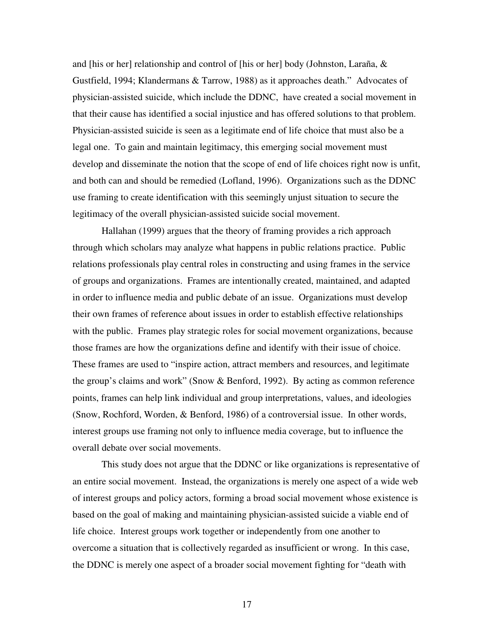and [his or her] relationship and control of [his or her] body (Johnston, Laraña, & Gustfield, 1994; Klandermans & Tarrow, 1988) as it approaches death." Advocates of physician-assisted suicide, which include the DDNC, have created a social movement in that their cause has identified a social injustice and has offered solutions to that problem. Physician-assisted suicide is seen as a legitimate end of life choice that must also be a legal one. To gain and maintain legitimacy, this emerging social movement must develop and disseminate the notion that the scope of end of life choices right now is unfit, and both can and should be remedied (Lofland, 1996). Organizations such as the DDNC use framing to create identification with this seemingly unjust situation to secure the legitimacy of the overall physician-assisted suicide social movement.

Hallahan (1999) argues that the theory of framing provides a rich approach through which scholars may analyze what happens in public relations practice. Public relations professionals play central roles in constructing and using frames in the service of groups and organizations. Frames are intentionally created, maintained, and adapted in order to influence media and public debate of an issue. Organizations must develop their own frames of reference about issues in order to establish effective relationships with the public. Frames play strategic roles for social movement organizations, because those frames are how the organizations define and identify with their issue of choice. These frames are used to "inspire action, attract members and resources, and legitimate the group's claims and work" (Snow & Benford, 1992). By acting as common reference points, frames can help link individual and group interpretations, values, and ideologies (Snow, Rochford, Worden, & Benford, 1986) of a controversial issue. In other words, interest groups use framing not only to influence media coverage, but to influence the overall debate over social movements.

This study does not argue that the DDNC or like organizations is representative of an entire social movement. Instead, the organizations is merely one aspect of a wide web of interest groups and policy actors, forming a broad social movement whose existence is based on the goal of making and maintaining physician-assisted suicide a viable end of life choice. Interest groups work together or independently from one another to overcome a situation that is collectively regarded as insufficient or wrong. In this case, the DDNC is merely one aspect of a broader social movement fighting for "death with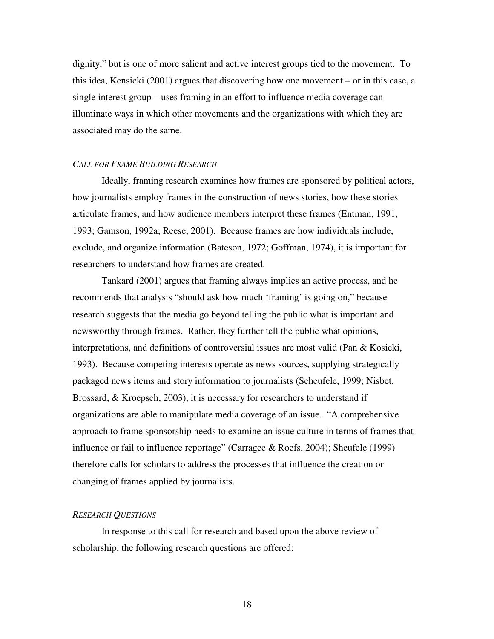dignity," but is one of more salient and active interest groups tied to the movement. To this idea, Kensicki (2001) argues that discovering how one movement – or in this case, a single interest group – uses framing in an effort to influence media coverage can illuminate ways in which other movements and the organizations with which they are associated may do the same.

#### *CALL FOR FRAME BUILDING RESEARCH*

Ideally, framing research examines how frames are sponsored by political actors, how journalists employ frames in the construction of news stories, how these stories articulate frames, and how audience members interpret these frames (Entman, 1991, 1993; Gamson, 1992a; Reese, 2001). Because frames are how individuals include, exclude, and organize information (Bateson, 1972; Goffman, 1974), it is important for researchers to understand how frames are created.

Tankard (2001) argues that framing always implies an active process, and he recommends that analysis "should ask how much 'framing' is going on," because research suggests that the media go beyond telling the public what is important and newsworthy through frames. Rather, they further tell the public what opinions, interpretations, and definitions of controversial issues are most valid (Pan & Kosicki, 1993). Because competing interests operate as news sources, supplying strategically packaged news items and story information to journalists (Scheufele, 1999; Nisbet, Brossard, & Kroepsch, 2003), it is necessary for researchers to understand if organizations are able to manipulate media coverage of an issue. "A comprehensive approach to frame sponsorship needs to examine an issue culture in terms of frames that influence or fail to influence reportage" (Carragee & Roefs, 2004); Sheufele (1999) therefore calls for scholars to address the processes that influence the creation or changing of frames applied by journalists.

#### *RESEARCH QUESTIONS*

In response to this call for research and based upon the above review of scholarship, the following research questions are offered: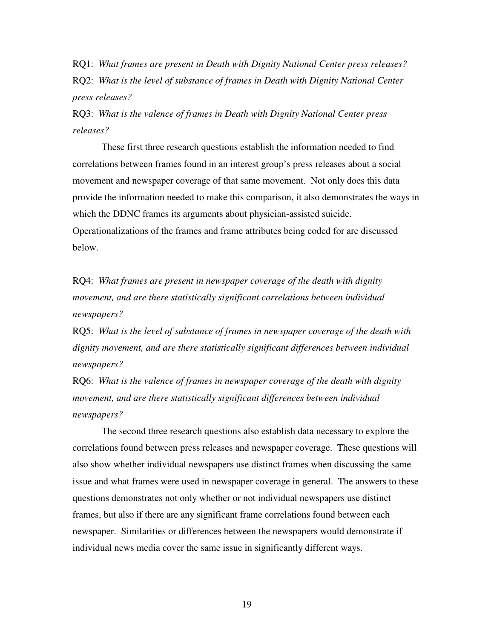RQ1: *What frames are present in Death with Dignity National Center press releases?* RQ2: *What is the level of substance of frames in Death with Dignity National Center press releases?*

RQ3: *What is the valence of frames in Death with Dignity National Center press releases?*

These first three research questions establish the information needed to find correlations between frames found in an interest group's press releases about a social movement and newspaper coverage of that same movement. Not only does this data provide the information needed to make this comparison, it also demonstrates the ways in which the DDNC frames its arguments about physician-assisted suicide. Operationalizations of the frames and frame attributes being coded for are discussed below.

RQ4: *What frames are present in newspaper coverage of the death with dignity movement, and are there statistically significant correlations between individual newspapers?*

RQ5: *What is the level of substance of frames in newspaper coverage of the death with dignity movement, and are there statistically significant differences between individual newspapers?*

RQ6: *What is the valence of frames in newspaper coverage of the death with dignity movement, and are there statistically significant differences between individual newspapers?*

The second three research questions also establish data necessary to explore the correlations found between press releases and newspaper coverage. These questions will also show whether individual newspapers use distinct frames when discussing the same issue and what frames were used in newspaper coverage in general. The answers to these questions demonstrates not only whether or not individual newspapers use distinct frames, but also if there are any significant frame correlations found between each newspaper. Similarities or differences between the newspapers would demonstrate if individual news media cover the same issue in significantly different ways.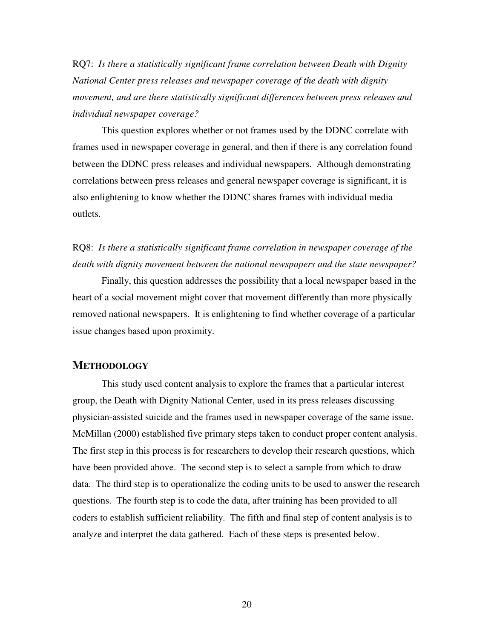RQ7: *Is there a statistically significant frame correlation between Death with Dignity National Center press releases and newspaper coverage of the death with dignity movement, and are there statistically significant differences between press releases and individual newspaper coverage?*

This question explores whether or not frames used by the DDNC correlate with frames used in newspaper coverage in general, and then if there is any correlation found between the DDNC press releases and individual newspapers. Although demonstrating correlations between press releases and general newspaper coverage is significant, it is also enlightening to know whether the DDNC shares frames with individual media outlets.

RQ8: *Is there a statistically significant frame correlation in newspaper coverage of the death with dignity movement between the national newspapers and the state newspaper?*

Finally, this question addresses the possibility that a local newspaper based in the heart of a social movement might cover that movement differently than more physically removed national newspapers. It is enlightening to find whether coverage of a particular issue changes based upon proximity.

#### **METHODOLOGY**

This study used content analysis to explore the frames that a particular interest group, the Death with Dignity National Center, used in its press releases discussing physician-assisted suicide and the frames used in newspaper coverage of the same issue. McMillan (2000) established five primary steps taken to conduct proper content analysis. The first step in this process is for researchers to develop their research questions, which have been provided above. The second step is to select a sample from which to draw data. The third step is to operationalize the coding units to be used to answer the research questions. The fourth step is to code the data, after training has been provided to all coders to establish sufficient reliability. The fifth and final step of content analysis is to analyze and interpret the data gathered. Each of these steps is presented below.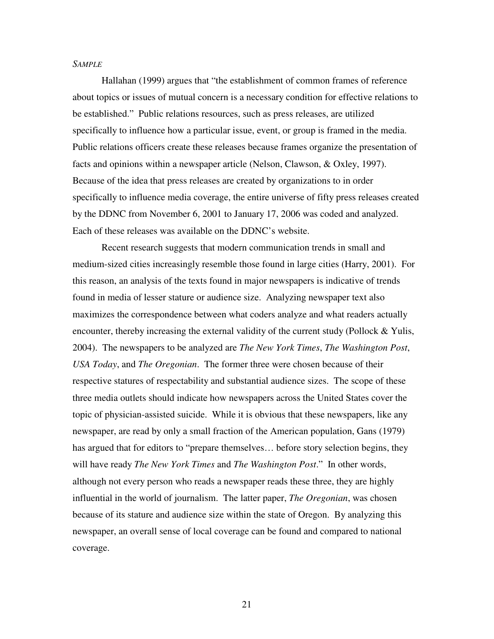#### *SAMPLE*

Hallahan (1999) argues that "the establishment of common frames of reference about topics or issues of mutual concern is a necessary condition for effective relations to be established." Public relations resources, such as press releases, are utilized specifically to influence how a particular issue, event, or group is framed in the media. Public relations officers create these releases because frames organize the presentation of facts and opinions within a newspaper article (Nelson, Clawson, & Oxley, 1997). Because of the idea that press releases are created by organizations to in order specifically to influence media coverage, the entire universe of fifty press releases created by the DDNC from November 6, 2001 to January 17, 2006 was coded and analyzed. Each of these releases was available on the DDNC's website.

Recent research suggests that modern communication trends in small and medium-sized cities increasingly resemble those found in large cities (Harry, 2001). For this reason, an analysis of the texts found in major newspapers is indicative of trends found in media of lesser stature or audience size. Analyzing newspaper text also maximizes the correspondence between what coders analyze and what readers actually encounter, thereby increasing the external validity of the current study (Pollock & Yulis, 2004). The newspapers to be analyzed are *The New York Times*, *The Washington Post*, *USA Today*, and *The Oregonian*. The former three were chosen because of their respective statures of respectability and substantial audience sizes. The scope of these three media outlets should indicate how newspapers across the United States cover the topic of physician-assisted suicide. While it is obvious that these newspapers, like any newspaper, are read by only a small fraction of the American population, Gans (1979) has argued that for editors to "prepare themselves… before story selection begins, they will have ready *The New York Times* and *The Washington Post*." In other words, although not every person who reads a newspaper reads these three, they are highly influential in the world of journalism. The latter paper, *The Oregonian*, was chosen because of its stature and audience size within the state of Oregon. By analyzing this newspaper, an overall sense of local coverage can be found and compared to national coverage.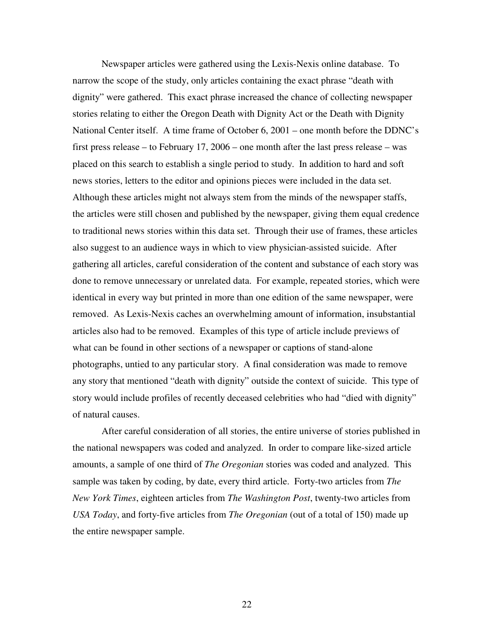Newspaper articles were gathered using the Lexis-Nexis online database. To narrow the scope of the study, only articles containing the exact phrase "death with dignity" were gathered. This exact phrase increased the chance of collecting newspaper stories relating to either the Oregon Death with Dignity Act or the Death with Dignity National Center itself. A time frame of October 6, 2001 – one month before the DDNC's first press release – to February 17, 2006 – one month after the last press release – was placed on this search to establish a single period to study. In addition to hard and soft news stories, letters to the editor and opinions pieces were included in the data set. Although these articles might not always stem from the minds of the newspaper staffs, the articles were still chosen and published by the newspaper, giving them equal credence to traditional news stories within this data set. Through their use of frames, these articles also suggest to an audience ways in which to view physician-assisted suicide. After gathering all articles, careful consideration of the content and substance of each story was done to remove unnecessary or unrelated data. For example, repeated stories, which were identical in every way but printed in more than one edition of the same newspaper, were removed. As Lexis-Nexis caches an overwhelming amount of information, insubstantial articles also had to be removed. Examples of this type of article include previews of what can be found in other sections of a newspaper or captions of stand-alone photographs, untied to any particular story. A final consideration was made to remove any story that mentioned "death with dignity" outside the context of suicide. This type of story would include profiles of recently deceased celebrities who had "died with dignity" of natural causes.

After careful consideration of all stories, the entire universe of stories published in the national newspapers was coded and analyzed. In order to compare like-sized article amounts, a sample of one third of *The Oregonian* stories was coded and analyzed. This sample was taken by coding, by date, every third article. Forty-two articles from *The New York Times*, eighteen articles from *The Washington Post*, twenty-two articles from *USA Today*, and forty-five articles from *The Oregonian* (out of a total of 150) made up the entire newspaper sample.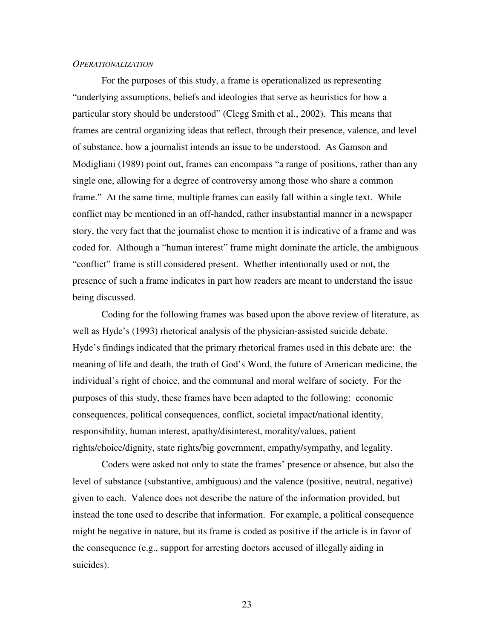#### *OPERATIONALIZATION*

For the purposes of this study, a frame is operationalized as representing "underlying assumptions, beliefs and ideologies that serve as heuristics for how a particular story should be understood" (Clegg Smith et al., 2002). This means that frames are central organizing ideas that reflect, through their presence, valence, and level of substance, how a journalist intends an issue to be understood. As Gamson and Modigliani (1989) point out, frames can encompass "a range of positions, rather than any single one, allowing for a degree of controversy among those who share a common frame." At the same time, multiple frames can easily fall within a single text. While conflict may be mentioned in an off-handed, rather insubstantial manner in a newspaper story, the very fact that the journalist chose to mention it is indicative of a frame and was coded for. Although a "human interest" frame might dominate the article, the ambiguous "conflict" frame is still considered present. Whether intentionally used or not, the presence of such a frame indicates in part how readers are meant to understand the issue being discussed.

Coding for the following frames was based upon the above review of literature, as well as Hyde's (1993) rhetorical analysis of the physician-assisted suicide debate. Hyde's findings indicated that the primary rhetorical frames used in this debate are: the meaning of life and death, the truth of God's Word, the future of American medicine, the individual's right of choice, and the communal and moral welfare of society. For the purposes of this study, these frames have been adapted to the following: economic consequences, political consequences, conflict, societal impact/national identity, responsibility, human interest, apathy/disinterest, morality/values, patient rights/choice/dignity, state rights/big government, empathy/sympathy, and legality.

Coders were asked not only to state the frames' presence or absence, but also the level of substance (substantive, ambiguous) and the valence (positive, neutral, negative) given to each. Valence does not describe the nature of the information provided, but instead the tone used to describe that information. For example, a political consequence might be negative in nature, but its frame is coded as positive if the article is in favor of the consequence (e.g., support for arresting doctors accused of illegally aiding in suicides).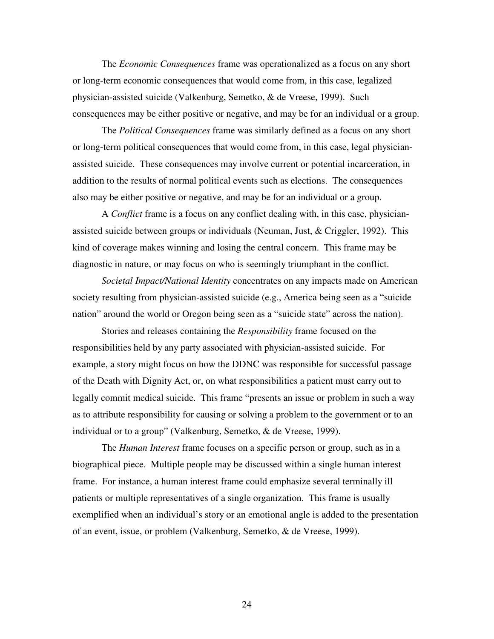The *Economic Consequences* frame was operationalized as a focus on any short or long-term economic consequences that would come from, in this case, legalized physician-assisted suicide (Valkenburg, Semetko, & de Vreese, 1999). Such consequences may be either positive or negative, and may be for an individual or a group.

The *Political Consequences* frame was similarly defined as a focus on any short or long-term political consequences that would come from, in this case, legal physicianassisted suicide. These consequences may involve current or potential incarceration, in addition to the results of normal political events such as elections. The consequences also may be either positive or negative, and may be for an individual or a group.

A *Conflict* frame is a focus on any conflict dealing with, in this case, physicianassisted suicide between groups or individuals (Neuman, Just,  $\&$  Criggler, 1992). This kind of coverage makes winning and losing the central concern. This frame may be diagnostic in nature, or may focus on who is seemingly triumphant in the conflict.

*Societal Impact/National Identity* concentrates on any impacts made on American society resulting from physician-assisted suicide (e.g., America being seen as a "suicide nation" around the world or Oregon being seen as a "suicide state" across the nation).

Stories and releases containing the *Responsibility* frame focused on the responsibilities held by any party associated with physician-assisted suicide. For example, a story might focus on how the DDNC was responsible for successful passage of the Death with Dignity Act, or, on what responsibilities a patient must carry out to legally commit medical suicide. This frame "presents an issue or problem in such a way as to attribute responsibility for causing or solving a problem to the government or to an individual or to a group" (Valkenburg, Semetko, & de Vreese, 1999).

The *Human Interest* frame focuses on a specific person or group, such as in a biographical piece. Multiple people may be discussed within a single human interest frame. For instance, a human interest frame could emphasize several terminally ill patients or multiple representatives of a single organization. This frame is usually exemplified when an individual's story or an emotional angle is added to the presentation of an event, issue, or problem (Valkenburg, Semetko, & de Vreese, 1999).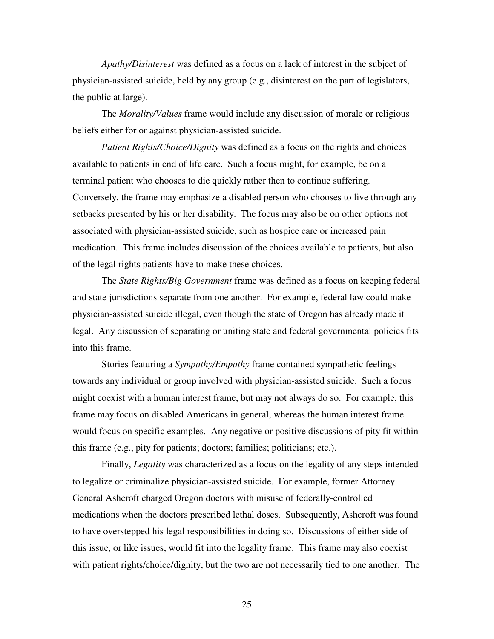*Apathy/Disinterest* was defined as a focus on a lack of interest in the subject of physician-assisted suicide, held by any group (e.g., disinterest on the part of legislators, the public at large).

The *Morality/Values* frame would include any discussion of morale or religious beliefs either for or against physician-assisted suicide.

*Patient Rights/Choice/Dignity* was defined as a focus on the rights and choices available to patients in end of life care. Such a focus might, for example, be on a terminal patient who chooses to die quickly rather then to continue suffering. Conversely, the frame may emphasize a disabled person who chooses to live through any setbacks presented by his or her disability. The focus may also be on other options not associated with physician-assisted suicide, such as hospice care or increased pain medication. This frame includes discussion of the choices available to patients, but also of the legal rights patients have to make these choices.

The *State Rights/Big Government* frame was defined as a focus on keeping federal and state jurisdictions separate from one another. For example, federal law could make physician-assisted suicide illegal, even though the state of Oregon has already made it legal. Any discussion of separating or uniting state and federal governmental policies fits into this frame.

Stories featuring a *Sympathy/Empathy* frame contained sympathetic feelings towards any individual or group involved with physician-assisted suicide. Such a focus might coexist with a human interest frame, but may not always do so. For example, this frame may focus on disabled Americans in general, whereas the human interest frame would focus on specific examples. Any negative or positive discussions of pity fit within this frame (e.g., pity for patients; doctors; families; politicians; etc.).

Finally, *Legality* was characterized as a focus on the legality of any steps intended to legalize or criminalize physician-assisted suicide. For example, former Attorney General Ashcroft charged Oregon doctors with misuse of federally-controlled medications when the doctors prescribed lethal doses. Subsequently, Ashcroft was found to have overstepped his legal responsibilities in doing so. Discussions of either side of this issue, or like issues, would fit into the legality frame. This frame may also coexist with patient rights/choice/dignity, but the two are not necessarily tied to one another. The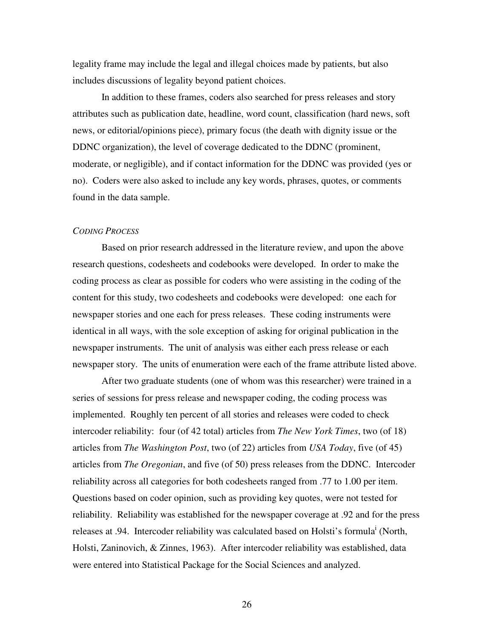legality frame may include the legal and illegal choices made by patients, but also includes discussions of legality beyond patient choices.

In addition to these frames, coders also searched for press releases and story attributes such as publication date, headline, word count, classification (hard news, soft news, or editorial/opinions piece), primary focus (the death with dignity issue or the DDNC organization), the level of coverage dedicated to the DDNC (prominent, moderate, or negligible), and if contact information for the DDNC was provided (yes or no). Coders were also asked to include any key words, phrases, quotes, or comments found in the data sample.

#### *CODING PROCESS*

Based on prior research addressed in the literature review, and upon the above research questions, codesheets and codebooks were developed. In order to make the coding process as clear as possible for coders who were assisting in the coding of the content for this study, two codesheets and codebooks were developed: one each for newspaper stories and one each for press releases. These coding instruments were identical in all ways, with the sole exception of asking for original publication in the newspaper instruments. The unit of analysis was either each press release or each newspaper story. The units of enumeration were each of the frame attribute listed above.

After two graduate students (one of whom was this researcher) were trained in a series of sessions for press release and newspaper coding, the coding process was implemented. Roughly ten percent of all stories and releases were coded to check intercoder reliability: four (of 42 total) articles from *The New York Times*, two (of 18) articles from *The Washington Post*, two (of 22) articles from *USA Today*, five (of 45) articles from *The Oregonian*, and five (of 50) press releases from the DDNC. Intercoder reliability across all categories for both codesheets ranged from .77 to 1.00 per item. Questions based on coder opinion, such as providing key quotes, were not tested for reliability. Reliability was established for the newspaper coverage at .92 and for the press releases at .94. Intercoder reliability was calculated based on Holsti's formula<sup>i</sup> (North, Holsti, Zaninovich, & Zinnes, 1963). After intercoder reliability was established, data were entered into Statistical Package for the Social Sciences and analyzed.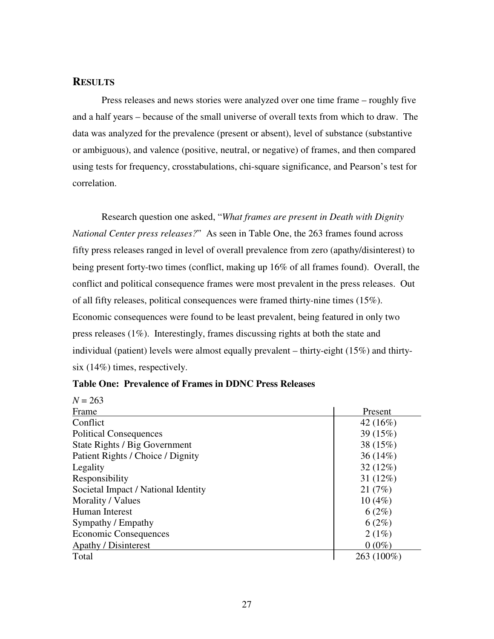## **RESULTS**

Press releases and news stories were analyzed over one time frame – roughly five and a half years – because of the small universe of overall texts from which to draw. The data was analyzed for the prevalence (present or absent), level of substance (substantive or ambiguous), and valence (positive, neutral, or negative) of frames, and then compared using tests for frequency, crosstabulations, chi-square significance, and Pearson's test for correlation.

Research question one asked, "*What frames are present in Death with Dignity National Center press releases?*" As seen in Table One, the 263 frames found across fifty press releases ranged in level of overall prevalence from zero (apathy/disinterest) to being present forty-two times (conflict, making up 16% of all frames found). Overall, the conflict and political consequence frames were most prevalent in the press releases. Out of all fifty releases, political consequences were framed thirty-nine times (15%). Economic consequences were found to be least prevalent, being featured in only two press releases (1%). Interestingly, frames discussing rights at both the state and individual (patient) levels were almost equally prevalent – thirty-eight (15%) and thirtysix (14%) times, respectively.

| $N = 263$                           |             |
|-------------------------------------|-------------|
| Frame                               | Present     |
| Conflict                            | 42 (16%)    |
| <b>Political Consequences</b>       | 39 (15%)    |
| State Rights / Big Government       | 38 (15%)    |
| Patient Rights / Choice / Dignity   | $36(14\%)$  |
| Legality                            | $32(12\%)$  |
| Responsibility                      | 31 $(12\%)$ |
| Societal Impact / National Identity | 21(7%)      |
| Morality / Values                   | 10(4%)      |
| Human Interest                      | 6(2%)       |
| Sympathy / Empathy                  | 6(2%)       |
| <b>Economic Consequences</b>        | 2(1%)       |
| <b>Apathy / Disinterest</b>         | $0(0\%)$    |
| Total                               | 263 (100%)  |

**Table One: Prevalence of Frames in DDNC Press Releases**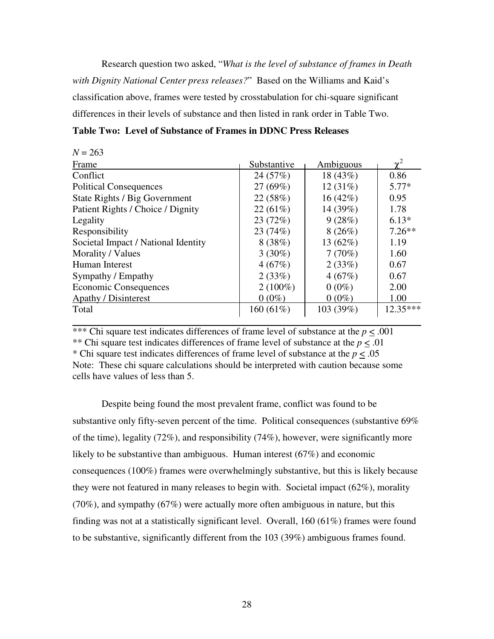Research question two asked, "*What is the level of substance of frames in Death with Dignity National Center press releases?*" Based on the Williams and Kaid's classification above, frames were tested by crosstabulation for chi-square significant differences in their levels of substance and then listed in rank order in Table Two.

|  | <b>Table Two: Level of Substance of Frames in DDNC Press Releases</b> |  |  |  |
|--|-----------------------------------------------------------------------|--|--|--|
|--|-----------------------------------------------------------------------|--|--|--|

| $N = 263$                           |             |            |                |
|-------------------------------------|-------------|------------|----------------|
| Frame                               | Substantive | Ambiguous  | $\mathbf{v}^2$ |
| Conflict                            | 24 (57%)    | 18 (43%)   | 0.86           |
| <b>Political Consequences</b>       | 27(69%)     | 12(31%)    | $5.77*$        |
| State Rights / Big Government       | 22(58%)     | $16(42\%)$ | 0.95           |
| Patient Rights / Choice / Dignity   | 22(61%)     | 14 (39%)   | 1.78           |
| Legality                            | 23 (72%)    | 9(28%)     | $6.13*$        |
| Responsibility                      | 23(74%)     | 8(26%)     | $7.26**$       |
| Societal Impact / National Identity | 8(38%)      | 13 (62%)   | 1.19           |
| Morality / Values                   | $3(30\%)$   | 7(70%)     | 1.60           |
| Human Interest                      | 4(67%)      | 2(33%)     | 0.67           |
| Sympathy / Empathy                  | 2(33%)      | 4(67%)     | 0.67           |
| <b>Economic Consequences</b>        | $2(100\%)$  | $0(0\%)$   | 2.00           |
| <b>Apathy / Disinterest</b>         | $0(0\%)$    | $0(0\%)$   | 1.00           |
| Total                               | $160(61\%)$ | 103 (39%)  | $12.35***$     |
|                                     |             |            |                |

\*\*\* Chi square test indicates differences of frame level of substance at the *p* < .001 \*\* Chi square test indicates differences of frame level of substance at the *p* < .01 \* Chi square test indicates differences of frame level of substance at the *p* < .05 Note: These chi square calculations should be interpreted with caution because some cells have values of less than 5.

Despite being found the most prevalent frame, conflict was found to be substantive only fifty-seven percent of the time. Political consequences (substantive 69% of the time), legality (72%), and responsibility (74%), however, were significantly more likely to be substantive than ambiguous. Human interest (67%) and economic consequences (100%) frames were overwhelmingly substantive, but this is likely because they were not featured in many releases to begin with. Societal impact (62%), morality (70%), and sympathy (67%) were actually more often ambiguous in nature, but this finding was not at a statistically significant level. Overall, 160 (61%) frames were found to be substantive, significantly different from the 103 (39%) ambiguous frames found.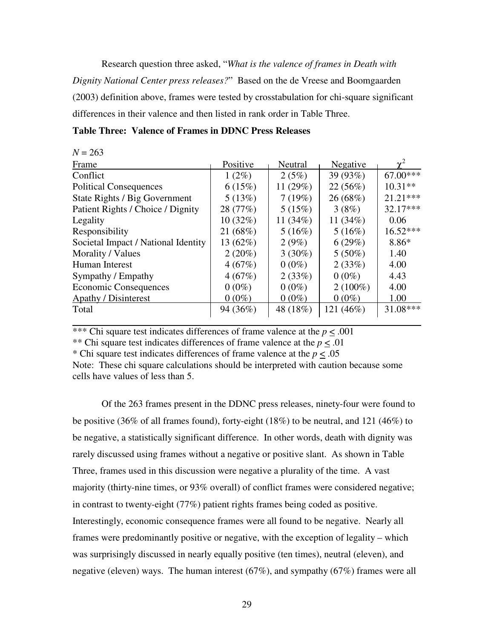Research question three asked, "*What is the valence of frames in Death with Dignity National Center press releases?*" Based on the de Vreese and Boomgaarden (2003) definition above, frames were tested by crosstabulation for chi-square significant differences in their valence and then listed in rank order in Table Three.

| <b>Table Three: Valence of Frames in DDNC Press Releases</b> |  |
|--------------------------------------------------------------|--|
|--------------------------------------------------------------|--|

| $N = 263$                           |           |            |            |                |
|-------------------------------------|-----------|------------|------------|----------------|
| Frame                               | Positive  | Neutral    | Negative   | $\mathbf{v}^2$ |
| Conflict                            | $1(2\%)$  | 2(5%)      | 39 (93%)   | $67.00***$     |
| <b>Political Consequences</b>       | 6(15%)    | 11 $(29%)$ | 22(56%)    | $10.31**$      |
| State Rights / Big Government       | 5(13%)    | 7(19%)     | 26 (68%)   | $21.21***$     |
| Patient Rights / Choice / Dignity   | 28 (77%)  | 5(15%)     | 3(8%)      | $32.17***$     |
| Legality                            | 10(32%)   | 11 $(34%)$ | 11 $(34%)$ | 0.06           |
| Responsibility                      | 21 (68%)  | 5(16%)     | 5(16%)     | $16.52***$     |
| Societal Impact / National Identity | 13 (62%)  | $2(9\%)$   | 6(29%)     | 8.86*          |
| Morality / Values                   | $2(20\%)$ | $3(30\%)$  | $5(50\%)$  | 1.40           |
| Human Interest                      | 4(67%)    | $0(0\%)$   | 2(33%)     | 4.00           |
| Sympathy / Empathy                  | 4(67%)    | 2(33%)     | $0(0\%)$   | 4.43           |
| <b>Economic Consequences</b>        | $0(0\%)$  | $0(0\%)$   | $2(100\%)$ | 4.00           |
| <b>Apathy / Disinterest</b>         | $0(0\%)$  | $0(0\%)$   | $0(0\%)$   | 1.00           |
| Total                               | 94 (36%)  | 48 (18%)   | 121 (46%)  | 31.08***       |
|                                     |           |            |            |                |

\*\*\* Chi square test indicates differences of frame valence at the  $p < .001$ 

\*\* Chi square test indicates differences of frame valence at the *p* < .01

\* Chi square test indicates differences of frame valence at the  $p \leq .05$ 

Note: These chi square calculations should be interpreted with caution because some cells have values of less than 5.

Of the 263 frames present in the DDNC press releases, ninety-four were found to be positive (36% of all frames found), forty-eight (18%) to be neutral, and 121 (46%) to be negative, a statistically significant difference. In other words, death with dignity was rarely discussed using frames without a negative or positive slant. As shown in Table Three, frames used in this discussion were negative a plurality of the time. A vast majority (thirty-nine times, or 93% overall) of conflict frames were considered negative; in contrast to twenty-eight (77%) patient rights frames being coded as positive. Interestingly, economic consequence frames were all found to be negative. Nearly all frames were predominantly positive or negative, with the exception of legality – which was surprisingly discussed in nearly equally positive (ten times), neutral (eleven), and negative (eleven) ways. The human interest (67%), and sympathy (67%) frames were all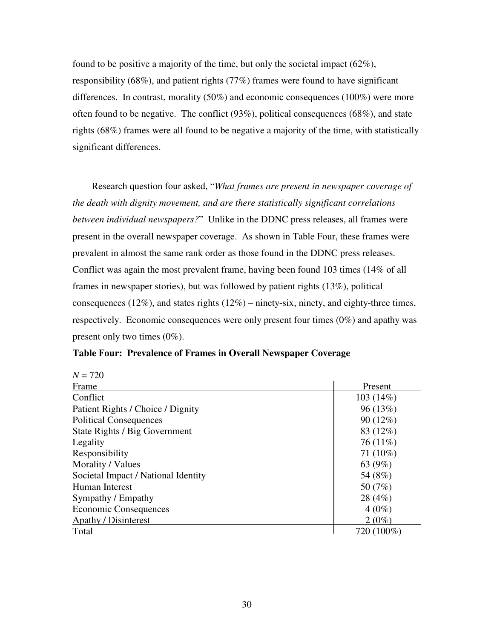found to be positive a majority of the time, but only the societal impact (62%), responsibility (68%), and patient rights (77%) frames were found to have significant differences. In contrast, morality (50%) and economic consequences (100%) were more often found to be negative. The conflict (93%), political consequences (68%), and state rights (68%) frames were all found to be negative a majority of the time, with statistically significant differences.

Research question four asked, "*What frames are present in newspaper coverage of the death with dignity movement, and are there statistically significant correlations between individual newspapers?*" Unlike in the DDNC press releases, all frames were present in the overall newspaper coverage. As shown in Table Four, these frames were prevalent in almost the same rank order as those found in the DDNC press releases. Conflict was again the most prevalent frame, having been found 103 times (14% of all frames in newspaper stories), but was followed by patient rights (13%), political consequences (12%), and states rights  $(12\%)$  – ninety-six, ninety, and eighty-three times, respectively. Economic consequences were only present four times (0%) and apathy was present only two times (0%).

| Frame                               | Present    |
|-------------------------------------|------------|
| Conflict                            | 103(14%)   |
| Patient Rights / Choice / Dignity   | 96(13%)    |
| <b>Political Consequences</b>       | $90(12\%)$ |
| State Rights / Big Government       | 83 (12%)   |
| Legality                            | $76(11\%)$ |
| Responsibility                      | 71 (10%)   |
| Morality / Values                   | 63 (9%)    |
| Societal Impact / National Identity | 54 (8%)    |
| Human Interest                      | 50 (7%)    |
| Sympathy / Empathy                  | 28 (4%)    |
| Economic Consequences               | $4(0\%)$   |
| <b>Apathy / Disinterest</b>         | $2(0\%)$   |
| Total                               | 720 (100%) |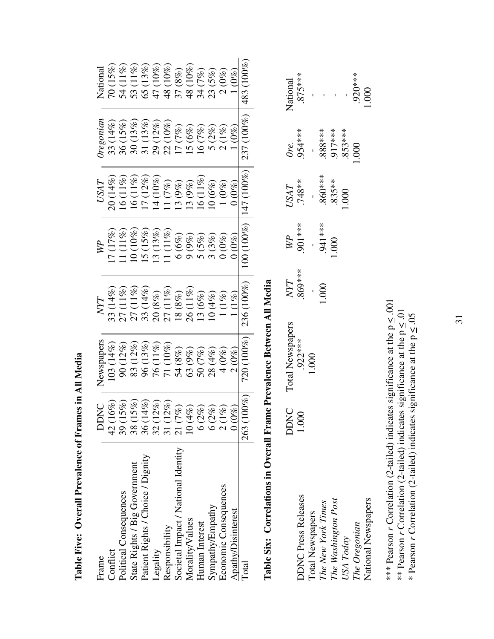| Frame                               | ЭÖ                             | Newspapers                  |                           |            | USAT                       | regonian                           | National                  |
|-------------------------------------|--------------------------------|-----------------------------|---------------------------|------------|----------------------------|------------------------------------|---------------------------|
| Conflict                            | $\mathscr{E}$<br>$\frac{1}{4}$ | $(14\%)$<br>$\overline{03}$ |                           | (17%)      | (14%)                      | $(14\%)$<br>33(                    |                           |
| Political Consequences              | 39 (1)                         | (12%)<br>$\overline{90}$    | $(11\%)$                  | $(11\%)$   | $(11\%)$                   | (15%)<br>36 <sub>1</sub>           | 54                        |
| State Rights / Big Government       | $5\%$<br>38(1)                 | (12%)<br>83                 |                           | $(10\%)$   | $(1\%)$                    | (13%)                              | 53                        |
| Patient Rights / Choice / Dignity   | $4\%$<br>36(1)                 | $(13\%)$<br>96              | 33                        | $(15\%)$   | $(12\%)$                   | $(13\%)$                           | $(13\%$<br>65             |
| Legality                            | $2\%$                          | $(11\%)$<br>76              | $(8\%)$                   | $(13\%)$   | $(10\%)$                   | (12%)<br>29 <sub>1</sub>           |                           |
| Responsibility                      | 2%)<br>$\frac{32}{31}$ (1)     | (10%)<br>$\overline{71}$    | $(1\%$<br>27 <sub>0</sub> | $(11\%)$   | $(7\%)$                    |                                    | 48 <sub>1</sub>           |
| Societal Impact / National Identity | E)<br>21(7)                    | $(8\%)$                     | $18~(8\%)$                | $6\,(6\%)$ | $(9\%)$                    | $(7\%)$<br>$\overline{\mathsf{L}}$ | 37 (8%)                   |
| Morality/Values                     | R)<br>10(4)                    | $(9\%)$<br>54<br>63         | $(11\%)$<br>$\delta$      | 9(9%)      | $(9\%)$                    | $5(6\%)$                           | $(10\%)$<br>$\frac{8}{3}$ |
| Human Interest                      | É)<br>6(2)                     | 50 <sub>1</sub>             | $(6\%)$                   | 5(5%)      | $(11\%)$<br>$\overline{9}$ | $(7\%)$<br>$\overline{6}$          | 34 <sub>1</sub>           |
| Sympathy/Empathy                    | R)<br>6(2)                     | $(4\%)$<br>28 <sub>1</sub>  | $10(4\%$                  | $(3\%)$    | $(6\%)$                    | $5(2\%)$                           | 23(5%)                    |
| Economic Consequences               | É,<br>2(1)                     | 4                           |                           |            | $1\, (0\%)$                | $(1\%)$                            |                           |
| <b>Apathy/Disinterest</b>           | $_{\rm 0}^{\rm o}$             | $0\%$                       |                           |            |                            |                                    |                           |
| Total                               | 263(1                          | $(100\%)$<br>720 (          | $236(100\%)$              | 00(100%)   | $(100\%)$<br>147           | $(100\%)$<br>237 (                 | $483(100\%$               |
|                                     |                                |                             |                           |            |                            |                                    |                           |

**Table Five: Overall Prevalence of Frames in All Media** 

Table Five: Overall Prevalence of Frames in All Media

Table Six: Correlations in Overall Frame Prevalence Between All Media **Table Six: Correlations in Overall Frame Prevalence Between All Media** 

|                                        | <b>DDNC</b>           | <b>Total Newspapers</b> | $N\!Y\!T$ | $\overline{W}$ | USAT Ore. National |           |           |
|----------------------------------------|-----------------------|-------------------------|-----------|----------------|--------------------|-----------|-----------|
| <b>JDNC Press Releases</b>             | $\sum_{i=1}^{\infty}$ | 922***                  | ***808    | ****00.        | .748**             | 954****   | $-875***$ |
|                                        |                       | $000$ .                 |           |                |                    |           |           |
| Total Newspapers<br>The New York Times |                       |                         | 800       | .941 ***       | $860***$           | 888***    |           |
| The Washington Post                    |                       |                         |           | $000$ .        | $.835***$          | .917***   |           |
| USA Today                              |                       |                         |           |                | $000$ .            | $.853***$ |           |
| The Oregonian                          |                       |                         |           |                |                    | 600       | 920****   |
| <b>Vational Newspapers</b>             |                       |                         |           |                |                    |           | $000$ .   |
|                                        |                       |                         |           |                |                    |           |           |

\*\*\* Pearson *r* Correlation (2-tailed) indicates significance at the  $p \leq .001$ \*\*\* Pearson r Correlation (2-tailed) indicates significance at the  $p \leq .001$ 

\*\* Pearson r Correlation (2-tailed) indicates significance at the  $p \le 01$ <br>\* Pearson r Correlation (2-tailed) indicates significance at the  $p \le 0.05$ \*\* Pearson *r* Correlation (2-tailed) indicates significance at the  $p \leq 0.01$ \* Pearson *r* Correlation (2-tailed) indicates significance at the  $p \leq .05$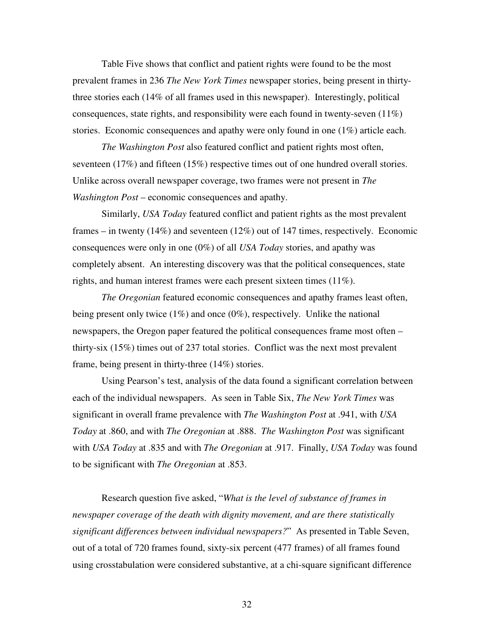Table Five shows that conflict and patient rights were found to be the most prevalent frames in 236 *The New York Times* newspaper stories, being present in thirtythree stories each (14% of all frames used in this newspaper). Interestingly, political consequences, state rights, and responsibility were each found in twenty-seven  $(11\%)$ stories. Economic consequences and apathy were only found in one (1%) article each.

*The Washington Post* also featured conflict and patient rights most often, seventeen (17%) and fifteen (15%) respective times out of one hundred overall stories. Unlike across overall newspaper coverage, two frames were not present in *The Washington Post* – economic consequences and apathy.

Similarly, *USA Today* featured conflict and patient rights as the most prevalent frames – in twenty (14%) and seventeen (12%) out of 147 times, respectively. Economic consequences were only in one (0%) of all *USA Today* stories, and apathy was completely absent. An interesting discovery was that the political consequences, state rights, and human interest frames were each present sixteen times (11%).

*The Oregonian* featured economic consequences and apathy frames least often, being present only twice  $(1\%)$  and once  $(0\%)$ , respectively. Unlike the national newspapers, the Oregon paper featured the political consequences frame most often – thirty-six (15%) times out of 237 total stories. Conflict was the next most prevalent frame, being present in thirty-three (14%) stories.

Using Pearson's test, analysis of the data found a significant correlation between each of the individual newspapers. As seen in Table Six, *The New York Times* was significant in overall frame prevalence with *The Washington Post* at .941, with *USA Today* at .860, and with *The Oregonian* at .888. *The Washington Post* was significant with *USA Today* at .835 and with *The Oregonian* at .917. Finally, *USA Today* was found to be significant with *The Oregonian* at .853.

Research question five asked, "*What is the level of substance of frames in newspaper coverage of the death with dignity movement, and are there statistically significant differences between individual newspapers?*" As presented in Table Seven, out of a total of 720 frames found, sixty-six percent (477 frames) of all frames found using crosstabulation were considered substantive, at a chi-square significant difference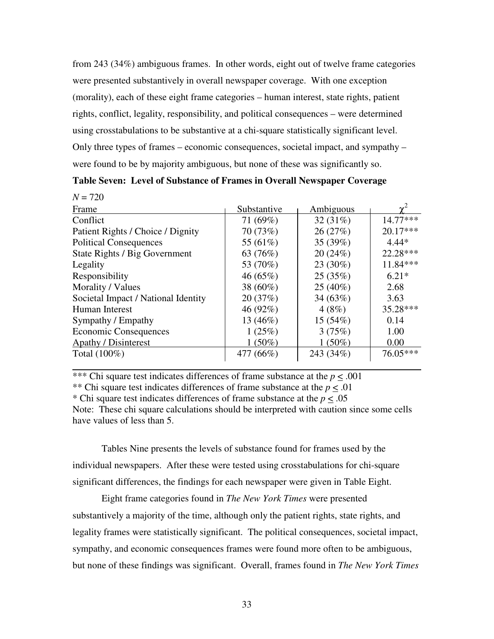from 243 (34%) ambiguous frames. In other words, eight out of twelve frame categories were presented substantively in overall newspaper coverage. With one exception (morality), each of these eight frame categories – human interest, state rights, patient rights, conflict, legality, responsibility, and political consequences – were determined using crosstabulations to be substantive at a chi-square statistically significant level. Only three types of frames – economic consequences, societal impact, and sympathy – were found to be by majority ambiguous, but none of these was significantly so.

| Table Seven: Level of Substance of Frames in Overall Newspaper Coverage |  |  |
|-------------------------------------------------------------------------|--|--|
|                                                                         |  |  |

 $\frac{1}{2}$   $\frac{720}{20}$ 

| $N = I ZU$                          |             |            |            |
|-------------------------------------|-------------|------------|------------|
| Frame                               | Substantive | Ambiguous  |            |
| Conflict                            | 71 (69%)    | 32(31%)    | $14.77***$ |
| Patient Rights / Choice / Dignity   | 70 (73%)    | 26(27%)    | $20.17***$ |
| <b>Political Consequences</b>       | 55 (61%)    | 35 (39%)   | $4.44*$    |
| State Rights / Big Government       | 63 (76%)    | 20(24%)    | $22.28***$ |
| Legality                            | 53 (70%)    | $23(30\%)$ | 11.84***   |
| Responsibility                      | 46 $(65\%)$ | 25(35%)    | $6.21*$    |
| Morality / Values                   | 38 $(60\%)$ | $25(40\%)$ | 2.68       |
| Societal Impact / National Identity | 20(37%)     | 34(63%)    | 3.63       |
| Human Interest                      | 46 (92%)    | 4(8%)      | 35.28***   |
| Sympathy / Empathy                  | 13 $(46%)$  | 15(54%)    | 0.14       |
| <b>Economic Consequences</b>        | 1(25%)      | 3(75%)     | 1.00       |
| <b>Apathy / Disinterest</b>         | $1(50\%)$   | $1(50\%)$  | 0.00       |
| Total (100%)                        | 477 (66%)   | 243 (34%)  | 76.05***   |
|                                     |             |            |            |

\*\*\* Chi square test indicates differences of frame substance at the  $p < .001$ 

\*\* Chi square test indicates differences of frame substance at the *p* < .01

\* Chi square test indicates differences of frame substance at the *p* < .05

Note: These chi square calculations should be interpreted with caution since some cells have values of less than 5.

Tables Nine presents the levels of substance found for frames used by the individual newspapers. After these were tested using crosstabulations for chi-square significant differences, the findings for each newspaper were given in Table Eight.

Eight frame categories found in *The New York Times* were presented substantively a majority of the time, although only the patient rights, state rights, and legality frames were statistically significant. The political consequences, societal impact, sympathy, and economic consequences frames were found more often to be ambiguous, but none of these findings was significant. Overall, frames found in *The New York Times*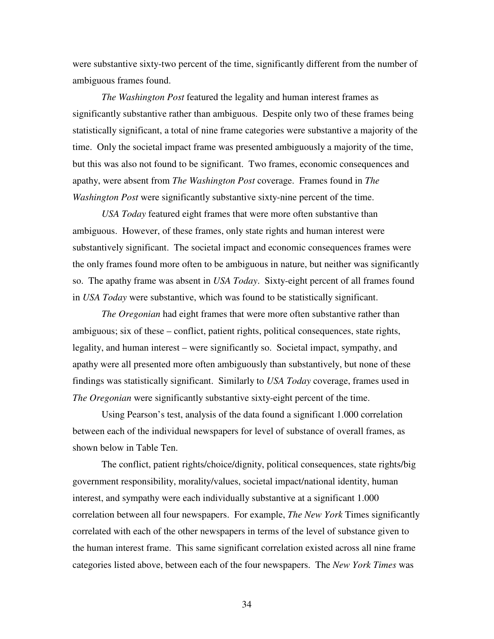were substantive sixty-two percent of the time, significantly different from the number of ambiguous frames found.

*The Washington Post* featured the legality and human interest frames as significantly substantive rather than ambiguous. Despite only two of these frames being statistically significant, a total of nine frame categories were substantive a majority of the time. Only the societal impact frame was presented ambiguously a majority of the time, but this was also not found to be significant. Two frames, economic consequences and apathy, were absent from *The Washington Post* coverage. Frames found in *The Washington Post* were significantly substantive sixty-nine percent of the time.

*USA Today* featured eight frames that were more often substantive than ambiguous. However, of these frames, only state rights and human interest were substantively significant. The societal impact and economic consequences frames were the only frames found more often to be ambiguous in nature, but neither was significantly so. The apathy frame was absent in *USA Today*. Sixty-eight percent of all frames found in *USA Today* were substantive, which was found to be statistically significant.

*The Oregonian* had eight frames that were more often substantive rather than ambiguous; six of these – conflict, patient rights, political consequences, state rights, legality, and human interest – were significantly so. Societal impact, sympathy, and apathy were all presented more often ambiguously than substantively, but none of these findings was statistically significant. Similarly to *USA Today* coverage, frames used in *The Oregonian* were significantly substantive sixty-eight percent of the time.

Using Pearson's test, analysis of the data found a significant 1.000 correlation between each of the individual newspapers for level of substance of overall frames, as shown below in Table Ten.

The conflict, patient rights/choice/dignity, political consequences, state rights/big government responsibility, morality/values, societal impact/national identity, human interest, and sympathy were each individually substantive at a significant 1.000 correlation between all four newspapers. For example, *The New York* Times significantly correlated with each of the other newspapers in terms of the level of substance given to the human interest frame. This same significant correlation existed across all nine frame categories listed above, between each of the four newspapers. The *New York Times* was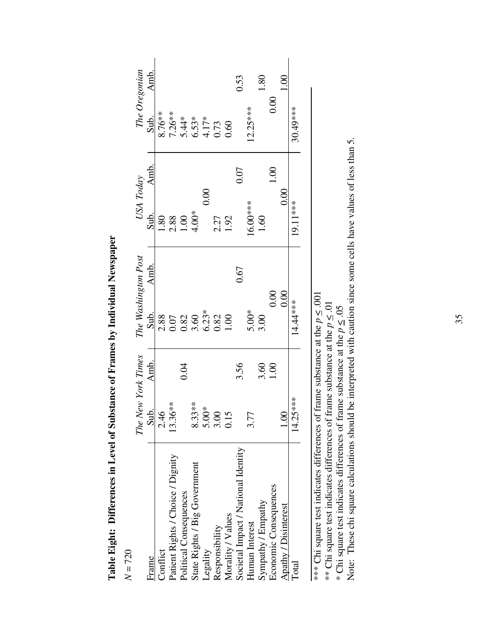| $\sqrt{7/5}$                                                                           |                                  |      |                                                                              |      |                             |                                                             |               |
|----------------------------------------------------------------------------------------|----------------------------------|------|------------------------------------------------------------------------------|------|-----------------------------|-------------------------------------------------------------|---------------|
|                                                                                        | The New York Times               |      | The Washington Post                                                          |      | USA Today                   |                                                             | The Oregonian |
| Frame                                                                                  | Sub.                             | Amb. | Sub.                                                                         | Amb. | Amb.<br>Sub.                | Sub.                                                        | Amb.          |
| Conflict                                                                               | 2.46                             |      |                                                                              |      | $^{0.81}$                   | $8.76**$                                                    |               |
| Patient Rights / Choice / Dignity                                                      | $13.36**$                        |      |                                                                              |      |                             |                                                             |               |
| Political Consequences                                                                 |                                  | 0.04 |                                                                              |      | $2.88$<br>$1.00$<br>$4.00*$ |                                                             |               |
| State Rights / Big Government                                                          | $8.33***$                        |      | $2.88$<br>$0.52$<br>$0.82$<br>$0.62$<br>$0.82$<br>$0.82$<br>$0.00$<br>$0.00$ |      |                             | $7.26**$<br>$5.44**$<br>$6.53**$<br>$6.775$<br>$60$<br>$60$ |               |
| Legality                                                                               | $30*$<br>$\frac{5}{5}$           |      |                                                                              |      | 0.00                        |                                                             |               |
| Responsibility                                                                         | 3.00                             |      |                                                                              |      |                             |                                                             |               |
| Morality / Values                                                                      | $\overline{5}$<br>$\overline{C}$ |      |                                                                              |      | 2.27<br>1.92                |                                                             |               |
| Societal Impact / National Identity                                                    |                                  | 3.56 |                                                                              | 0.67 | 0.07                        |                                                             | 0.53          |
| Human Interest                                                                         |                                  |      |                                                                              |      | $16.00***$                  | $12.25***$                                                  |               |
| Sympathy / Empathy                                                                     |                                  | 3.60 | $5.00*$<br>3.00                                                              |      | 1.60                        |                                                             | 1.80          |
| Economic Consequences                                                                  |                                  | 1.00 | 0.00                                                                         |      | 001                         |                                                             | 0.00          |
| Apathy / Disinterest                                                                   | $\frac{0}{1.00}$                 |      | 0.00                                                                         |      | 0.00                        |                                                             | $\frac{8}{1}$ |
| <b>Total</b>                                                                           | $14.25***$                       |      | 14.44***                                                                     |      | 19.11***                    | 30.49****                                                   |               |
|                                                                                        |                                  |      |                                                                              |      |                             |                                                             |               |
| ) not confunction to the city can the confust of the confust of the confust of the MAX |                                  |      | $f_{\text{non}}$ and $f_{\text{non}}$ at the $\sim \Omega$                   |      |                             |                                                             |               |

Table Eight: Differences in Level of Substance of Frames by Individual Newspaper **Table Eight: Differences in Level of Substance of Frames by Individual Newspaper**

 $N = 700$ 

\*\*\* Chi square test indicates differences of frame substance at the  $p \leq .001$ \*\* Chi square test indicates differences of frame substance at the  $p \leq .001$ 

\*\* Chi square test indicates differences of frame substance at the  $p \leq .01$ \*\* Chi square test indicates differences of frame substance at the  $p \leq .01$ 

\* Chi square test indicates differences of frame substance at the  $p \leq .05$ \* Chi square test indicates differences of frame substance at the *p* < .05

Note: These chi square calculations should be interpreted with caution since some cells have values of less than 5. Note: These chi square calculations should be interpreted with caution since some cells have values of less than 5.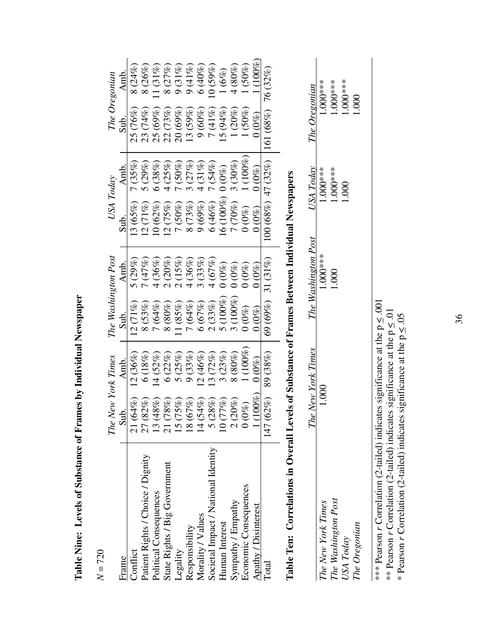|                                                                                                | The New York Times                                                    |               | The Washington Post |                              | USA Today            |            |              | The Oregonian |
|------------------------------------------------------------------------------------------------|-----------------------------------------------------------------------|---------------|---------------------|------------------------------|----------------------|------------|--------------|---------------|
| Frame                                                                                          | Sub.                                                                  | Amb.          | Sub.                | Amb.                         | Sub.                 | Amb.       | Sub.         | Amb.          |
| Conflict                                                                                       | $(64\%)$<br>$\overline{\mathcal{C}}$                                  | $12.036\%$    | $12(71\%)$          | $5(29\%)$                    | $13(65\%$            | $7(35\%)$  | 25 (76%)     | 8(24%)        |
| Patient Rights / Choice / Dignity                                                              | 27 (82%)                                                              | 6(18%)        | $8(53\%)$           | 7(47%)                       | $12(71\%)$           | $5(29\%)$  | 23 (74%)     | 8 (26%)       |
| Political Consequences                                                                         | $(48\%)$<br>13                                                        | 14(52%)       | 7(64%               | $4(36\%)$                    | 10(62%)              | $6 (38\%)$ | 25 (69%)     | $1(31\%)$     |
| State Rights / Big Government                                                                  | $\begin{array}{c} 21\ (78\%) \\ 15\ (75\%) \\ 18\ (67\%) \end{array}$ | 6(22%)        | $8\,(80\%)$         | 2(20%)                       | 12(75%)              | $4(25\%)$  | (73%)<br>22( | 8(27%)        |
| Legality                                                                                       |                                                                       | 5(25%)        | 1(85%)              | $(15\%)$<br>$\tilde{\Omega}$ | 7(50%)               | $7(50\%)$  | 20(69%       | 9(31%)        |
| Responsibility                                                                                 |                                                                       | 9(33%)        | 7(64%)              | $4(36\%)$                    | 8(73%)               | 3(27%)     | $13(59\%)$   | 9(41%)        |
| Morality / Values                                                                              | 14 (54%)                                                              | (2(46%)       | 6(67%)              | 3(33%)                       | 9(69%)               | $4(31\%)$  | 9(60%)       | 6(40%)        |
| Societal Impact / National Identity                                                            | (28%)                                                                 | (3(72%)       | 2(33%)              | 4(67%)                       | 6(46%)               | 7(54%)     | 7(41%)       | $(59\%)$      |
| Human Interest                                                                                 | (77%)                                                                 | 3(23%)        | $(100\%)$<br>ດ້     | $0\,(0\%)$                   | 16(100%)             | $0\ (0\%)$ | 15(94%)      | $(6\%)$       |
| Sympathy / Empathy                                                                             | $(20\%)$                                                              | 8(80%)        |                     | $0\,(0\%)$                   | (70%)<br>Ē           | 3(30%)     | $(20\%)$     | $4\, (80\%)$  |
| Economic Consequences                                                                          | $(0\%)$                                                               | $1\, (100\%)$ | $0\ (0\%)$          | $0\ (0\%)$                   | $0\,(0\%)$           | $1(100\%)$ | $(50\%)$     | $(50\%)$      |
| Apathy / Disinterest                                                                           | $(100\%)$                                                             | $0.0\%$       | $0\,(0\%)$          | $0.0\%$                      | $0\,0\%$             | $0.0\%$    | $0\,(0\%)$   | $(100\%)$     |
| Total                                                                                          | 147 (62%)                                                             | 89 (38%)      | 69 (69%)            | $31\, (31\%)$                | $100(68\%) 47(32\%)$ |            | 161(68%)     | 76 (32%)      |
| Toble Ten: Correlations in Overall Levels of Substance of Frames Retween Individual Newspapers |                                                                       |               |                     |                              |                      |            |              |               |

**Table Ten: Correlations in Overall Levels of Substance of Frames Between Individual Newspapers**  Table Ten: Correlations in Overall Levels of Substance of Frames Between Individual Newspapers

|                     | e New York Times<br>$\mathbb{Z}^n$ | The Washington Post | <b>JSA Today</b> | The Oregonian |
|---------------------|------------------------------------|---------------------|------------------|---------------|
| The New York Times  | 800                                | 8888                | $1.000***$       | 88.88         |
| The Washington Post |                                    | 800                 | $-000$           | 000.          |
| USA Today           |                                    |                     | 800              | 5.8           |
| The Oregonian       |                                    |                     |                  | 800           |
|                     |                                    |                     |                  |               |

\*\*\* Pearson *r* Correlation (2-tailed) indicates significance at the  $p \leq .001$ <br>\*\* Pearson *r* Correlation (2-tailed) indicates significance at the  $p \leq .01$ <br>\* Pearson *r* Correlation (2-tailed) indicates significance at \*\*\* Pearson *r* Correlation (2-tailed) indicates significance at the  $p \leq .001$ \*\* Pearson *r* Correlation (2-tailed) indicates significance at the  $p \leq 0.01$ 

\* Pearson *r* Correlation (2-tailed) indicates significance at the  $p \leq .05$ 

Table Nine: Levels of Substance of Frames by Individual Newspaper **Table Nine: Levels of Substance of Frames by Individual Newspaper**

 $N = 720$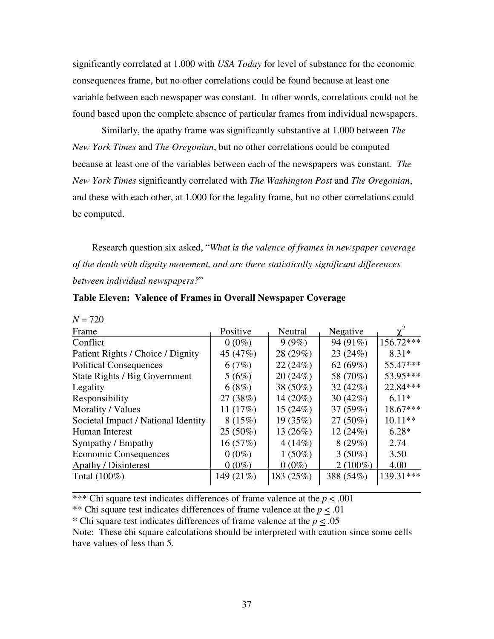significantly correlated at 1.000 with *USA Today* for level of substance for the economic consequences frame, but no other correlations could be found because at least one variable between each newspaper was constant. In other words, correlations could not be found based upon the complete absence of particular frames from individual newspapers.

Similarly, the apathy frame was significantly substantive at 1.000 between *The New York Times* and *The Oregonian*, but no other correlations could be computed because at least one of the variables between each of the newspapers was constant. *The New York Times* significantly correlated with *The Washington Post* and *The Oregonian*, and these with each other, at 1.000 for the legality frame, but no other correlations could be computed.

Research question six asked, "*What is the valence of frames in newspaper coverage of the death with dignity movement, and are there statistically significant differences between individual newspapers?*"

| Frame                               | Positive  | Neutral     | Negative    |            |
|-------------------------------------|-----------|-------------|-------------|------------|
| Conflict                            | $0(0\%)$  | 9(9%)       | 94 (91%)    | 156.72***  |
| Patient Rights / Choice / Dignity   | 45 (47%)  | 28 (29%)    | 23(24%)     | $8.31*$    |
| <b>Political Consequences</b>       | 6(7%)     | 22(24%)     | 62 $(69%)$  | 55.47***   |
| State Rights / Big Government       | 5(6%)     | 20(24%)     | 58 (70%)    | 53.95***   |
| Legality                            | 6(8%)     | 38 (50%)    | 32(42%)     | 22.84***   |
| Responsibility                      | 27 (38%)  | 14 $(20\%)$ | 30 $(42\%)$ | $6.11*$    |
| Morality / Values                   | 11(17%)   | 15(24%)     | 37 (59%)    | $18.67***$ |
| Societal Impact / National Identity | 8(15%)    | 19(35%)     | $27(50\%)$  | $10.11**$  |
| Human Interest                      | 25 (50%)  | 13(26%)     | 12(24%)     | $6.28*$    |
| Sympathy / Empathy                  | 16 (57%)  | 4(14%)      | 8(29%)      | 2.74       |
| <b>Economic Consequences</b>        | $0(0\%)$  | $1(50\%)$   | $3(50\%)$   | 3.50       |
| <b>Apathy / Disinterest</b>         | $0(0\%)$  | $0(0\%)$    | $2(100\%)$  | 4.00       |
| Total $(100\%)$                     | 149 (21%) | 183 (25%)   | 388 (54%)   | 139.31***  |
|                                     |           |             |             |            |

 $N = 720$ 

\*\*\* Chi square test indicates differences of frame valence at the  $p \leq .001$ 

\*\* Chi square test indicates differences of frame valence at the  $p \leq .01$ 

\* Chi square test indicates differences of frame valence at the *p* < .05

Note: These chi square calculations should be interpreted with caution since some cells have values of less than 5.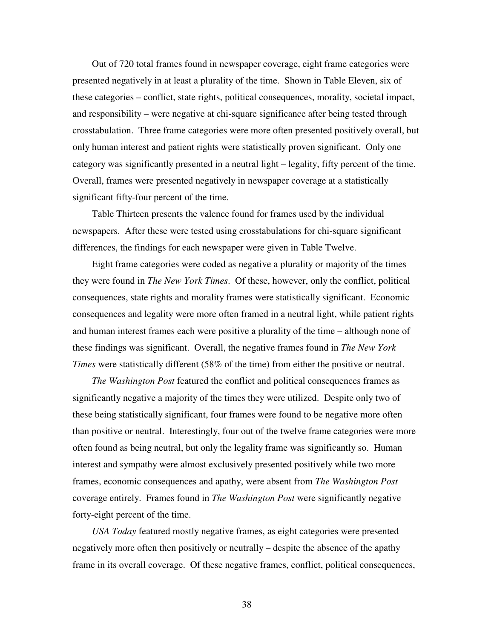Out of 720 total frames found in newspaper coverage, eight frame categories were presented negatively in at least a plurality of the time. Shown in Table Eleven, six of these categories – conflict, state rights, political consequences, morality, societal impact, and responsibility – were negative at chi-square significance after being tested through crosstabulation. Three frame categories were more often presented positively overall, but only human interest and patient rights were statistically proven significant. Only one category was significantly presented in a neutral light – legality, fifty percent of the time. Overall, frames were presented negatively in newspaper coverage at a statistically significant fifty-four percent of the time.

Table Thirteen presents the valence found for frames used by the individual newspapers. After these were tested using crosstabulations for chi-square significant differences, the findings for each newspaper were given in Table Twelve.

Eight frame categories were coded as negative a plurality or majority of the times they were found in *The New York Times*. Of these, however, only the conflict, political consequences, state rights and morality frames were statistically significant. Economic consequences and legality were more often framed in a neutral light, while patient rights and human interest frames each were positive a plurality of the time – although none of these findings was significant. Overall, the negative frames found in *The New York Times* were statistically different (58% of the time) from either the positive or neutral.

*The Washington Post* featured the conflict and political consequences frames as significantly negative a majority of the times they were utilized. Despite only two of these being statistically significant, four frames were found to be negative more often than positive or neutral. Interestingly, four out of the twelve frame categories were more often found as being neutral, but only the legality frame was significantly so. Human interest and sympathy were almost exclusively presented positively while two more frames, economic consequences and apathy, were absent from *The Washington Post* coverage entirely. Frames found in *The Washington Post* were significantly negative forty-eight percent of the time.

*USA Today* featured mostly negative frames, as eight categories were presented negatively more often then positively or neutrally – despite the absence of the apathy frame in its overall coverage. Of these negative frames, conflict, political consequences,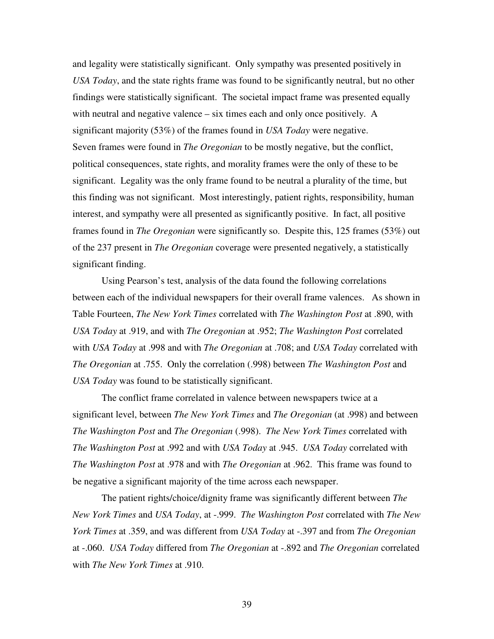and legality were statistically significant. Only sympathy was presented positively in *USA Today*, and the state rights frame was found to be significantly neutral, but no other findings were statistically significant. The societal impact frame was presented equally with neutral and negative valence – six times each and only once positively. A significant majority (53%) of the frames found in *USA Today* were negative. Seven frames were found in *The Oregonian* to be mostly negative, but the conflict, political consequences, state rights, and morality frames were the only of these to be significant. Legality was the only frame found to be neutral a plurality of the time, but this finding was not significant. Most interestingly, patient rights, responsibility, human interest, and sympathy were all presented as significantly positive. In fact, all positive frames found in *The Oregonian* were significantly so. Despite this, 125 frames (53%) out of the 237 present in *The Oregonian* coverage were presented negatively, a statistically significant finding.

Using Pearson's test, analysis of the data found the following correlations between each of the individual newspapers for their overall frame valences. As shown in Table Fourteen, *The New York Times* correlated with *The Washington Post* at .890, with *USA Today* at .919, and with *The Oregonian* at .952; *The Washington Post* correlated with *USA Today* at .998 and with *The Oregonian* at .708; and *USA Today* correlated with *The Oregonian* at .755. Only the correlation (.998) between *The Washington Post* and *USA Today* was found to be statistically significant.

The conflict frame correlated in valence between newspapers twice at a significant level, between *The New York Times* and *The Oregonian* (at .998) and between *The Washington Post* and *The Oregonian* (.998). *The New York Times* correlated with *The Washington Post* at .992 and with *USA Today* at .945. *USA Today* correlated with *The Washington Post* at .978 and with *The Oregonian* at .962. This frame was found to be negative a significant majority of the time across each newspaper.

The patient rights/choice/dignity frame was significantly different between *The New York Times* and *USA Today*, at -.999. *The Washington Post* correlated with *The New York Times* at .359, and was different from *USA Today* at -.397 and from *The Oregonian* at -.060. *USA Today* differed from *The Oregonian* at -.892 and *The Oregonian* correlated with *The New York Times* at .910.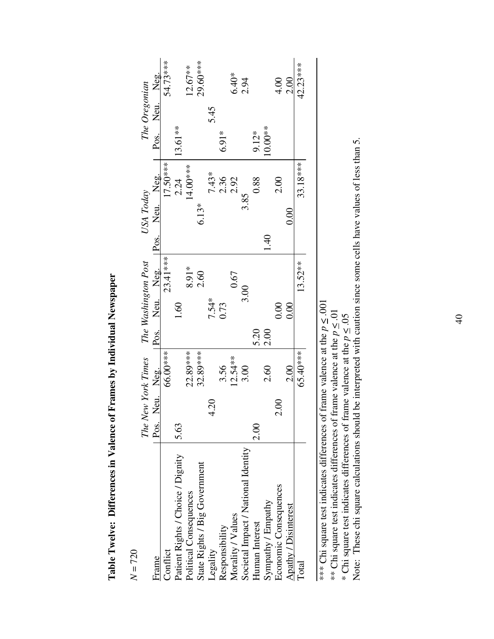| Pos. |      |            |                                 |       |          |                                               |         |         |                                                                                           |                                         |
|------|------|------------|---------------------------------|-------|----------|-----------------------------------------------|---------|---------|-------------------------------------------------------------------------------------------|-----------------------------------------|
|      |      | 66.00***   |                                 |       | 23.41*** |                                               |         |         |                                                                                           | 54.73***                                |
| 5.63 |      |            |                                 | 1.60  |          |                                               |         |         | 13.61**                                                                                   |                                         |
|      |      | 22.89***   |                                 |       | 8.91*    |                                               |         |         |                                                                                           | $12.67**$                               |
|      |      | 32.89***   |                                 |       | 2.60     |                                               | $6.13*$ |         |                                                                                           | 29.60***                                |
|      | 4.20 |            |                                 | 7.54* |          |                                               |         | $7.43*$ |                                                                                           |                                         |
|      |      | 3.56       |                                 | 0.73  |          |                                               |         |         | $6.91*$                                                                                   |                                         |
|      |      | $12.54**$  |                                 |       | 0.67     |                                               |         | 2.92    |                                                                                           | $6.40*$                                 |
|      |      | 3.00       |                                 |       |          |                                               |         |         |                                                                                           | 2.94                                    |
| 2.00 |      |            | 5.20                            |       |          |                                               |         | 0.88    | $9.12*$                                                                                   |                                         |
|      |      | 2.60       | 2.00                            |       |          | $\frac{40}{1}$                                |         |         | $10.00**$                                                                                 |                                         |
|      | 2.00 |            |                                 | 0.00  |          |                                               |         | 2.00    |                                                                                           | 4.00                                    |
|      |      | 2.00       |                                 | 0.00  |          |                                               | 0.00    |         |                                                                                           | 2.00                                    |
|      |      | $65.40***$ |                                 |       | 13.52**  |                                               |         |         |                                                                                           | 42.23***                                |
|      |      |            |                                 |       |          |                                               |         |         |                                                                                           |                                         |
|      |      |            | The New York Times<br>Neu. Neg. |       |          | Pos. Neu. Neg.<br>The Washington Post<br>3.00 |         |         | $17.50***$<br>33.18***<br>14.00***<br>2.24<br>Pos. Neu. Neg.<br>2.36<br>USA Today<br>3.85 | Pos. Neu. Neg.<br>The Oregonian<br>5.45 |

Table Twelve: Differences in Valence of Frames by Individual Newspaper **Table Twelve: Differences in Valence of Frames by Individual Newspaper**

 $N = 720$ 

\*\*\* Chi square test indicates differences of frame valence at the  $p \leq .001$ \*\*\* Chi square test indicates differences of frame valence at the  $p \leq .001$ 

\*\* Chi square test indicates differences of frame valence at the  $p \leq 0.01$ 

\* Chi square test indicates differences of frame valence at the *p* < .05

\*\* Chi square test indicates differences of frame valence at the  $\bar{p} \leq .01$ <br>\* Chi square test indicates differences of frame valence at the  $p \leq .05$ <br>Note: These chi square calculations should be interpreted with cauti Note: These chi square calculations should be interpreted with caution since some cells have values of less than 5.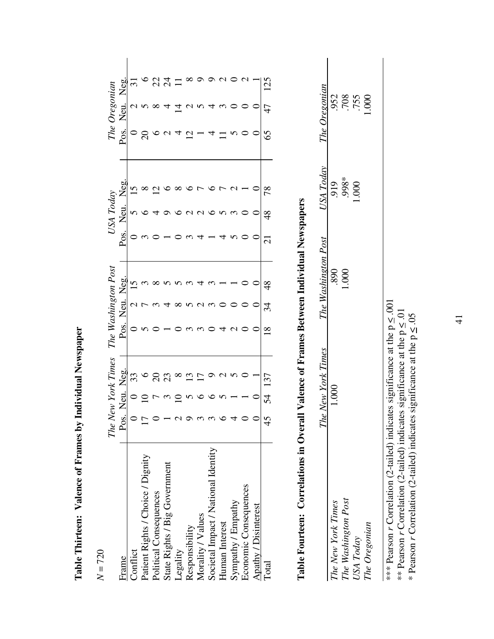|                                     | The $\Lambda$ |                      |     |               | asnington Pos |      |                    |    | The $\,$ | regonia |     |  |
|-------------------------------------|---------------|----------------------|-----|---------------|---------------|------|--------------------|----|----------|---------|-----|--|
| Frame                               | Pos           |                      | Pos | Jep           |               | Pos. | $\bar{\mathsf{X}}$ | Ř  | Pos.     | Neu     | χeα |  |
| Conflict                            |               |                      |     |               |               |      |                    |    |          |         |     |  |
| Patient Rights / Choice / Dignity   | ↖             |                      |     |               |               |      |                    |    |          |         |     |  |
| Political Consequences              |               |                      |     |               |               |      |                    |    |          |         |     |  |
| State Rights / Big Government       |               | $\mathbb{S}^2$       |     |               |               |      |                    |    |          |         | ट्र |  |
| Legality                            |               |                      |     |               |               |      |                    |    |          |         |     |  |
| Responsibility                      |               |                      |     | $\mathcal{L}$ |               |      |                    |    | 12       |         |     |  |
| Morality / Values                   |               |                      |     |               |               |      |                    |    |          |         |     |  |
| Societal Impact / National Identity |               |                      |     |               |               |      |                    |    |          |         |     |  |
| Human Interest                      |               |                      |     |               |               |      |                    |    |          |         |     |  |
| Sympathy / Empathy                  |               |                      |     |               |               |      |                    |    |          |         |     |  |
| Economic Consequences               |               |                      |     |               |               |      |                    |    |          |         |     |  |
| Apathy / Disinterest                |               |                      |     |               |               |      |                    |    |          |         |     |  |
| <b>Total</b>                        | 42            | $\tilde{\mathbf{r}}$ |     |               |               |      |                    | 78 | 65       |         |     |  |
|                                     |               |                      |     |               |               |      |                    |    |          |         |     |  |

Table Thirteen: Valence of Frames by Individual Newspaper **Table Thirteen: Valence of Frames by Individual Newspaper**

# $N = 720$

# Table Fourteen: Correlations in Overall Valence of Frames Between Individual Newspapers **Table Fourteen: Correlations in Overall Valence of Frames Between Individual Newspapers**

|                                  | e New York Time<br>$\vec{\Gamma}$ h | Nashington | <b>JSA</b> Today  | Oregonian<br>ne C |  |
|----------------------------------|-------------------------------------|------------|-------------------|-------------------|--|
| The New York Times               |                                     | 890        |                   | 952               |  |
|                                  |                                     | 500        | $.919$<br>$.998*$ | 708               |  |
| The Washington Post<br>USA Today |                                     |            | 000.1             | .755              |  |
| The Oregonian                    |                                     |            |                   | 1.00C             |  |
|                                  |                                     |            |                   |                   |  |
|                                  |                                     |            |                   |                   |  |

\*\*\* Pearson *r* Correlation (2-tailed) indicates significance at the  $p \leq .001$ \*\*\* Pearson *r* Correlation (2-tailed) indicates significance at the  $p \le .001$ <br>\*\* Pearson *r* Correlation (2-tailed) indicates significance at the  $p \le .01$ <br>\* Pearson *r* Correlation (2-tailed) indicates significance at th \*\* Pearson *r* Correlation (2-tailed) indicates significance at the  $p \leq 0.01$ 

\* Pearson *r* Correlation (2-tailed) indicates significance at the  $p \leq .05$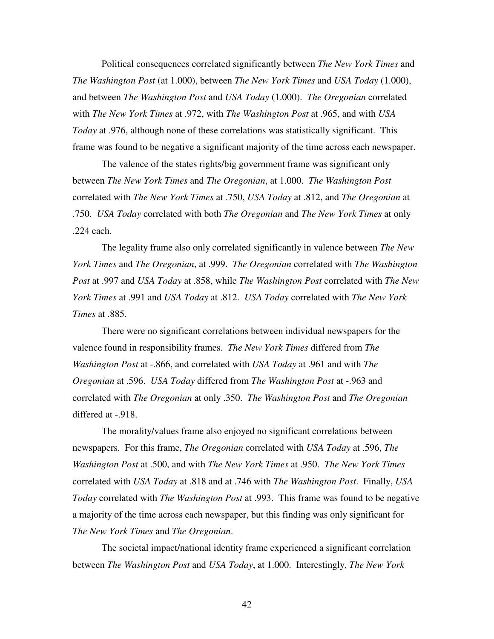Political consequences correlated significantly between *The New York Times* and *The Washington Post* (at 1.000), between *The New York Times* and *USA Today* (1.000), and between *The Washington Post* and *USA Today* (1.000). *The Oregonian* correlated with *The New York Times* at .972, with *The Washington Post* at .965, and with *USA Today* at .976, although none of these correlations was statistically significant. This frame was found to be negative a significant majority of the time across each newspaper.

The valence of the states rights/big government frame was significant only between *The New York Times* and *The Oregonian*, at 1.000. *The Washington Post* correlated with *The New York Times* at .750, *USA Today* at .812, and *The Oregonian* at .750. *USA Today* correlated with both *The Oregonian* and *The New York Times* at only .224 each.

The legality frame also only correlated significantly in valence between *The New York Times* and *The Oregonian*, at .999. *The Oregonian* correlated with *The Washington Post* at .997 and *USA Today* at .858, while *The Washington Post* correlated with *The New York Times* at .991 and *USA Today* at .812. *USA Today* correlated with *The New York Times* at .885.

There were no significant correlations between individual newspapers for the valence found in responsibility frames. *The New York Times* differed from *The Washington Post* at -.866, and correlated with *USA Today* at .961 and with *The Oregonian* at .596. *USA Today* differed from *The Washington Post* at -.963 and correlated with *The Oregonian* at only .350. *The Washington Post* and *The Oregonian* differed at -.918.

The morality/values frame also enjoyed no significant correlations between newspapers. For this frame, *The Oregonian* correlated with *USA Today* at .596, *The Washington Post* at .500, and with *The New York Times* at .950. *The New York Times*  correlated with *USA Today* at .818 and at .746 with *The Washington Post*. Finally, *USA Today* correlated with *The Washington Post* at .993. This frame was found to be negative a majority of the time across each newspaper, but this finding was only significant for *The New York Times* and *The Oregonian*.

The societal impact/national identity frame experienced a significant correlation between *The Washington Post* and *USA Today*, at 1.000. Interestingly, *The New York*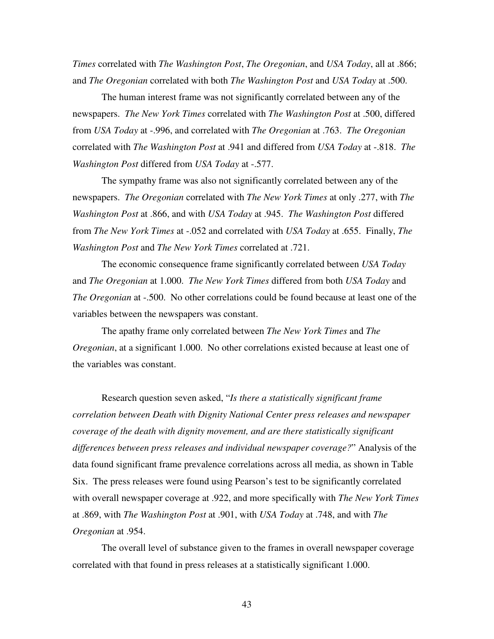*Times* correlated with *The Washington Post*, *The Oregonian*, and *USA Today*, all at .866; and *The Oregonian* correlated with both *The Washington Post* and *USA Today* at .500.

The human interest frame was not significantly correlated between any of the newspapers. *The New York Times* correlated with *The Washington Post* at .500, differed from *USA Today* at -.996, and correlated with *The Oregonian* at .763. *The Oregonian* correlated with *The Washington Post* at .941 and differed from *USA Today* at -.818. *The Washington Post* differed from *USA Today* at -.577.

The sympathy frame was also not significantly correlated between any of the newspapers. *The Oregonian* correlated with *The New York Times* at only .277, with *The Washington Post* at .866, and with *USA Today* at .945. *The Washington Post* differed from *The New York Times* at -.052 and correlated with *USA Today* at .655. Finally, *The Washington Post* and *The New York Times* correlated at .721.

The economic consequence frame significantly correlated between *USA Today*  and *The Oregonian* at 1.000. *The New York Times* differed from both *USA Today* and *The Oregonian* at -.500. No other correlations could be found because at least one of the variables between the newspapers was constant.

The apathy frame only correlated between *The New York Times* and *The Oregonian*, at a significant 1.000. No other correlations existed because at least one of the variables was constant.

Research question seven asked, "*Is there a statistically significant frame correlation between Death with Dignity National Center press releases and newspaper coverage of the death with dignity movement, and are there statistically significant differences between press releases and individual newspaper coverage?*" Analysis of the data found significant frame prevalence correlations across all media, as shown in Table Six. The press releases were found using Pearson's test to be significantly correlated with overall newspaper coverage at .922, and more specifically with *The New York Times* at .869, with *The Washington Post* at .901, with *USA Today* at .748, and with *The Oregonian* at .954.

The overall level of substance given to the frames in overall newspaper coverage correlated with that found in press releases at a statistically significant 1.000.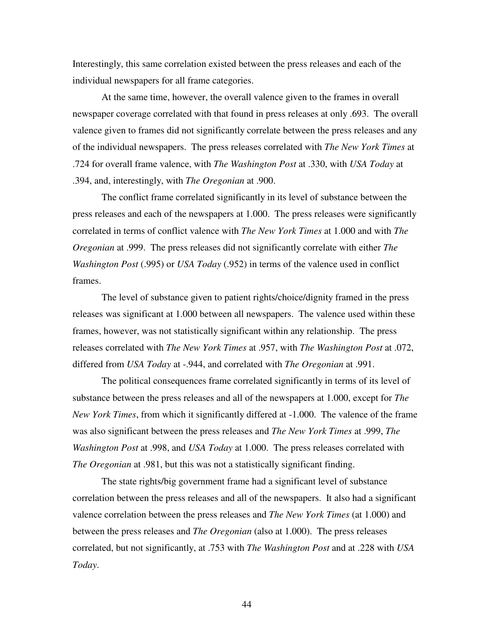Interestingly, this same correlation existed between the press releases and each of the individual newspapers for all frame categories.

At the same time, however, the overall valence given to the frames in overall newspaper coverage correlated with that found in press releases at only .693. The overall valence given to frames did not significantly correlate between the press releases and any of the individual newspapers. The press releases correlated with *The New York Times* at .724 for overall frame valence, with *The Washington Post* at .330, with *USA Today* at .394, and, interestingly, with *The Oregonian* at .900.

The conflict frame correlated significantly in its level of substance between the press releases and each of the newspapers at 1.000. The press releases were significantly correlated in terms of conflict valence with *The New York Times* at 1.000 and with *The Oregonian* at .999. The press releases did not significantly correlate with either *The Washington Post* (.995) or *USA Today* (.952) in terms of the valence used in conflict frames.

The level of substance given to patient rights/choice/dignity framed in the press releases was significant at 1.000 between all newspapers. The valence used within these frames, however, was not statistically significant within any relationship. The press releases correlated with *The New York Times* at .957, with *The Washington Post* at .072, differed from *USA Today* at -.944, and correlated with *The Oregonian* at .991.

The political consequences frame correlated significantly in terms of its level of substance between the press releases and all of the newspapers at 1.000, except for *The New York Times*, from which it significantly differed at -1.000. The valence of the frame was also significant between the press releases and *The New York Times* at .999, *The Washington Post* at .998, and *USA Today* at 1.000. The press releases correlated with *The Oregonian* at .981, but this was not a statistically significant finding.

The state rights/big government frame had a significant level of substance correlation between the press releases and all of the newspapers. It also had a significant valence correlation between the press releases and *The New York Times* (at 1.000) and between the press releases and *The Oregonian* (also at 1.000). The press releases correlated, but not significantly, at .753 with *The Washington Post* and at .228 with *USA Today*.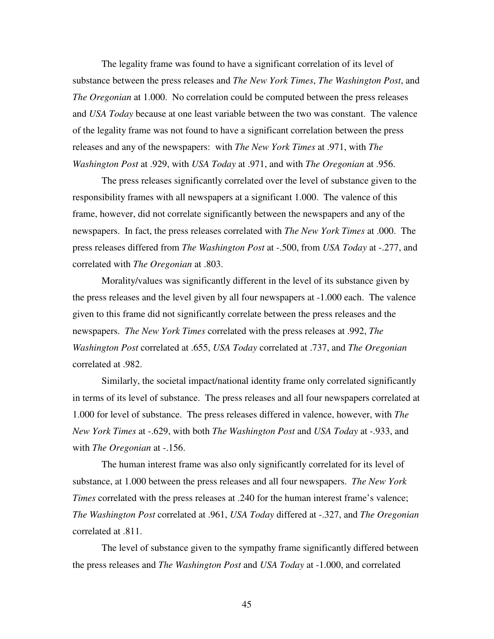The legality frame was found to have a significant correlation of its level of substance between the press releases and *The New York Times*, *The Washington Post*, and *The Oregonian* at 1.000. No correlation could be computed between the press releases and *USA Today* because at one least variable between the two was constant. The valence of the legality frame was not found to have a significant correlation between the press releases and any of the newspapers: with *The New York Times* at .971, with *The Washington Post* at .929, with *USA Today* at .971, and with *The Oregonian* at .956.

The press releases significantly correlated over the level of substance given to the responsibility frames with all newspapers at a significant 1.000. The valence of this frame, however, did not correlate significantly between the newspapers and any of the newspapers. In fact, the press releases correlated with *The New York Times* at .000. The press releases differed from *The Washington Post* at -.500, from *USA Today* at -.277, and correlated with *The Oregonian* at .803.

Morality/values was significantly different in the level of its substance given by the press releases and the level given by all four newspapers at -1.000 each. The valence given to this frame did not significantly correlate between the press releases and the newspapers. *The New York Times* correlated with the press releases at .992, *The Washington Post* correlated at .655, *USA Today* correlated at .737, and *The Oregonian* correlated at .982.

Similarly, the societal impact/national identity frame only correlated significantly in terms of its level of substance. The press releases and all four newspapers correlated at 1.000 for level of substance. The press releases differed in valence, however, with *The New York Times* at -.629, with both *The Washington Post* and *USA Today* at -.933, and with *The Oregonian* at -.156.

The human interest frame was also only significantly correlated for its level of substance, at 1.000 between the press releases and all four newspapers. *The New York Times* correlated with the press releases at .240 for the human interest frame's valence; *The Washington Post* correlated at .961, *USA Today* differed at -.327, and *The Oregonian* correlated at .811.

The level of substance given to the sympathy frame significantly differed between the press releases and *The Washington Post* and *USA Today* at -1.000, and correlated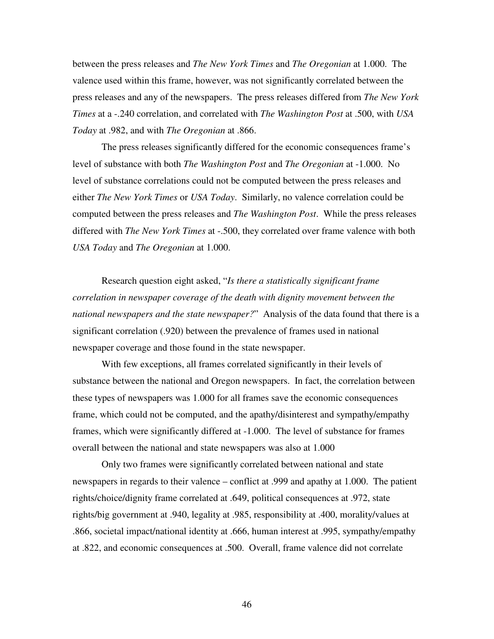between the press releases and *The New York Times* and *The Oregonian* at 1.000. The valence used within this frame, however, was not significantly correlated between the press releases and any of the newspapers. The press releases differed from *The New York Times* at a -.240 correlation, and correlated with *The Washington Post* at .500, with *USA Today* at .982, and with *The Oregonian* at .866.

The press releases significantly differed for the economic consequences frame's level of substance with both *The Washington Post* and *The Oregonian* at -1.000. No level of substance correlations could not be computed between the press releases and either *The New York Times* or *USA Today*. Similarly, no valence correlation could be computed between the press releases and *The Washington Post*. While the press releases differed with *The New York Times* at -.500, they correlated over frame valence with both *USA Today* and *The Oregonian* at 1.000.

Research question eight asked, "*Is there a statistically significant frame correlation in newspaper coverage of the death with dignity movement between the national newspapers and the state newspaper?*" Analysis of the data found that there is a significant correlation (.920) between the prevalence of frames used in national newspaper coverage and those found in the state newspaper.

With few exceptions, all frames correlated significantly in their levels of substance between the national and Oregon newspapers. In fact, the correlation between these types of newspapers was 1.000 for all frames save the economic consequences frame, which could not be computed, and the apathy/disinterest and sympathy/empathy frames, which were significantly differed at -1.000. The level of substance for frames overall between the national and state newspapers was also at 1.000

Only two frames were significantly correlated between national and state newspapers in regards to their valence – conflict at .999 and apathy at 1.000. The patient rights/choice/dignity frame correlated at .649, political consequences at .972, state rights/big government at .940, legality at .985, responsibility at .400, morality/values at .866, societal impact/national identity at .666, human interest at .995, sympathy/empathy at .822, and economic consequences at .500. Overall, frame valence did not correlate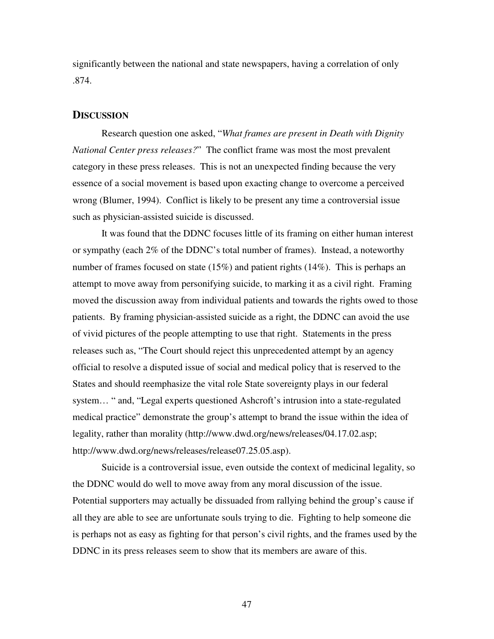significantly between the national and state newspapers, having a correlation of only .874.

# **DISCUSSION**

Research question one asked, "*What frames are present in Death with Dignity National Center press releases?*" The conflict frame was most the most prevalent category in these press releases. This is not an unexpected finding because the very essence of a social movement is based upon exacting change to overcome a perceived wrong (Blumer, 1994). Conflict is likely to be present any time a controversial issue such as physician-assisted suicide is discussed.

It was found that the DDNC focuses little of its framing on either human interest or sympathy (each 2% of the DDNC's total number of frames). Instead, a noteworthy number of frames focused on state (15%) and patient rights (14%). This is perhaps an attempt to move away from personifying suicide, to marking it as a civil right. Framing moved the discussion away from individual patients and towards the rights owed to those patients. By framing physician-assisted suicide as a right, the DDNC can avoid the use of vivid pictures of the people attempting to use that right. Statements in the press releases such as, "The Court should reject this unprecedented attempt by an agency official to resolve a disputed issue of social and medical policy that is reserved to the States and should reemphasize the vital role State sovereignty plays in our federal system… " and, "Legal experts questioned Ashcroft's intrusion into a state-regulated medical practice" demonstrate the group's attempt to brand the issue within the idea of legality, rather than morality (http://www.dwd.org/news/releases/04.17.02.asp; http://www.dwd.org/news/releases/release07.25.05.asp).

Suicide is a controversial issue, even outside the context of medicinal legality, so the DDNC would do well to move away from any moral discussion of the issue. Potential supporters may actually be dissuaded from rallying behind the group's cause if all they are able to see are unfortunate souls trying to die. Fighting to help someone die is perhaps not as easy as fighting for that person's civil rights, and the frames used by the DDNC in its press releases seem to show that its members are aware of this.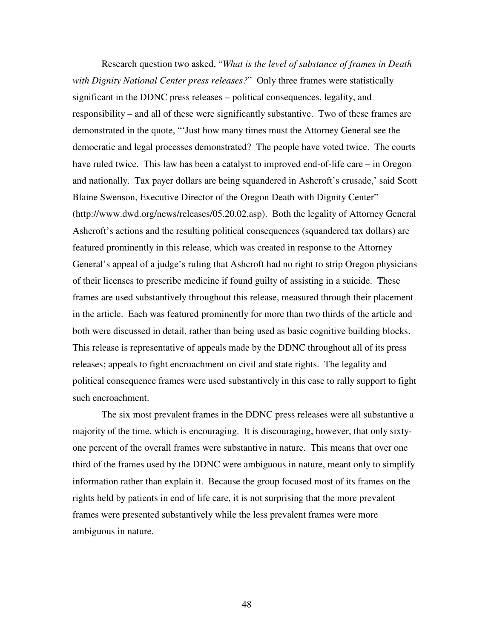Research question two asked, "*What is the level of substance of frames in Death with Dignity National Center press releases?*" Only three frames were statistically significant in the DDNC press releases – political consequences, legality, and responsibility – and all of these were significantly substantive. Two of these frames are demonstrated in the quote, "'Just how many times must the Attorney General see the democratic and legal processes demonstrated? The people have voted twice. The courts have ruled twice. This law has been a catalyst to improved end-of-life care – in Oregon and nationally. Tax payer dollars are being squandered in Ashcroft's crusade,' said Scott Blaine Swenson, Executive Director of the Oregon Death with Dignity Center" (http://www.dwd.org/news/releases/05.20.02.asp). Both the legality of Attorney General Ashcroft's actions and the resulting political consequences (squandered tax dollars) are featured prominently in this release, which was created in response to the Attorney General's appeal of a judge's ruling that Ashcroft had no right to strip Oregon physicians of their licenses to prescribe medicine if found guilty of assisting in a suicide. These frames are used substantively throughout this release, measured through their placement in the article. Each was featured prominently for more than two thirds of the article and both were discussed in detail, rather than being used as basic cognitive building blocks. This release is representative of appeals made by the DDNC throughout all of its press releases; appeals to fight encroachment on civil and state rights. The legality and political consequence frames were used substantively in this case to rally support to fight such encroachment.

The six most prevalent frames in the DDNC press releases were all substantive a majority of the time, which is encouraging. It is discouraging, however, that only sixtyone percent of the overall frames were substantive in nature. This means that over one third of the frames used by the DDNC were ambiguous in nature, meant only to simplify information rather than explain it. Because the group focused most of its frames on the rights held by patients in end of life care, it is not surprising that the more prevalent frames were presented substantively while the less prevalent frames were more ambiguous in nature.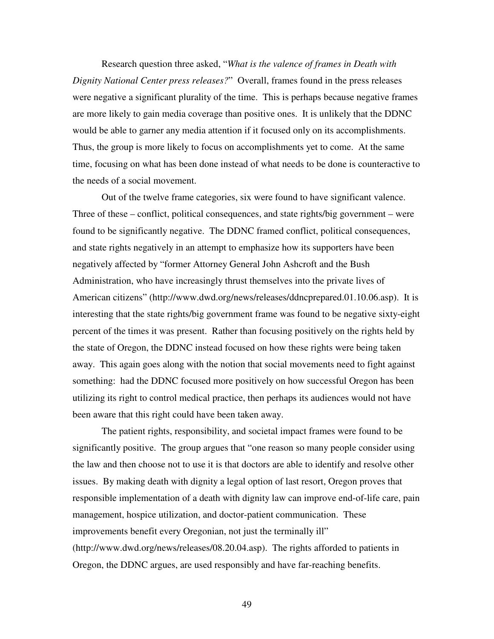Research question three asked, "*What is the valence of frames in Death with Dignity National Center press releases?*" Overall, frames found in the press releases were negative a significant plurality of the time. This is perhaps because negative frames are more likely to gain media coverage than positive ones. It is unlikely that the DDNC would be able to garner any media attention if it focused only on its accomplishments. Thus, the group is more likely to focus on accomplishments yet to come. At the same time, focusing on what has been done instead of what needs to be done is counteractive to the needs of a social movement.

Out of the twelve frame categories, six were found to have significant valence. Three of these – conflict, political consequences, and state rights/big government – were found to be significantly negative. The DDNC framed conflict, political consequences, and state rights negatively in an attempt to emphasize how its supporters have been negatively affected by "former Attorney General John Ashcroft and the Bush Administration, who have increasingly thrust themselves into the private lives of American citizens" (http://www.dwd.org/news/releases/ddncprepared.01.10.06.asp). It is interesting that the state rights/big government frame was found to be negative sixty-eight percent of the times it was present. Rather than focusing positively on the rights held by the state of Oregon, the DDNC instead focused on how these rights were being taken away. This again goes along with the notion that social movements need to fight against something: had the DDNC focused more positively on how successful Oregon has been utilizing its right to control medical practice, then perhaps its audiences would not have been aware that this right could have been taken away.

The patient rights, responsibility, and societal impact frames were found to be significantly positive. The group argues that "one reason so many people consider using the law and then choose not to use it is that doctors are able to identify and resolve other issues. By making death with dignity a legal option of last resort, Oregon proves that responsible implementation of a death with dignity law can improve end-of-life care, pain management, hospice utilization, and doctor-patient communication. These improvements benefit every Oregonian, not just the terminally ill" (http://www.dwd.org/news/releases/08.20.04.asp). The rights afforded to patients in Oregon, the DDNC argues, are used responsibly and have far-reaching benefits.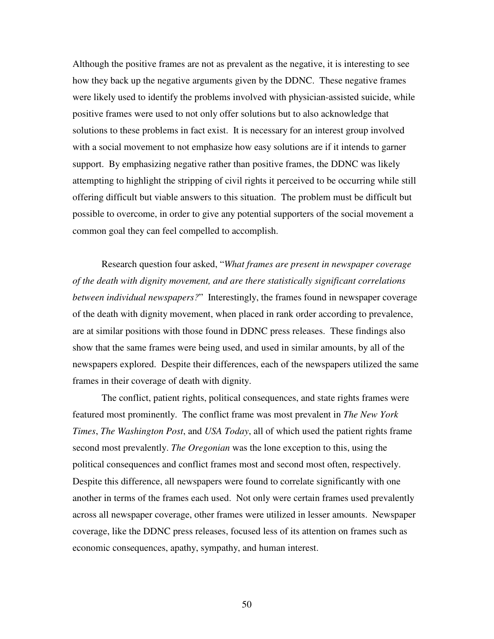Although the positive frames are not as prevalent as the negative, it is interesting to see how they back up the negative arguments given by the DDNC. These negative frames were likely used to identify the problems involved with physician-assisted suicide, while positive frames were used to not only offer solutions but to also acknowledge that solutions to these problems in fact exist. It is necessary for an interest group involved with a social movement to not emphasize how easy solutions are if it intends to garner support. By emphasizing negative rather than positive frames, the DDNC was likely attempting to highlight the stripping of civil rights it perceived to be occurring while still offering difficult but viable answers to this situation. The problem must be difficult but possible to overcome, in order to give any potential supporters of the social movement a common goal they can feel compelled to accomplish.

Research question four asked, "*What frames are present in newspaper coverage of the death with dignity movement, and are there statistically significant correlations between individual newspapers?*" Interestingly, the frames found in newspaper coverage of the death with dignity movement, when placed in rank order according to prevalence, are at similar positions with those found in DDNC press releases. These findings also show that the same frames were being used, and used in similar amounts, by all of the newspapers explored. Despite their differences, each of the newspapers utilized the same frames in their coverage of death with dignity.

The conflict, patient rights, political consequences, and state rights frames were featured most prominently. The conflict frame was most prevalent in *The New York Times*, *The Washington Post*, and *USA Today*, all of which used the patient rights frame second most prevalently. *The Oregonian* was the lone exception to this, using the political consequences and conflict frames most and second most often, respectively. Despite this difference, all newspapers were found to correlate significantly with one another in terms of the frames each used. Not only were certain frames used prevalently across all newspaper coverage, other frames were utilized in lesser amounts. Newspaper coverage, like the DDNC press releases, focused less of its attention on frames such as economic consequences, apathy, sympathy, and human interest.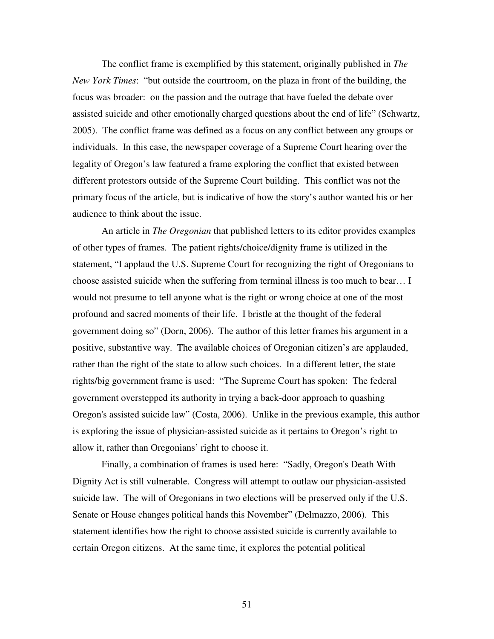The conflict frame is exemplified by this statement, originally published in *The New York Times*: "but outside the courtroom, on the plaza in front of the building, the focus was broader: on the passion and the outrage that have fueled the debate over assisted suicide and other emotionally charged questions about the end of life" (Schwartz, 2005). The conflict frame was defined as a focus on any conflict between any groups or individuals. In this case, the newspaper coverage of a Supreme Court hearing over the legality of Oregon's law featured a frame exploring the conflict that existed between different protestors outside of the Supreme Court building. This conflict was not the primary focus of the article, but is indicative of how the story's author wanted his or her audience to think about the issue.

An article in *The Oregonian* that published letters to its editor provides examples of other types of frames. The patient rights/choice/dignity frame is utilized in the statement, "I applaud the U.S. Supreme Court for recognizing the right of Oregonians to choose assisted suicide when the suffering from terminal illness is too much to bear… I would not presume to tell anyone what is the right or wrong choice at one of the most profound and sacred moments of their life. I bristle at the thought of the federal government doing so" (Dorn, 2006). The author of this letter frames his argument in a positive, substantive way. The available choices of Oregonian citizen's are applauded, rather than the right of the state to allow such choices. In a different letter, the state rights/big government frame is used: "The Supreme Court has spoken: The federal government overstepped its authority in trying a back-door approach to quashing Oregon's assisted suicide law" (Costa, 2006). Unlike in the previous example, this author is exploring the issue of physician-assisted suicide as it pertains to Oregon's right to allow it, rather than Oregonians' right to choose it.

Finally, a combination of frames is used here: "Sadly, Oregon's Death With Dignity Act is still vulnerable. Congress will attempt to outlaw our physician-assisted suicide law. The will of Oregonians in two elections will be preserved only if the U.S. Senate or House changes political hands this November" (Delmazzo, 2006). This statement identifies how the right to choose assisted suicide is currently available to certain Oregon citizens. At the same time, it explores the potential political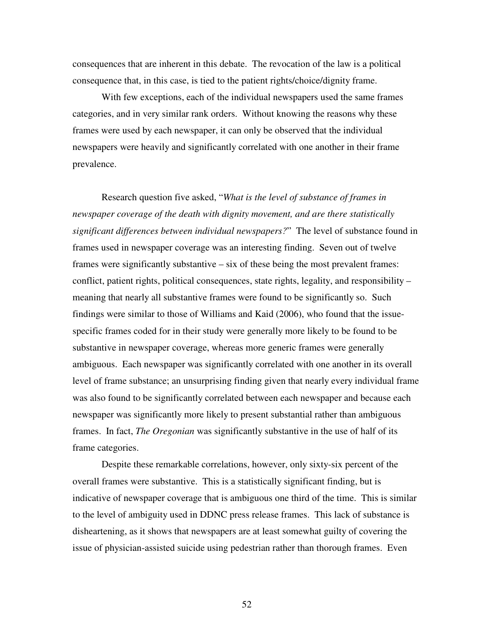consequences that are inherent in this debate. The revocation of the law is a political consequence that, in this case, is tied to the patient rights/choice/dignity frame.

With few exceptions, each of the individual newspapers used the same frames categories, and in very similar rank orders. Without knowing the reasons why these frames were used by each newspaper, it can only be observed that the individual newspapers were heavily and significantly correlated with one another in their frame prevalence.

Research question five asked, "*What is the level of substance of frames in newspaper coverage of the death with dignity movement, and are there statistically significant differences between individual newspapers?*" The level of substance found in frames used in newspaper coverage was an interesting finding. Seven out of twelve frames were significantly substantive – six of these being the most prevalent frames: conflict, patient rights, political consequences, state rights, legality, and responsibility – meaning that nearly all substantive frames were found to be significantly so. Such findings were similar to those of Williams and Kaid (2006), who found that the issuespecific frames coded for in their study were generally more likely to be found to be substantive in newspaper coverage, whereas more generic frames were generally ambiguous. Each newspaper was significantly correlated with one another in its overall level of frame substance; an unsurprising finding given that nearly every individual frame was also found to be significantly correlated between each newspaper and because each newspaper was significantly more likely to present substantial rather than ambiguous frames. In fact, *The Oregonian* was significantly substantive in the use of half of its frame categories.

Despite these remarkable correlations, however, only sixty-six percent of the overall frames were substantive. This is a statistically significant finding, but is indicative of newspaper coverage that is ambiguous one third of the time. This is similar to the level of ambiguity used in DDNC press release frames. This lack of substance is disheartening, as it shows that newspapers are at least somewhat guilty of covering the issue of physician-assisted suicide using pedestrian rather than thorough frames. Even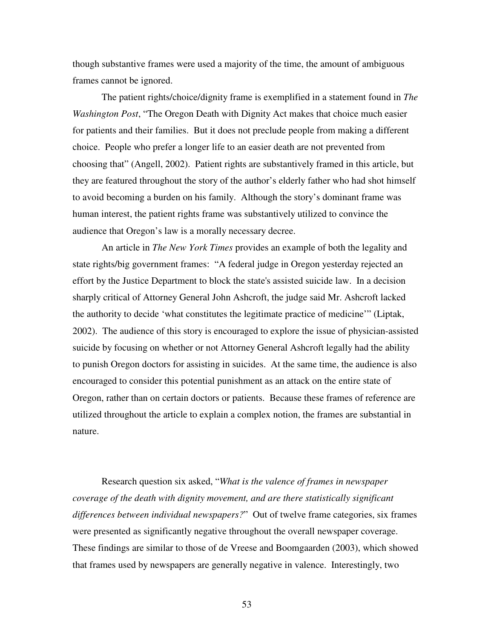though substantive frames were used a majority of the time, the amount of ambiguous frames cannot be ignored.

The patient rights/choice/dignity frame is exemplified in a statement found in *The Washington Post*, "The Oregon Death with Dignity Act makes that choice much easier for patients and their families. But it does not preclude people from making a different choice. People who prefer a longer life to an easier death are not prevented from choosing that" (Angell, 2002). Patient rights are substantively framed in this article, but they are featured throughout the story of the author's elderly father who had shot himself to avoid becoming a burden on his family. Although the story's dominant frame was human interest, the patient rights frame was substantively utilized to convince the audience that Oregon's law is a morally necessary decree.

 An article in *The New York Times* provides an example of both the legality and state rights/big government frames: "A federal judge in Oregon yesterday rejected an effort by the Justice Department to block the state's assisted suicide law. In a decision sharply critical of Attorney General John Ashcroft, the judge said Mr. Ashcroft lacked the authority to decide 'what constitutes the legitimate practice of medicine'" (Liptak, 2002). The audience of this story is encouraged to explore the issue of physician-assisted suicide by focusing on whether or not Attorney General Ashcroft legally had the ability to punish Oregon doctors for assisting in suicides. At the same time, the audience is also encouraged to consider this potential punishment as an attack on the entire state of Oregon, rather than on certain doctors or patients. Because these frames of reference are utilized throughout the article to explain a complex notion, the frames are substantial in nature.

Research question six asked, "*What is the valence of frames in newspaper coverage of the death with dignity movement, and are there statistically significant differences between individual newspapers?*" Out of twelve frame categories, six frames were presented as significantly negative throughout the overall newspaper coverage. These findings are similar to those of de Vreese and Boomgaarden (2003), which showed that frames used by newspapers are generally negative in valence. Interestingly, two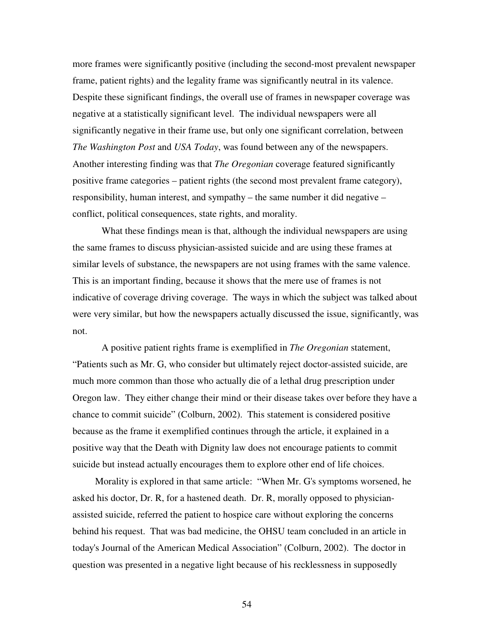more frames were significantly positive (including the second-most prevalent newspaper frame, patient rights) and the legality frame was significantly neutral in its valence. Despite these significant findings, the overall use of frames in newspaper coverage was negative at a statistically significant level. The individual newspapers were all significantly negative in their frame use, but only one significant correlation, between *The Washington Post* and *USA Today*, was found between any of the newspapers. Another interesting finding was that *The Oregonian* coverage featured significantly positive frame categories – patient rights (the second most prevalent frame category), responsibility, human interest, and sympathy – the same number it did negative – conflict, political consequences, state rights, and morality.

What these findings mean is that, although the individual newspapers are using the same frames to discuss physician-assisted suicide and are using these frames at similar levels of substance, the newspapers are not using frames with the same valence. This is an important finding, because it shows that the mere use of frames is not indicative of coverage driving coverage. The ways in which the subject was talked about were very similar, but how the newspapers actually discussed the issue, significantly, was not.

A positive patient rights frame is exemplified in *The Oregonian* statement, "Patients such as Mr. G, who consider but ultimately reject doctor-assisted suicide, are much more common than those who actually die of a lethal drug prescription under Oregon law. They either change their mind or their disease takes over before they have a chance to commit suicide" (Colburn, 2002). This statement is considered positive because as the frame it exemplified continues through the article, it explained in a positive way that the Death with Dignity law does not encourage patients to commit suicide but instead actually encourages them to explore other end of life choices.

 Morality is explored in that same article: "When Mr. G's symptoms worsened, he asked his doctor, Dr. R, for a hastened death. Dr. R, morally opposed to physicianassisted suicide, referred the patient to hospice care without exploring the concerns behind his request. That was bad medicine, the OHSU team concluded in an article in today's Journal of the American Medical Association" (Colburn, 2002). The doctor in question was presented in a negative light because of his recklessness in supposedly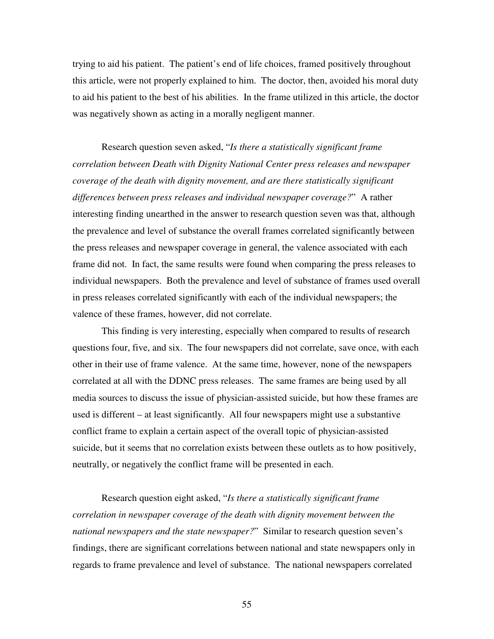trying to aid his patient. The patient's end of life choices, framed positively throughout this article, were not properly explained to him. The doctor, then, avoided his moral duty to aid his patient to the best of his abilities. In the frame utilized in this article, the doctor was negatively shown as acting in a morally negligent manner.

Research question seven asked, "*Is there a statistically significant frame correlation between Death with Dignity National Center press releases and newspaper coverage of the death with dignity movement, and are there statistically significant differences between press releases and individual newspaper coverage?*" A rather interesting finding unearthed in the answer to research question seven was that, although the prevalence and level of substance the overall frames correlated significantly between the press releases and newspaper coverage in general, the valence associated with each frame did not. In fact, the same results were found when comparing the press releases to individual newspapers. Both the prevalence and level of substance of frames used overall in press releases correlated significantly with each of the individual newspapers; the valence of these frames, however, did not correlate.

This finding is very interesting, especially when compared to results of research questions four, five, and six. The four newspapers did not correlate, save once, with each other in their use of frame valence. At the same time, however, none of the newspapers correlated at all with the DDNC press releases. The same frames are being used by all media sources to discuss the issue of physician-assisted suicide, but how these frames are used is different – at least significantly. All four newspapers might use a substantive conflict frame to explain a certain aspect of the overall topic of physician-assisted suicide, but it seems that no correlation exists between these outlets as to how positively, neutrally, or negatively the conflict frame will be presented in each.

Research question eight asked, "*Is there a statistically significant frame correlation in newspaper coverage of the death with dignity movement between the national newspapers and the state newspaper?*" Similar to research question seven's findings, there are significant correlations between national and state newspapers only in regards to frame prevalence and level of substance. The national newspapers correlated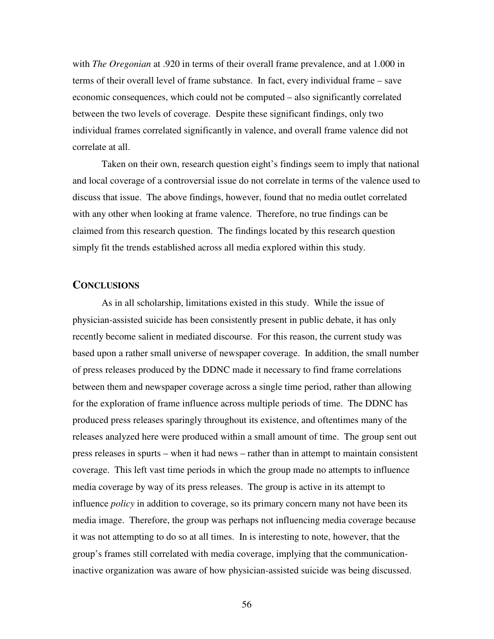with *The Oregonian* at .920 in terms of their overall frame prevalence, and at 1.000 in terms of their overall level of frame substance. In fact, every individual frame – save economic consequences, which could not be computed – also significantly correlated between the two levels of coverage. Despite these significant findings, only two individual frames correlated significantly in valence, and overall frame valence did not correlate at all.

Taken on their own, research question eight's findings seem to imply that national and local coverage of a controversial issue do not correlate in terms of the valence used to discuss that issue. The above findings, however, found that no media outlet correlated with any other when looking at frame valence. Therefore, no true findings can be claimed from this research question. The findings located by this research question simply fit the trends established across all media explored within this study.

### **CONCLUSIONS**

As in all scholarship, limitations existed in this study. While the issue of physician-assisted suicide has been consistently present in public debate, it has only recently become salient in mediated discourse. For this reason, the current study was based upon a rather small universe of newspaper coverage. In addition, the small number of press releases produced by the DDNC made it necessary to find frame correlations between them and newspaper coverage across a single time period, rather than allowing for the exploration of frame influence across multiple periods of time. The DDNC has produced press releases sparingly throughout its existence, and oftentimes many of the releases analyzed here were produced within a small amount of time. The group sent out press releases in spurts – when it had news – rather than in attempt to maintain consistent coverage. This left vast time periods in which the group made no attempts to influence media coverage by way of its press releases. The group is active in its attempt to influence *policy* in addition to coverage, so its primary concern many not have been its media image. Therefore, the group was perhaps not influencing media coverage because it was not attempting to do so at all times. In is interesting to note, however, that the group's frames still correlated with media coverage, implying that the communicationinactive organization was aware of how physician-assisted suicide was being discussed.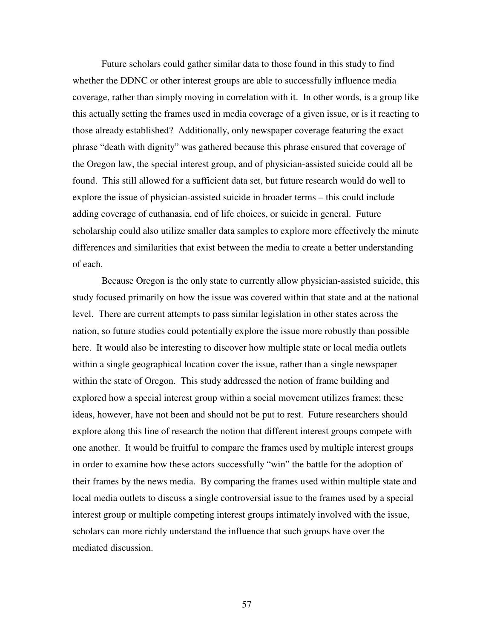Future scholars could gather similar data to those found in this study to find whether the DDNC or other interest groups are able to successfully influence media coverage, rather than simply moving in correlation with it. In other words, is a group like this actually setting the frames used in media coverage of a given issue, or is it reacting to those already established? Additionally, only newspaper coverage featuring the exact phrase "death with dignity" was gathered because this phrase ensured that coverage of the Oregon law, the special interest group, and of physician-assisted suicide could all be found. This still allowed for a sufficient data set, but future research would do well to explore the issue of physician-assisted suicide in broader terms – this could include adding coverage of euthanasia, end of life choices, or suicide in general. Future scholarship could also utilize smaller data samples to explore more effectively the minute differences and similarities that exist between the media to create a better understanding of each.

Because Oregon is the only state to currently allow physician-assisted suicide, this study focused primarily on how the issue was covered within that state and at the national level. There are current attempts to pass similar legislation in other states across the nation, so future studies could potentially explore the issue more robustly than possible here. It would also be interesting to discover how multiple state or local media outlets within a single geographical location cover the issue, rather than a single newspaper within the state of Oregon. This study addressed the notion of frame building and explored how a special interest group within a social movement utilizes frames; these ideas, however, have not been and should not be put to rest. Future researchers should explore along this line of research the notion that different interest groups compete with one another. It would be fruitful to compare the frames used by multiple interest groups in order to examine how these actors successfully "win" the battle for the adoption of their frames by the news media. By comparing the frames used within multiple state and local media outlets to discuss a single controversial issue to the frames used by a special interest group or multiple competing interest groups intimately involved with the issue, scholars can more richly understand the influence that such groups have over the mediated discussion.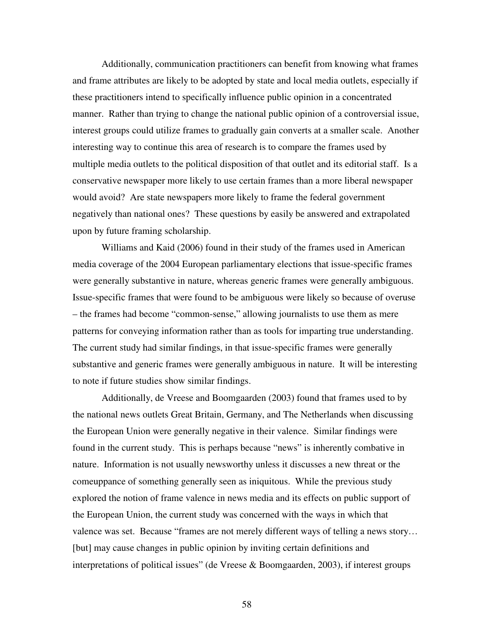Additionally, communication practitioners can benefit from knowing what frames and frame attributes are likely to be adopted by state and local media outlets, especially if these practitioners intend to specifically influence public opinion in a concentrated manner. Rather than trying to change the national public opinion of a controversial issue, interest groups could utilize frames to gradually gain converts at a smaller scale. Another interesting way to continue this area of research is to compare the frames used by multiple media outlets to the political disposition of that outlet and its editorial staff. Is a conservative newspaper more likely to use certain frames than a more liberal newspaper would avoid? Are state newspapers more likely to frame the federal government negatively than national ones? These questions by easily be answered and extrapolated upon by future framing scholarship.

Williams and Kaid (2006) found in their study of the frames used in American media coverage of the 2004 European parliamentary elections that issue-specific frames were generally substantive in nature, whereas generic frames were generally ambiguous. Issue-specific frames that were found to be ambiguous were likely so because of overuse – the frames had become "common-sense," allowing journalists to use them as mere patterns for conveying information rather than as tools for imparting true understanding. The current study had similar findings, in that issue-specific frames were generally substantive and generic frames were generally ambiguous in nature. It will be interesting to note if future studies show similar findings.

Additionally, de Vreese and Boomgaarden (2003) found that frames used to by the national news outlets Great Britain, Germany, and The Netherlands when discussing the European Union were generally negative in their valence. Similar findings were found in the current study. This is perhaps because "news" is inherently combative in nature. Information is not usually newsworthy unless it discusses a new threat or the comeuppance of something generally seen as iniquitous. While the previous study explored the notion of frame valence in news media and its effects on public support of the European Union, the current study was concerned with the ways in which that valence was set. Because "frames are not merely different ways of telling a news story… [but] may cause changes in public opinion by inviting certain definitions and interpretations of political issues" (de Vreese  $\&$  Boomgaarden, 2003), if interest groups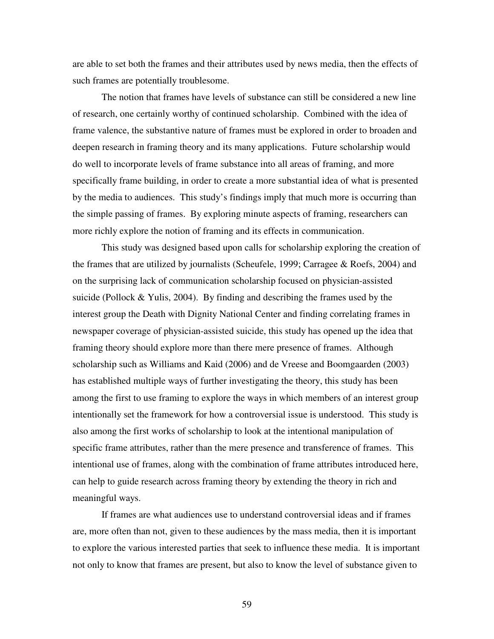are able to set both the frames and their attributes used by news media, then the effects of such frames are potentially troublesome.

The notion that frames have levels of substance can still be considered a new line of research, one certainly worthy of continued scholarship. Combined with the idea of frame valence, the substantive nature of frames must be explored in order to broaden and deepen research in framing theory and its many applications. Future scholarship would do well to incorporate levels of frame substance into all areas of framing, and more specifically frame building, in order to create a more substantial idea of what is presented by the media to audiences. This study's findings imply that much more is occurring than the simple passing of frames. By exploring minute aspects of framing, researchers can more richly explore the notion of framing and its effects in communication.

This study was designed based upon calls for scholarship exploring the creation of the frames that are utilized by journalists (Scheufele, 1999; Carragee & Roefs, 2004) and on the surprising lack of communication scholarship focused on physician-assisted suicide (Pollock & Yulis, 2004). By finding and describing the frames used by the interest group the Death with Dignity National Center and finding correlating frames in newspaper coverage of physician-assisted suicide, this study has opened up the idea that framing theory should explore more than there mere presence of frames. Although scholarship such as Williams and Kaid (2006) and de Vreese and Boomgaarden (2003) has established multiple ways of further investigating the theory, this study has been among the first to use framing to explore the ways in which members of an interest group intentionally set the framework for how a controversial issue is understood. This study is also among the first works of scholarship to look at the intentional manipulation of specific frame attributes, rather than the mere presence and transference of frames. This intentional use of frames, along with the combination of frame attributes introduced here, can help to guide research across framing theory by extending the theory in rich and meaningful ways.

If frames are what audiences use to understand controversial ideas and if frames are, more often than not, given to these audiences by the mass media, then it is important to explore the various interested parties that seek to influence these media. It is important not only to know that frames are present, but also to know the level of substance given to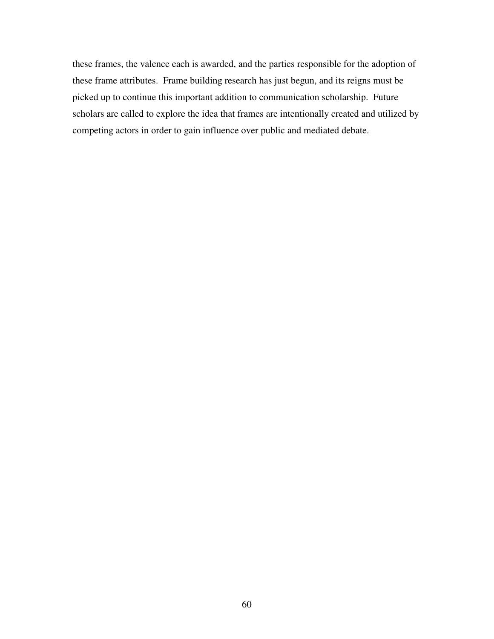these frames, the valence each is awarded, and the parties responsible for the adoption of these frame attributes. Frame building research has just begun, and its reigns must be picked up to continue this important addition to communication scholarship. Future scholars are called to explore the idea that frames are intentionally created and utilized by competing actors in order to gain influence over public and mediated debate.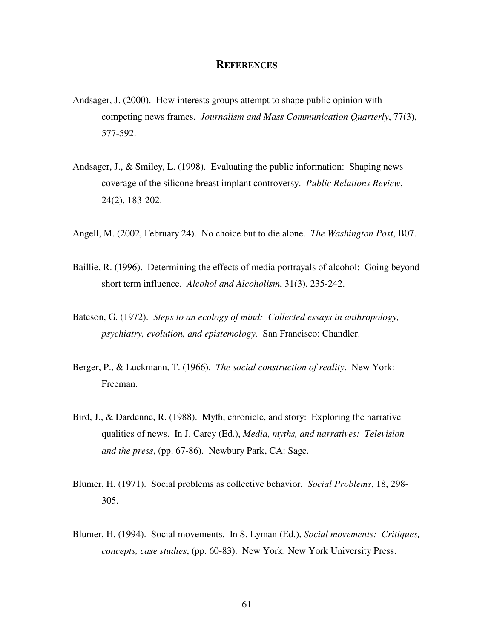## **REFERENCES**

- Andsager, J. (2000). How interests groups attempt to shape public opinion with competing news frames. *Journalism and Mass Communication Quarterly*, 77(3), 577-592.
- Andsager, J., & Smiley, L. (1998). Evaluating the public information: Shaping news coverage of the silicone breast implant controversy. *Public Relations Review*, 24(2), 183-202.
- Angell, M. (2002, February 24). No choice but to die alone. *The Washington Post*, B07.
- Baillie, R. (1996). Determining the effects of media portrayals of alcohol: Going beyond short term influence. *Alcohol and Alcoholism*, 31(3), 235-242.
- Bateson, G. (1972). *Steps to an ecology of mind: Collected essays in anthropology, psychiatry, evolution, and epistemology.* San Francisco: Chandler.
- Berger, P., & Luckmann, T. (1966). *The social construction of reality*. New York: Freeman.
- Bird, J., & Dardenne, R. (1988). Myth, chronicle, and story: Exploring the narrative qualities of news. In J. Carey (Ed.), *Media, myths, and narratives: Television and the press*, (pp. 67-86). Newbury Park, CA: Sage.
- Blumer, H. (1971). Social problems as collective behavior. *Social Problems*, 18, 298- 305.
- Blumer, H. (1994). Social movements. In S. Lyman (Ed.), *Social movements: Critiques, concepts, case studies*, (pp. 60-83). New York: New York University Press.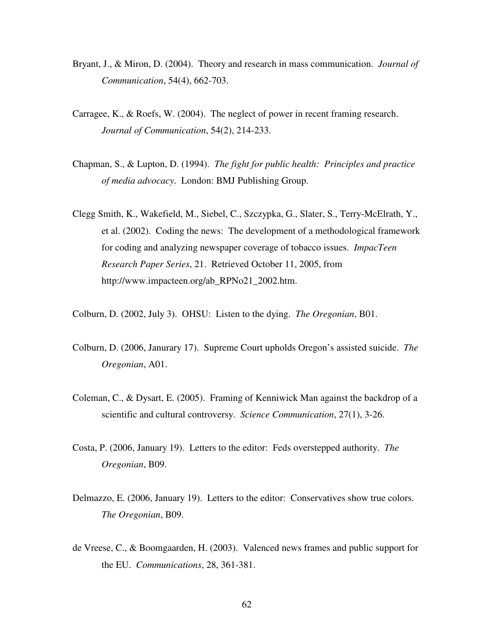- Bryant, J., & Miron, D. (2004). Theory and research in mass communication. *Journal of Communication*, 54(4), 662-703.
- Carragee, K., & Roefs, W. (2004). The neglect of power in recent framing research. *Journal of Communication*, 54(2), 214-233.
- Chapman, S., & Lupton, D. (1994). *The fight for public health: Principles and practice of media advocacy*. London: BMJ Publishing Group.
- Clegg Smith, K., Wakefield, M., Siebel, C., Szczypka, G., Slater, S., Terry-McElrath, Y., et al. (2002). Coding the news: The development of a methodological framework for coding and analyzing newspaper coverage of tobacco issues. *ImpacTeen Research Paper Series*, 21. Retrieved October 11, 2005, from http://www.impacteen.org/ab\_RPNo21\_2002.htm.
- Colburn, D. (2002, July 3). OHSU: Listen to the dying. *The Oregonian*, B01.
- Colburn, D. (2006, Janurary 17). Supreme Court upholds Oregon's assisted suicide. *The Oregonian*, A01.
- Coleman, C., & Dysart, E. (2005). Framing of Kenniwick Man against the backdrop of a scientific and cultural controversy. *Science Communication*, 27(1), 3-26.
- Costa, P. (2006, January 19). Letters to the editor: Feds overstepped authority. *The Oregonian*, B09.
- Delmazzo, E. (2006, January 19). Letters to the editor: Conservatives show true colors. *The Oregonian*, B09.
- de Vreese, C., & Boomgaarden, H. (2003). Valenced news frames and public support for the EU. *Communications*, 28, 361-381.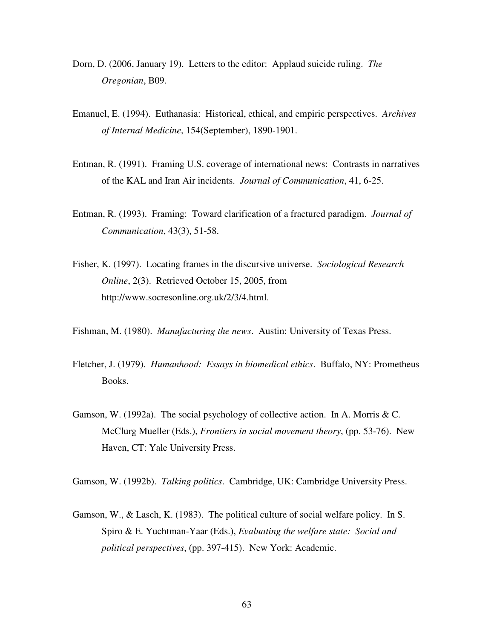- Dorn, D. (2006, January 19). Letters to the editor: Applaud suicide ruling. *The Oregonian*, B09.
- Emanuel, E. (1994). Euthanasia: Historical, ethical, and empiric perspectives. *Archives of Internal Medicine*, 154(September), 1890-1901.
- Entman, R. (1991). Framing U.S. coverage of international news: Contrasts in narratives of the KAL and Iran Air incidents. *Journal of Communication*, 41, 6-25.
- Entman, R. (1993). Framing: Toward clarification of a fractured paradigm. *Journal of Communication*, 43(3), 51-58.
- Fisher, K. (1997). Locating frames in the discursive universe. *Sociological Research Online*, 2(3). Retrieved October 15, 2005, from http://www.socresonline.org.uk/2/3/4.html.
- Fishman, M. (1980). *Manufacturing the news*. Austin: University of Texas Press.
- Fletcher, J. (1979). *Humanhood: Essays in biomedical ethics*. Buffalo, NY: Prometheus Books.
- Gamson, W. (1992a). The social psychology of collective action. In A. Morris  $&C$ . McClurg Mueller (Eds.), *Frontiers in social movement theory*, (pp. 53-76). New Haven, CT: Yale University Press.

Gamson, W. (1992b). *Talking politics*. Cambridge, UK: Cambridge University Press.

Gamson, W., & Lasch, K. (1983). The political culture of social welfare policy. In S. Spiro & E. Yuchtman-Yaar (Eds.), *Evaluating the welfare state: Social and political perspectives*, (pp. 397-415). New York: Academic.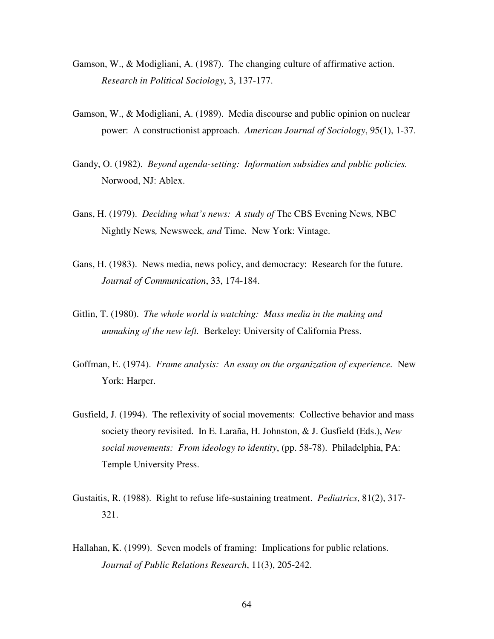- Gamson, W., & Modigliani, A. (1987). The changing culture of affirmative action. *Research in Political Sociology*, 3, 137-177.
- Gamson, W., & Modigliani, A. (1989). Media discourse and public opinion on nuclear power: A constructionist approach. *American Journal of Sociology*, 95(1), 1-37.
- Gandy, O. (1982). *Beyond agenda-setting: Information subsidies and public policies.* Norwood, NJ: Ablex.
- Gans, H. (1979). *Deciding what's news: A study of* The CBS Evening News*,* NBC Nightly News*,* Newsweek*, and* Time*.* New York: Vintage.
- Gans, H. (1983). News media, news policy, and democracy: Research for the future. *Journal of Communication*, 33, 174-184.
- Gitlin, T. (1980). *The whole world is watching: Mass media in the making and unmaking of the new left.* Berkeley: University of California Press.
- Goffman, E. (1974). *Frame analysis: An essay on the organization of experience.* New York: Harper.
- Gusfield, J. (1994). The reflexivity of social movements: Collective behavior and mass society theory revisited. In E. Laraña, H. Johnston, & J. Gusfield (Eds.), *New social movements: From ideology to identity*, (pp. 58-78). Philadelphia, PA: Temple University Press.
- Gustaitis, R. (1988). Right to refuse life-sustaining treatment. *Pediatrics*, 81(2), 317- 321.
- Hallahan, K. (1999). Seven models of framing: Implications for public relations. *Journal of Public Relations Research*, 11(3), 205-242.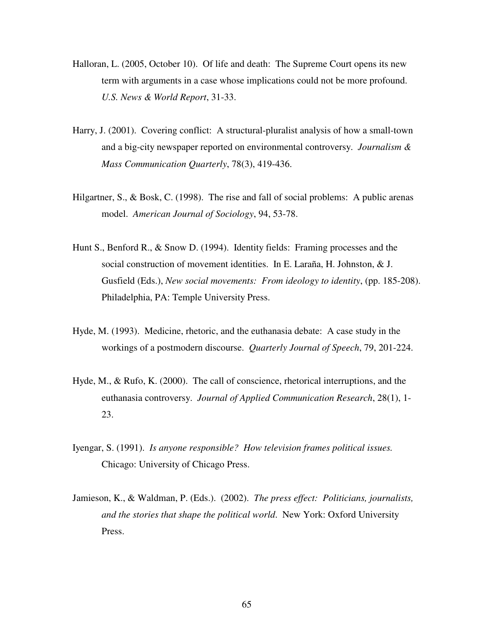- Halloran, L. (2005, October 10). Of life and death: The Supreme Court opens its new term with arguments in a case whose implications could not be more profound. *U.S. News & World Report*, 31-33.
- Harry, J. (2001). Covering conflict: A structural-pluralist analysis of how a small-town and a big-city newspaper reported on environmental controversy. *Journalism & Mass Communication Quarterly*, 78(3), 419-436.
- Hilgartner, S., & Bosk, C. (1998). The rise and fall of social problems: A public arenas model. *American Journal of Sociology*, 94, 53-78.
- Hunt S., Benford R., & Snow D. (1994). Identity fields: Framing processes and the social construction of movement identities. In E. Laraña, H. Johnston, & J. Gusfield (Eds.), *New social movements: From ideology to identity*, (pp. 185-208). Philadelphia, PA: Temple University Press.
- Hyde, M. (1993). Medicine, rhetoric, and the euthanasia debate: A case study in the workings of a postmodern discourse. *Quarterly Journal of Speech*, 79, 201-224.
- Hyde, M., & Rufo, K. (2000). The call of conscience, rhetorical interruptions, and the euthanasia controversy. *Journal of Applied Communication Research*, 28(1), 1- 23.
- Iyengar, S. (1991). *Is anyone responsible? How television frames political issues.* Chicago: University of Chicago Press.
- Jamieson, K., & Waldman, P. (Eds.). (2002). *The press effect: Politicians, journalists, and the stories that shape the political world*. New York: Oxford University Press.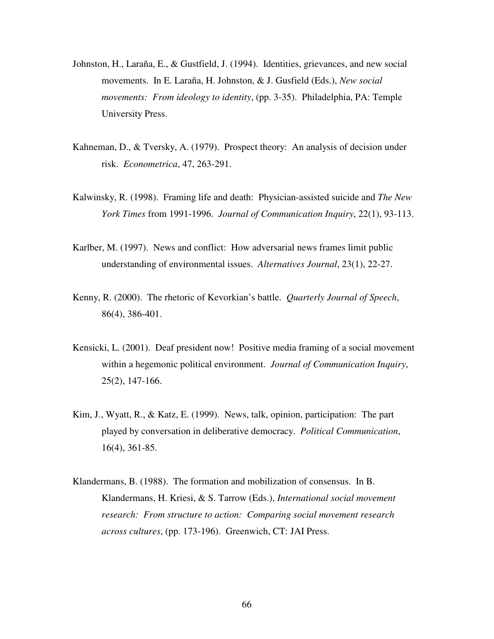- Johnston, H., Laraña, E., & Gustfield, J. (1994). Identities, grievances, and new social movements. In E. Laraña, H. Johnston, & J. Gusfield (Eds.), *New social movements: From ideology to identity*, (pp. 3-35). Philadelphia, PA: Temple University Press.
- Kahneman, D., & Tversky, A. (1979). Prospect theory: An analysis of decision under risk. *Econometrica*, 47, 263-291.
- Kalwinsky, R. (1998). Framing life and death: Physician-assisted suicide and *The New York Times* from 1991-1996. *Journal of Communication Inquiry*, 22(1), 93-113.
- Karlber, M. (1997). News and conflict: How adversarial news frames limit public understanding of environmental issues. *Alternatives Journal*, 23(1), 22-27.
- Kenny, R. (2000). The rhetoric of Kevorkian's battle. *Quarterly Journal of Speech*, 86(4), 386-401.
- Kensicki, L. (2001). Deaf president now! Positive media framing of a social movement within a hegemonic political environment. *Journal of Communication Inquiry*, 25(2), 147-166.
- Kim, J., Wyatt, R., & Katz, E. (1999). News, talk, opinion, participation: The part played by conversation in deliberative democracy. *Political Communication*, 16(4), 361-85.
- Klandermans, B. (1988). The formation and mobilization of consensus. In B. Klandermans, H. Kriesi, & S. Tarrow (Eds.), *International social movement research: From structure to action: Comparing social movement research across cultures*, (pp. 173-196). Greenwich, CT: JAI Press.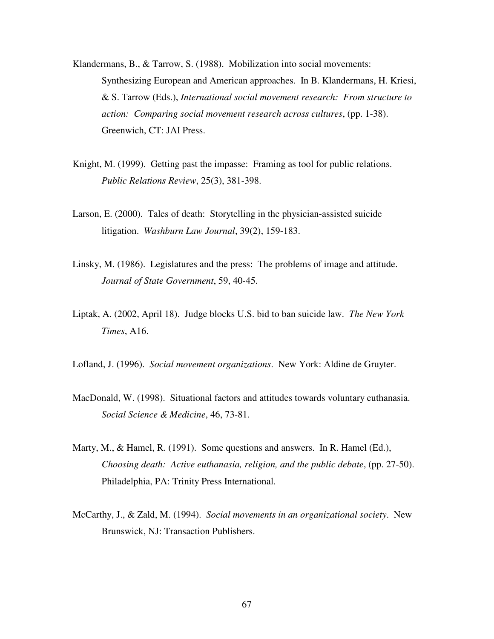- Klandermans, B., & Tarrow, S. (1988). Mobilization into social movements: Synthesizing European and American approaches. In B. Klandermans, H. Kriesi, & S. Tarrow (Eds.), *International social movement research: From structure to action: Comparing social movement research across cultures*, (pp. 1-38). Greenwich, CT: JAI Press.
- Knight, M. (1999). Getting past the impasse: Framing as tool for public relations. *Public Relations Review*, 25(3), 381-398.
- Larson, E. (2000). Tales of death: Storytelling in the physician-assisted suicide litigation. *Washburn Law Journal*, 39(2), 159-183.
- Linsky, M. (1986). Legislatures and the press: The problems of image and attitude. *Journal of State Government*, 59, 40-45.
- Liptak, A. (2002, April 18). Judge blocks U.S. bid to ban suicide law. *The New York Times*, A16.
- Lofland, J. (1996). *Social movement organizations*. New York: Aldine de Gruyter.
- MacDonald, W. (1998). Situational factors and attitudes towards voluntary euthanasia. *Social Science & Medicine*, 46, 73-81.
- Marty, M., & Hamel, R. (1991). Some questions and answers. In R. Hamel (Ed.), *Choosing death: Active euthanasia, religion, and the public debate*, (pp. 27-50). Philadelphia, PA: Trinity Press International.
- McCarthy, J., & Zald, M. (1994). *Social movements in an organizational society*. New Brunswick, NJ: Transaction Publishers.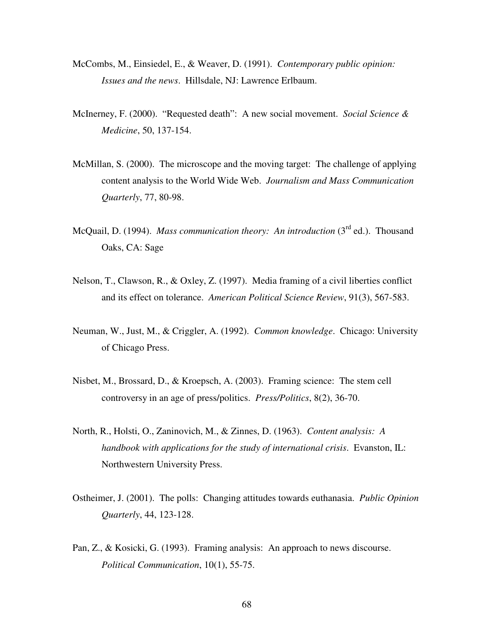- McCombs, M., Einsiedel, E., & Weaver, D. (1991). *Contemporary public opinion: Issues and the news*. Hillsdale, NJ: Lawrence Erlbaum.
- McInerney, F. (2000). "Requested death": A new social movement. *Social Science & Medicine*, 50, 137-154.
- McMillan, S. (2000). The microscope and the moving target: The challenge of applying content analysis to the World Wide Web. *Journalism and Mass Communication Quarterly*, 77, 80-98.
- McQuail, D. (1994). *Mass communication theory: An introduction* (3<sup>rd</sup> ed.). Thousand Oaks, CA: Sage
- Nelson, T., Clawson, R., & Oxley, Z. (1997). Media framing of a civil liberties conflict and its effect on tolerance. *American Political Science Review*, 91(3), 567-583.
- Neuman, W., Just, M., & Criggler, A. (1992). *Common knowledge*. Chicago: University of Chicago Press.
- Nisbet, M., Brossard, D., & Kroepsch, A. (2003). Framing science: The stem cell controversy in an age of press/politics. *Press/Politics*, 8(2), 36-70.
- North, R., Holsti, O., Zaninovich, M., & Zinnes, D. (1963). *Content analysis: A handbook with applications for the study of international crisis*. Evanston, IL: Northwestern University Press.
- Ostheimer, J. (2001). The polls: Changing attitudes towards euthanasia. *Public Opinion Quarterly*, 44, 123-128.
- Pan, Z., & Kosicki, G. (1993). Framing analysis: An approach to news discourse. *Political Communication*, 10(1), 55-75.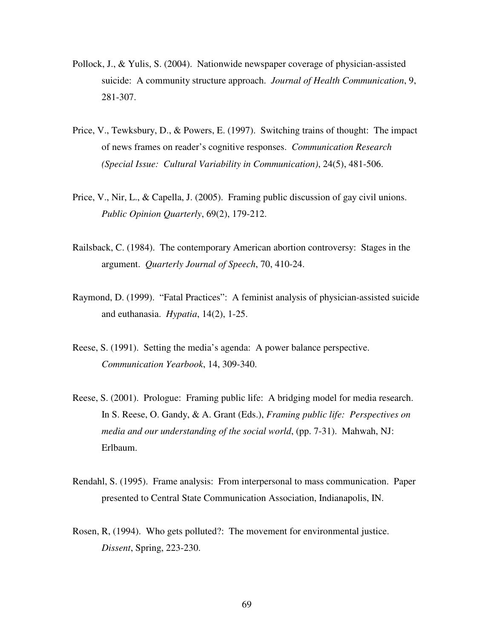- Pollock, J., & Yulis, S. (2004). Nationwide newspaper coverage of physician-assisted suicide: A community structure approach. *Journal of Health Communication*, 9, 281-307.
- Price, V., Tewksbury, D., & Powers, E. (1997). Switching trains of thought: The impact of news frames on reader's cognitive responses. *Communication Research (Special Issue: Cultural Variability in Communication)*, 24(5), 481-506.
- Price, V., Nir, L., & Capella, J. (2005). Framing public discussion of gay civil unions. *Public Opinion Quarterly*, 69(2), 179-212.
- Railsback, C. (1984). The contemporary American abortion controversy: Stages in the argument. *Quarterly Journal of Speech*, 70, 410-24.
- Raymond, D. (1999). "Fatal Practices": A feminist analysis of physician-assisted suicide and euthanasia. *Hypatia*, 14(2), 1-25.
- Reese, S. (1991). Setting the media's agenda: A power balance perspective. *Communication Yearbook*, 14, 309-340.
- Reese, S. (2001). Prologue: Framing public life: A bridging model for media research. In S. Reese, O. Gandy, & A. Grant (Eds.), *Framing public life: Perspectives on media and our understanding of the social world*, (pp. 7-31). Mahwah, NJ: Erlbaum.
- Rendahl, S. (1995). Frame analysis: From interpersonal to mass communication. Paper presented to Central State Communication Association, Indianapolis, IN.
- Rosen, R, (1994). Who gets polluted?: The movement for environmental justice. *Dissent*, Spring, 223-230.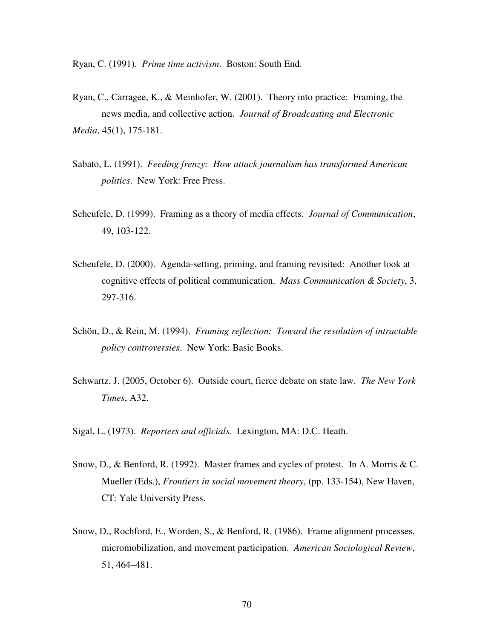Ryan, C. (1991). *Prime time activism*. Boston: South End.

- Ryan, C., Carragee, K., & Meinhofer, W. (2001). Theory into practice: Framing, the news media, and collective action. *Journal of Broadcasting and Electronic Media*, 45(1), 175-181.
- Sabato, L. (1991). *Feeding frenzy: How attack journalism has transformed American politics*. New York: Free Press.
- Scheufele, D. (1999). Framing as a theory of media effects. *Journal of Communication*, 49, 103-122.
- Scheufele, D. (2000). Agenda-setting, priming, and framing revisited: Another look at cognitive effects of political communication. *Mass Communication & Society*, 3, 297-316.
- Schön, D., & Rein, M. (1994). *Framing reflection: Toward the resolution of intractable policy controversies*. New York: Basic Books.
- Schwartz, J. (2005, October 6). Outside court, fierce debate on state law. *The New York Times*, A32.

Sigal, L. (1973). *Reporters and officials*. Lexington, MA: D.C. Heath.

- Snow, D., & Benford, R. (1992). Master frames and cycles of protest. In A. Morris & C. Mueller (Eds.), *Frontiers in social movement theory*, (pp. 133-154), New Haven, CT: Yale University Press.
- Snow, D., Rochford, E., Worden, S., & Benford, R. (1986). Frame alignment processes, micromobilization, and movement participation. *American Sociological Review*, 51, 464–481.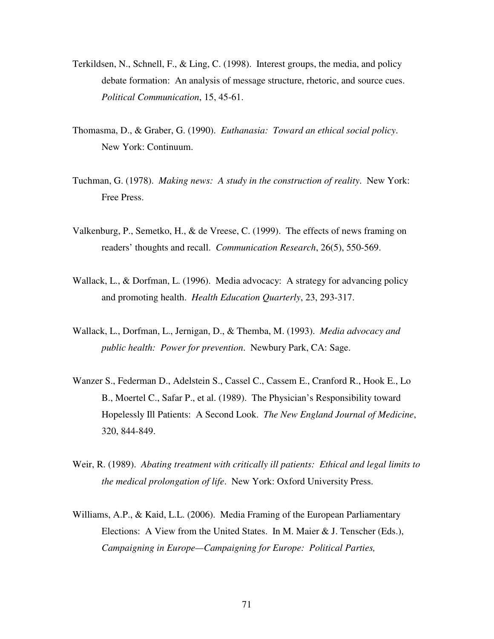- Terkildsen, N., Schnell, F., & Ling, C. (1998). Interest groups, the media, and policy debate formation: An analysis of message structure, rhetoric, and source cues. *Political Communication*, 15, 45-61.
- Thomasma, D., & Graber, G. (1990). *Euthanasia: Toward an ethical social policy*. New York: Continuum.
- Tuchman, G. (1978). *Making news: A study in the construction of reality*. New York: Free Press.
- Valkenburg, P., Semetko, H., & de Vreese, C. (1999). The effects of news framing on readers' thoughts and recall. *Communication Research*, 26(5), 550-569.
- Wallack, L., & Dorfman, L. (1996). Media advocacy: A strategy for advancing policy and promoting health. *Health Education Quarterly*, 23, 293-317.
- Wallack, L., Dorfman, L., Jernigan, D., & Themba, M. (1993). *Media advocacy and public health: Power for prevention*. Newbury Park, CA: Sage.
- Wanzer S., Federman D., Adelstein S., Cassel C., Cassem E., Cranford R., Hook E., Lo B., Moertel C., Safar P., et al. (1989). The Physician's Responsibility toward Hopelessly Ill Patients: A Second Look. *The New England Journal of Medicine*, 320, 844-849.
- Weir, R. (1989). *Abating treatment with critically ill patients: Ethical and legal limits to the medical prolongation of life*. New York: Oxford University Press.
- Williams, A.P., & Kaid, L.L. (2006). Media Framing of the European Parliamentary Elections: A View from the United States. In M. Maier & J. Tenscher (Eds.), *Campaigning in Europe—Campaigning for Europe: Political Parties,*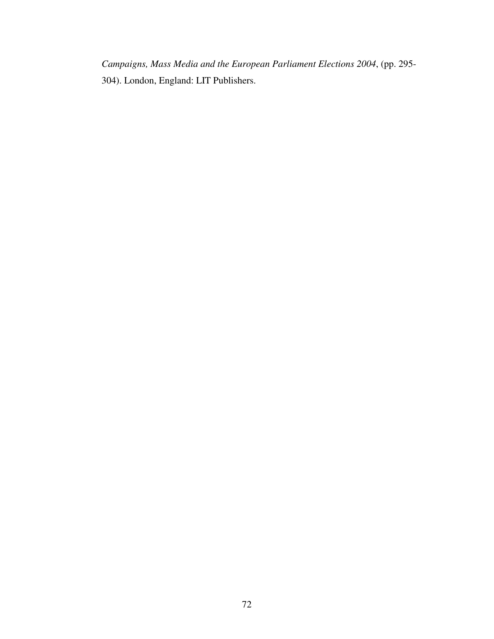*Campaigns, Mass Media and the European Parliament Elections 2004*, (pp. 295- 304). London, England: LIT Publishers.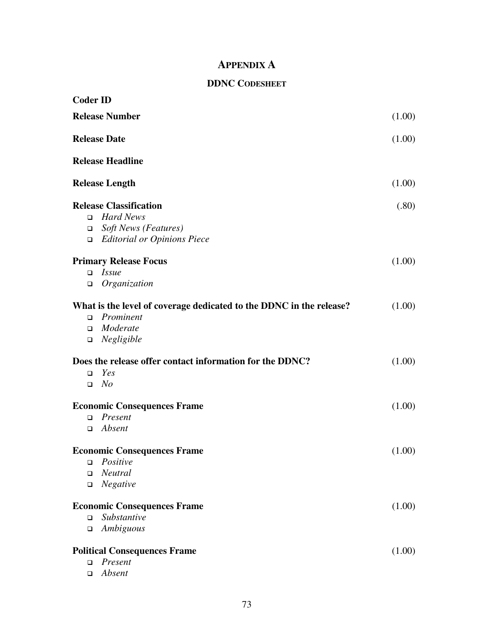# **APPENDIX A**

# **DDNC CODESHEET**

| <b>Coder ID</b>       |                                                                     |        |
|-----------------------|---------------------------------------------------------------------|--------|
| <b>Release Number</b> |                                                                     | (1.00) |
|                       | <b>Release Date</b>                                                 |        |
|                       | <b>Release Headline</b>                                             |        |
|                       | <b>Release Length</b>                                               | (1.00) |
|                       | <b>Release Classification</b>                                       | (.80)  |
| $\Box$                | <b>Hard News</b>                                                    |        |
| $\Box$                | <b>Soft News (Features)</b>                                         |        |
| $\Box$                | <b>Editorial or Opinions Piece</b>                                  |        |
|                       | <b>Primary Release Focus</b>                                        | (1.00) |
| □                     | <i>Issue</i>                                                        |        |
| $\Box$                | Organization                                                        |        |
|                       | What is the level of coverage dedicated to the DDNC in the release? | (1.00) |
| $\Box$                | Prominent                                                           |        |
| $\Box$                | Moderate                                                            |        |
| $\Box$                | Negligible                                                          |        |
|                       | Does the release offer contact information for the DDNC?            | (1.00) |
| $\Box$                | Yes                                                                 |        |
| $\Box$                | No                                                                  |        |
|                       | <b>Economic Consequences Frame</b>                                  | (1.00) |
| $\Box$                | Present                                                             |        |
| $\Box$                | Absent                                                              |        |
|                       | <b>Economic Consequences Frame</b>                                  | (1.00) |
| □                     | Positive                                                            |        |
| $\Box$                | Neutral                                                             |        |
| ❏                     | Negative                                                            |        |
|                       | <b>Economic Consequences Frame</b>                                  | (1.00) |
| $\Box$                | Substantive                                                         |        |
| $\Box$                | Ambiguous                                                           |        |
|                       | <b>Political Consequences Frame</b>                                 | (1.00) |
| $\Box$                | Present                                                             |        |
| $\Box$                | Absent                                                              |        |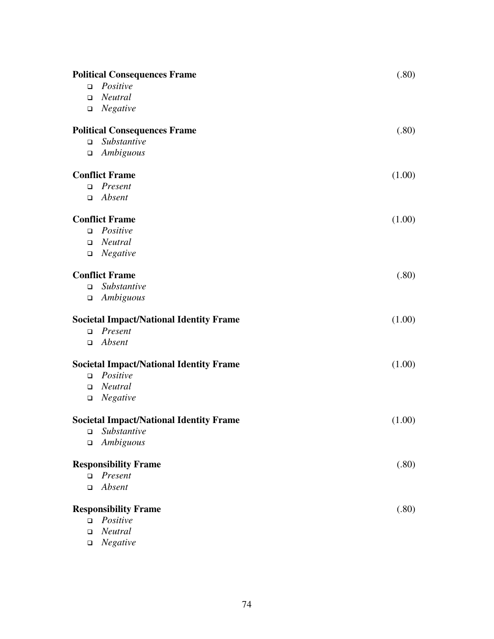| <b>Political Consequences Frame</b> |                                                | (.80)  |
|-------------------------------------|------------------------------------------------|--------|
| $\Box$                              | Positive                                       |        |
| □                                   | Neutral                                        |        |
| $\Box$                              | Negative                                       |        |
|                                     | <b>Political Consequences Frame</b>            | (.80)  |
| $\Box$                              | Substantive                                    |        |
| $\Box$                              | Ambiguous                                      |        |
|                                     | <b>Conflict Frame</b>                          | (1.00) |
| $\Box$                              | Present                                        |        |
| $\Box$                              | Absent                                         |        |
|                                     | <b>Conflict Frame</b>                          | (1.00) |
| $\Box$                              | Positive                                       |        |
| $\Box$                              | <b>Neutral</b>                                 |        |
| $\Box$                              | Negative                                       |        |
|                                     | <b>Conflict Frame</b>                          | (.80)  |
| $\Box$                              | Substantive                                    |        |
| $\Box$                              | Ambiguous                                      |        |
|                                     | <b>Societal Impact/National Identity Frame</b> | (1.00) |
| $\Box$                              | Present                                        |        |
| $\Box$                              | Absent                                         |        |
|                                     | <b>Societal Impact/National Identity Frame</b> | (1.00) |
| $\Box$                              | Positive                                       |        |
| $\Box$                              | Neutral                                        |        |
| $\Box$                              | Negative                                       |        |
|                                     | <b>Societal Impact/National Identity Frame</b> | (1.00) |
|                                     | $\Box$ Substantive                             |        |
| $\Box$                              | Ambiguous                                      |        |
|                                     | <b>Responsibility Frame</b>                    | (.80)  |
| $\Box$                              | Present                                        |        |
| □                                   | Absent                                         |        |
|                                     | <b>Responsibility Frame</b>                    | (.80)  |
| $\Box$                              | Positive                                       |        |
| $\Box$                              | Neutral                                        |        |
| $\Box$                              | Negative                                       |        |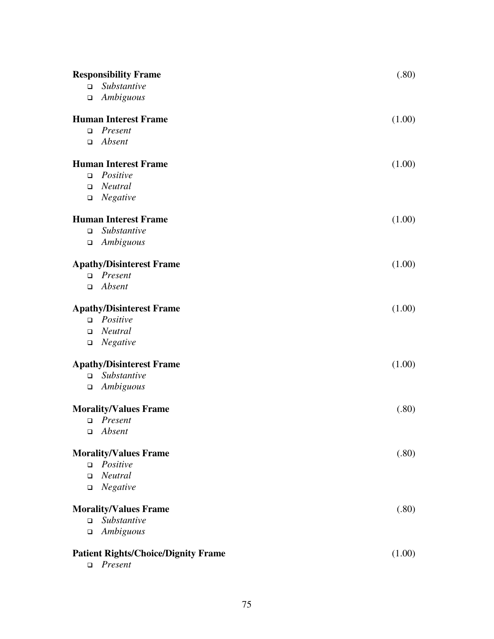|        | <b>Responsibility Frame</b>                | (.80)  |
|--------|--------------------------------------------|--------|
| $\Box$ | Substantive                                |        |
|        | $\Box$ Ambiguous                           |        |
|        | <b>Human Interest Frame</b>                | (1.00) |
|        | $\Box$ Present                             |        |
|        | $\Box$ Absent                              |        |
|        | <b>Human Interest Frame</b>                | (1.00) |
| $\Box$ | Positive                                   |        |
|        | $\Box$ Neutral                             |        |
|        | $\Box$ Negative                            |        |
|        | <b>Human Interest Frame</b>                | (1.00) |
|        | $\Box$ Substantive                         |        |
|        | $\Box$ Ambiguous                           |        |
|        | <b>Apathy/Disinterest Frame</b>            | (1.00) |
|        | $\Box$ Present                             |        |
|        | $\Box$ Absent                              |        |
|        | <b>Apathy/Disinterest Frame</b>            | (1.00) |
|        | $\Box$ Positive                            |        |
|        | $\Box$ Neutral                             |        |
|        | $\Box$ Negative                            |        |
|        | <b>Apathy/Disinterest Frame</b>            | (1.00) |
|        | $\square$ Substantive                      |        |
|        | $\Box$ Ambiguous                           |        |
|        | <b>Morality/Values Frame</b>               | (.80)  |
|        | $\Box$ Present                             |        |
| $\Box$ | Absent                                     |        |
|        | <b>Morality/Values Frame</b>               | (.80)  |
| $\Box$ | Positive                                   |        |
| $\Box$ | Neutral                                    |        |
|        | $\Box$ Negative                            |        |
|        | <b>Morality/Values Frame</b>               | (.80)  |
| $\Box$ | Substantive                                |        |
| $\Box$ | Ambiguous                                  |        |
|        | <b>Patient Rights/Choice/Dignity Frame</b> | (1.00) |
|        | $\Box$ Present                             |        |
|        |                                            |        |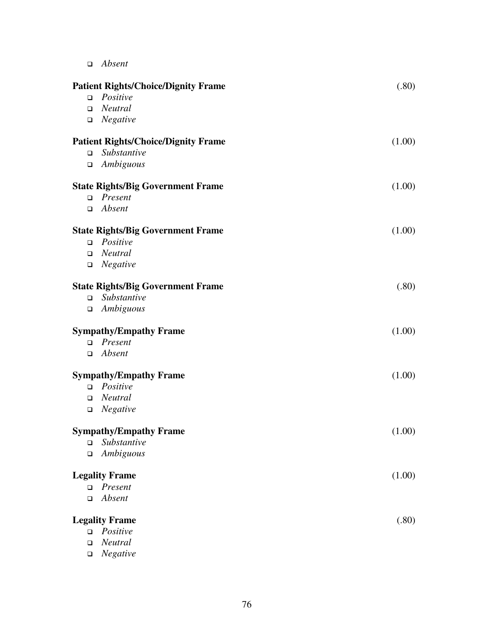*Absent* 

|        | <b>Patient Rights/Choice/Dignity Frame</b> | (.80)  |
|--------|--------------------------------------------|--------|
| $\Box$ | Positive                                   |        |
| $\Box$ | Neutral                                    |        |
| $\Box$ | Negative                                   |        |
|        | <b>Patient Rights/Choice/Dignity Frame</b> | (1.00) |
| $\Box$ | Substantive                                |        |
| $\Box$ | Ambiguous                                  |        |
|        | <b>State Rights/Big Government Frame</b>   | (1.00) |
| $\Box$ | Present                                    |        |
| $\Box$ | Absent                                     |        |
|        | <b>State Rights/Big Government Frame</b>   | (1.00) |
| $\Box$ | Positive                                   |        |
| $\Box$ | <b>Neutral</b>                             |        |
| $\Box$ | Negative                                   |        |
|        | <b>State Rights/Big Government Frame</b>   | (.80)  |
| $\Box$ | Substantive                                |        |
| $\Box$ | Ambiguous                                  |        |
|        | <b>Sympathy/Empathy Frame</b>              | (1.00) |
| $\Box$ | Present                                    |        |
| $\Box$ | Absent                                     |        |
|        | <b>Sympathy/Empathy Frame</b>              | (1.00) |
| $\Box$ | Positive                                   |        |
| $\Box$ | Neutral                                    |        |
| $\Box$ | Negative                                   |        |
|        | <b>Sympathy/Empathy Frame</b>              | (1.00) |
| $\Box$ | <i>Substantive</i>                         |        |
| $\Box$ | Ambiguous                                  |        |
|        | <b>Legality Frame</b>                      | (1.00) |
| $\Box$ | Present                                    |        |
| $\Box$ | Absent                                     |        |
|        | <b>Legality Frame</b>                      | (.80)  |
| $\Box$ | Positive                                   |        |
| $\Box$ | Neutral                                    |        |
| $\Box$ | Negative                                   |        |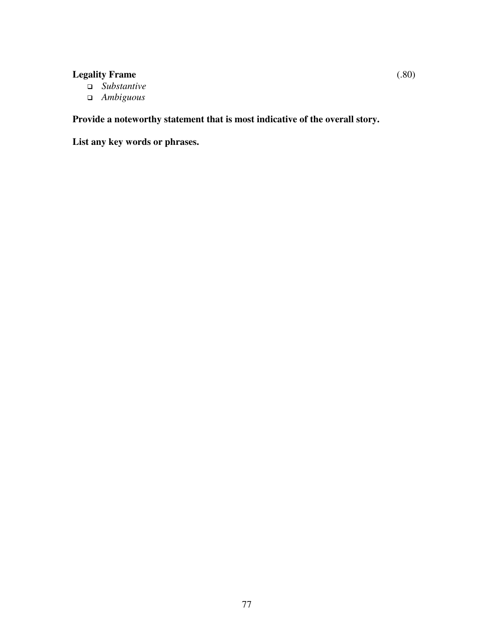# **Legality Frame** (.80)

- *Substantive*
- *Ambiguous*

**Provide a noteworthy statement that is most indicative of the overall story.**

**List any key words or phrases.**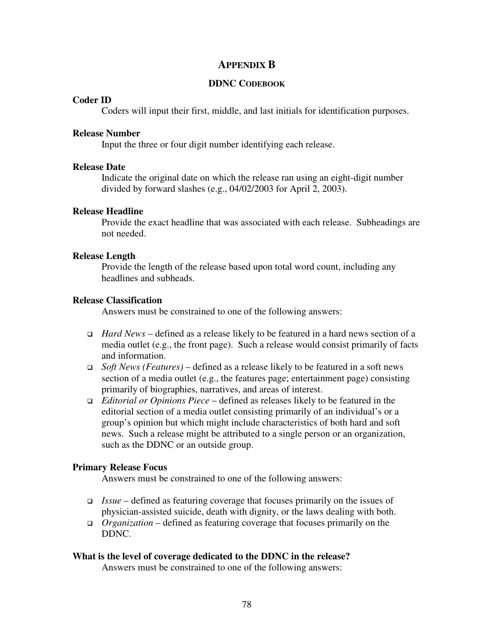# **APPENDIX B**

#### **DDNC CODEBOOK**

#### **Coder ID**

Coders will input their first, middle, and last initials for identification purposes.

#### **Release Number**

Input the three or four digit number identifying each release.

### **Release Date**

Indicate the original date on which the release ran using an eight-digit number divided by forward slashes (e.g., 04/02/2003 for April 2, 2003).

### **Release Headline**

Provide the exact headline that was associated with each release. Subheadings are not needed.

### **Release Length**

Provide the length of the release based upon total word count, including any headlines and subheads.

### **Release Classification**

Answers must be constrained to one of the following answers:

- *Hard News* defined as a release likely to be featured in a hard news section of a media outlet (e.g., the front page). Such a release would consist primarily of facts and information.
- *Soft News (Features)* defined as a release likely to be featured in a soft news section of a media outlet (e.g., the features page; entertainment page) consisting primarily of biographies, narratives, and areas of interest.
- *Editorial or Opinions Piece* defined as releases likely to be featured in the editorial section of a media outlet consisting primarily of an individual's or a group's opinion but which might include characteristics of both hard and soft news. Such a release might be attributed to a single person or an organization, such as the DDNC or an outside group.

## **Primary Release Focus**

Answers must be constrained to one of the following answers:

- *Issue* defined as featuring coverage that focuses primarily on the issues of physician-assisted suicide, death with dignity, or the laws dealing with both.
- *Organization* defined as featuring coverage that focuses primarily on the DDNC.

#### **What is the level of coverage dedicated to the DDNC in the release?**

Answers must be constrained to one of the following answers: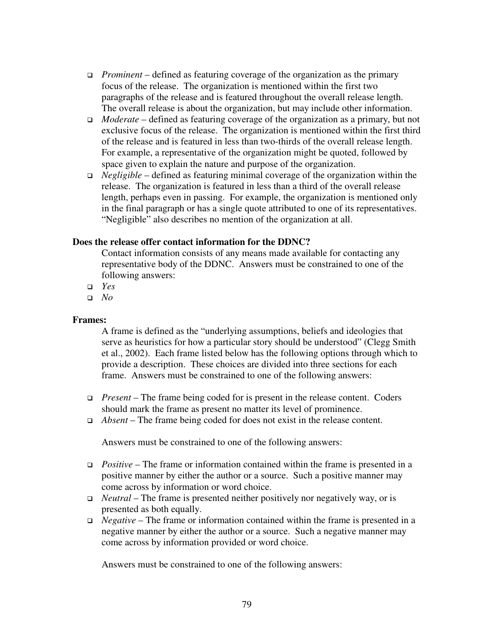- *Prominent* defined as featuring coverage of the organization as the primary focus of the release. The organization is mentioned within the first two paragraphs of the release and is featured throughout the overall release length. The overall release is about the organization, but may include other information.
- *Moderate* defined as featuring coverage of the organization as a primary, but not exclusive focus of the release. The organization is mentioned within the first third of the release and is featured in less than two-thirds of the overall release length. For example, a representative of the organization might be quoted, followed by space given to explain the nature and purpose of the organization.
- *Negligible* defined as featuring minimal coverage of the organization within the release. The organization is featured in less than a third of the overall release length, perhaps even in passing. For example, the organization is mentioned only in the final paragraph or has a single quote attributed to one of its representatives. "Negligible" also describes no mention of the organization at all.

## **Does the release offer contact information for the DDNC?**

Contact information consists of any means made available for contacting any representative body of the DDNC. Answers must be constrained to one of the following answers:

- *Yes*
- *No*

## **Frames:**

A frame is defined as the "underlying assumptions, beliefs and ideologies that serve as heuristics for how a particular story should be understood" (Clegg Smith et al., 2002). Each frame listed below has the following options through which to provide a description. These choices are divided into three sections for each frame. Answers must be constrained to one of the following answers:

- *Present* The frame being coded for is present in the release content. Coders should mark the frame as present no matter its level of prominence.
- *Absent* The frame being coded for does not exist in the release content.

Answers must be constrained to one of the following answers:

- *Positive* The frame or information contained within the frame is presented in a positive manner by either the author or a source. Such a positive manner may come across by information or word choice.
- *Neutral* The frame is presented neither positively nor negatively way, or is presented as both equally.
- *Negative* The frame or information contained within the frame is presented in a negative manner by either the author or a source. Such a negative manner may come across by information provided or word choice.

Answers must be constrained to one of the following answers: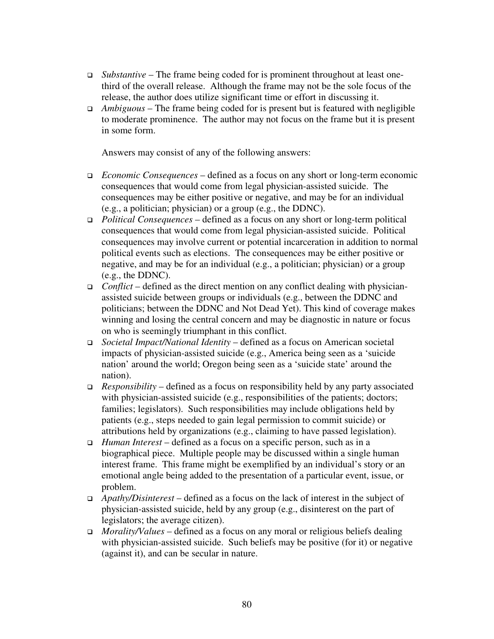- *Substantive* The frame being coded for is prominent throughout at least onethird of the overall release. Although the frame may not be the sole focus of the release, the author does utilize significant time or effort in discussing it.
- *Ambiguous* The frame being coded for is present but is featured with negligible to moderate prominence. The author may not focus on the frame but it is present in some form.

Answers may consist of any of the following answers:

- *Economic Consequences* defined as a focus on any short or long-term economic consequences that would come from legal physician-assisted suicide. The consequences may be either positive or negative, and may be for an individual (e.g., a politician; physician) or a group (e.g., the DDNC).
- *Political Consequences* defined as a focus on any short or long-term political consequences that would come from legal physician-assisted suicide. Political consequences may involve current or potential incarceration in addition to normal political events such as elections. The consequences may be either positive or negative, and may be for an individual (e.g., a politician; physician) or a group (e.g., the DDNC).
- *Conflict* defined as the direct mention on any conflict dealing with physicianassisted suicide between groups or individuals (e.g., between the DDNC and politicians; between the DDNC and Not Dead Yet). This kind of coverage makes winning and losing the central concern and may be diagnostic in nature or focus on who is seemingly triumphant in this conflict.
- *Societal Impact/National Identity* defined as a focus on American societal impacts of physician-assisted suicide (e.g., America being seen as a 'suicide nation' around the world; Oregon being seen as a 'suicide state' around the nation).
- *Responsibility* defined as a focus on responsibility held by any party associated with physician-assisted suicide (e.g., responsibilities of the patients; doctors; families; legislators). Such responsibilities may include obligations held by patients (e.g., steps needed to gain legal permission to commit suicide) or attributions held by organizations (e.g., claiming to have passed legislation).
- *Human Interest* defined as a focus on a specific person, such as in a biographical piece. Multiple people may be discussed within a single human interest frame. This frame might be exemplified by an individual's story or an emotional angle being added to the presentation of a particular event, issue, or problem.
- *Apathy/Disinterest* defined as a focus on the lack of interest in the subject of physician-assisted suicide, held by any group (e.g., disinterest on the part of legislators; the average citizen).
- *Morality/Values* defined as a focus on any moral or religious beliefs dealing with physician-assisted suicide. Such beliefs may be positive (for it) or negative (against it), and can be secular in nature.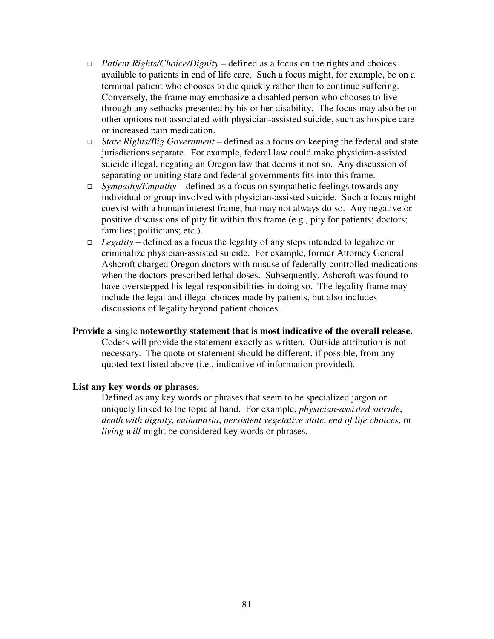- *Patient Rights/Choice/Dignity* defined as a focus on the rights and choices available to patients in end of life care. Such a focus might, for example, be on a terminal patient who chooses to die quickly rather then to continue suffering. Conversely, the frame may emphasize a disabled person who chooses to live through any setbacks presented by his or her disability. The focus may also be on other options not associated with physician-assisted suicide, such as hospice care or increased pain medication.
- *State Rights/Big Government* defined as a focus on keeping the federal and state jurisdictions separate. For example, federal law could make physician-assisted suicide illegal, negating an Oregon law that deems it not so. Any discussion of separating or uniting state and federal governments fits into this frame.
- *Sympathy/Empathy* defined as a focus on sympathetic feelings towards any individual or group involved with physician-assisted suicide. Such a focus might coexist with a human interest frame, but may not always do so. Any negative or positive discussions of pity fit within this frame (e.g., pity for patients; doctors; families; politicians; etc.).
- *Legality* defined as a focus the legality of any steps intended to legalize or criminalize physician-assisted suicide. For example, former Attorney General Ashcroft charged Oregon doctors with misuse of federally-controlled medications when the doctors prescribed lethal doses. Subsequently, Ashcroft was found to have overstepped his legal responsibilities in doing so. The legality frame may include the legal and illegal choices made by patients, but also includes discussions of legality beyond patient choices.

## **Provide a** single **noteworthy statement that is most indicative of the overall release.**

Coders will provide the statement exactly as written. Outside attribution is not necessary. The quote or statement should be different, if possible, from any quoted text listed above (i.e., indicative of information provided).

#### **List any key words or phrases.**

Defined as any key words or phrases that seem to be specialized jargon or uniquely linked to the topic at hand. For example, *physician-assisted suicide*, *death with dignity*, *euthanasia*, *persistent vegetative state*, *end of life choices*, or *living will* might be considered key words or phrases.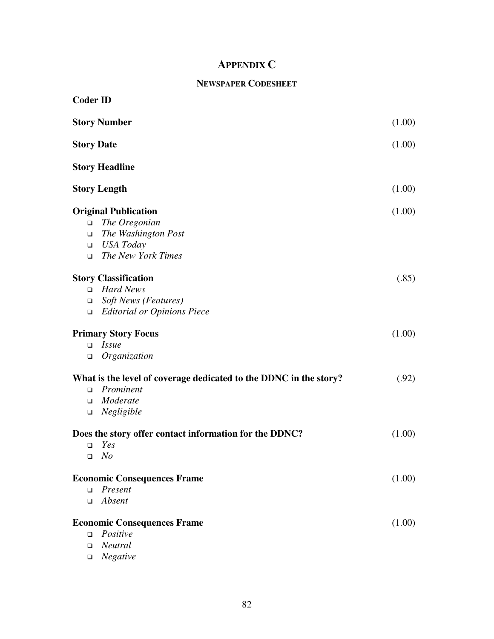# **APPENDIX C**

# **NEWSPAPER CODESHEET**

| <b>Coder ID</b>   |                                                                   |        |
|-------------------|-------------------------------------------------------------------|--------|
|                   | <b>Story Number</b>                                               | (1.00) |
| <b>Story Date</b> |                                                                   | (1.00) |
|                   | <b>Story Headline</b>                                             |        |
|                   | <b>Story Length</b>                                               | (1.00) |
|                   | <b>Original Publication</b>                                       | (1.00) |
| $\Box$            | The Oregonian                                                     |        |
| $\Box$            | The Washington Post                                               |        |
| $\Box$            | USA Today                                                         |        |
| $\Box$            | The New York Times                                                |        |
|                   | <b>Story Classification</b>                                       | (.85)  |
| $\Box$            | <b>Hard News</b>                                                  |        |
| $\Box$            | <b>Soft News (Features)</b>                                       |        |
| $\Box$            | <b>Editorial or Opinions Piece</b>                                |        |
|                   | <b>Primary Story Focus</b>                                        | (1.00) |
| $\Box$            | <i>Issue</i>                                                      |        |
| $\Box$            | Organization                                                      |        |
|                   | What is the level of coverage dedicated to the DDNC in the story? | (.92)  |
| $\Box$            | Prominent                                                         |        |
| $\Box$            | Moderate                                                          |        |
| $\Box$            | Negligible                                                        |        |
|                   | Does the story offer contact information for the DDNC?            | (1.00) |
| $\Box$            | Yes                                                               |        |
|                   | $\Box$ No                                                         |        |
|                   | <b>Economic Consequences Frame</b>                                | (1.00) |
| $\Box$            | Present                                                           |        |
| $\Box$            | Absent                                                            |        |
|                   | <b>Economic Consequences Frame</b>                                | (1.00) |
| $\Box$            | Positive                                                          |        |
| $\Box$            | Neutral                                                           |        |
| ❏                 | Negative                                                          |        |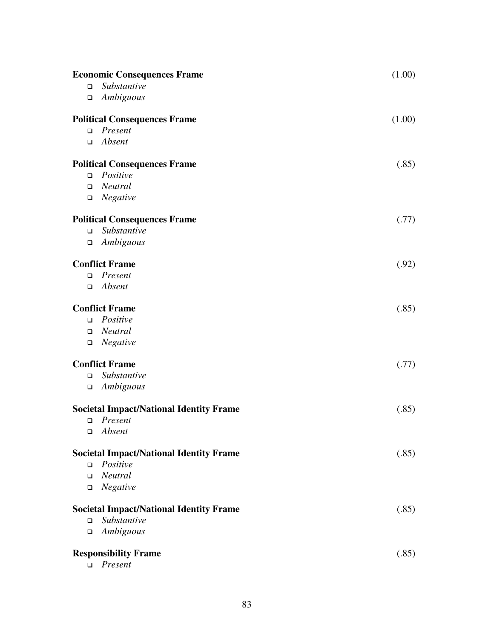| <b>Economic Consequences Frame</b> |                                                | (1.00) |
|------------------------------------|------------------------------------------------|--------|
| $\Box$                             | Substantive                                    |        |
| $\Box$                             | Ambiguous                                      |        |
|                                    | <b>Political Consequences Frame</b>            | (1.00) |
| $\Box$                             | Present                                        |        |
| $\Box$                             | Absent                                         |        |
|                                    | <b>Political Consequences Frame</b>            | (.85)  |
| $\Box$                             | Positive                                       |        |
| $\Box$                             | Neutral                                        |        |
| $\Box$                             | Negative                                       |        |
|                                    | <b>Political Consequences Frame</b>            | (.77)  |
| $\Box$                             | Substantive                                    |        |
| $\Box$                             | Ambiguous                                      |        |
|                                    | <b>Conflict Frame</b>                          | (.92)  |
| $\Box$                             | Present                                        |        |
| □                                  | Absent                                         |        |
|                                    | <b>Conflict Frame</b>                          | (.85)  |
| $\Box$                             | Positive                                       |        |
| $\Box$                             | Neutral                                        |        |
| $\Box$                             | Negative                                       |        |
|                                    | <b>Conflict Frame</b>                          | (.77)  |
| $\Box$                             | Substantive                                    |        |
| $\Box$                             | Ambiguous                                      |        |
|                                    | <b>Societal Impact/National Identity Frame</b> | (.85)  |
|                                    | $\Box$ Present                                 |        |
|                                    | $\Box$ Absent                                  |        |
|                                    | <b>Societal Impact/National Identity Frame</b> | (.85)  |
| $\Box$                             | Positive                                       |        |
| $\Box$                             | Neutral                                        |        |
| $\Box$                             | Negative                                       |        |
|                                    | <b>Societal Impact/National Identity Frame</b> | (.85)  |
| $\Box$                             | Substantive                                    |        |
| $\Box$                             | Ambiguous                                      |        |
|                                    | <b>Responsibility Frame</b>                    | (.85)  |
| $\Box$                             | Present                                        |        |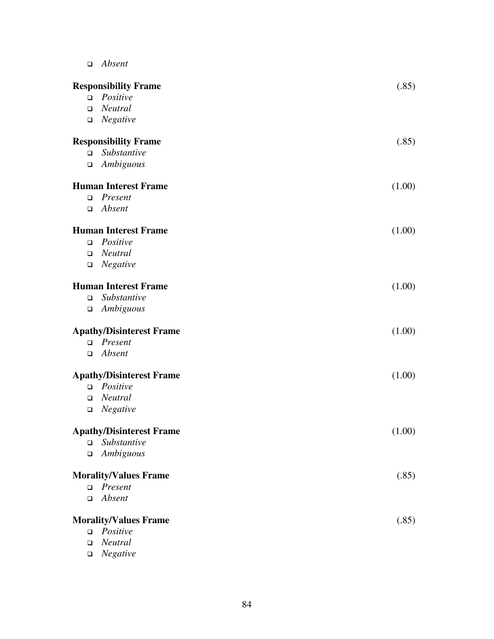| Absent |
|--------|
|        |

|        | <b>Responsibility Frame</b>     | (.85)  |
|--------|---------------------------------|--------|
| $\Box$ | Positive                        |        |
|        | $\Box$ Neutral                  |        |
| $\Box$ | Negative                        |        |
|        | <b>Responsibility Frame</b>     | (.85)  |
| $\Box$ | Substantive                     |        |
| $\Box$ | Ambiguous                       |        |
|        | <b>Human Interest Frame</b>     | (1.00) |
|        | $\Box$ Present                  |        |
| $\Box$ | Absent                          |        |
|        | <b>Human Interest Frame</b>     | (1.00) |
| $\Box$ | Positive                        |        |
| $\Box$ | Neutral                         |        |
| $\Box$ | Negative                        |        |
|        | <b>Human Interest Frame</b>     | (1.00) |
| $\Box$ | Substantive                     |        |
| $\Box$ | Ambiguous                       |        |
|        | <b>Apathy/Disinterest Frame</b> | (1.00) |
|        | $\Box$ Present                  |        |
| $\Box$ | Absent                          |        |
|        | <b>Apathy/Disinterest Frame</b> | (1.00) |
|        | $\Box$ Positive                 |        |
| $\Box$ | Neutral                         |        |
| $\Box$ | Negative                        |        |
|        | <b>Apathy/Disinterest Frame</b> | (1.00) |
| $\Box$ | Substantive                     |        |
| $\Box$ | Ambiguous                       |        |
|        | <b>Morality/Values Frame</b>    | (.85)  |
|        | $\Box$ Present                  |        |
| $\Box$ | Absent                          |        |
|        | <b>Morality/Values Frame</b>    | (.85)  |
|        | $\Box$ Positive                 |        |
| $\Box$ | Neutral                         |        |
| $\Box$ | Negative                        |        |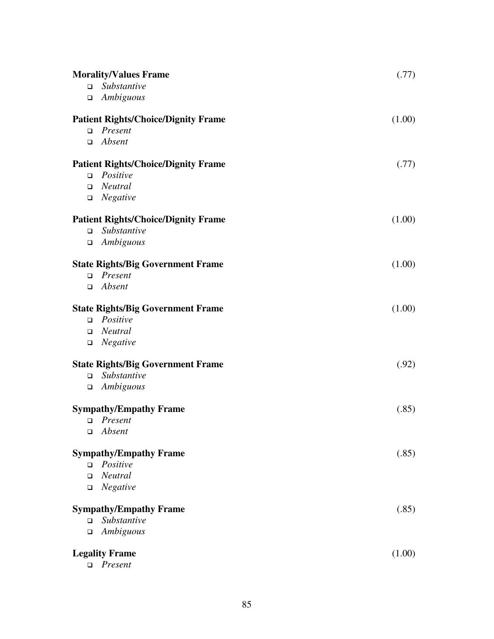|        | <b>Morality/Values Frame</b>               | (.77)  |
|--------|--------------------------------------------|--------|
| $\Box$ | Substantive                                |        |
| $\Box$ | Ambiguous                                  |        |
|        | <b>Patient Rights/Choice/Dignity Frame</b> | (1.00) |
| $\Box$ | Present                                    |        |
| □      | Absent                                     |        |
|        | <b>Patient Rights/Choice/Dignity Frame</b> | (.77)  |
| $\Box$ | Positive                                   |        |
| $\Box$ | Neutral                                    |        |
| $\Box$ | Negative                                   |        |
|        | <b>Patient Rights/Choice/Dignity Frame</b> | (1.00) |
| $\Box$ | Substantive                                |        |
| $\Box$ | Ambiguous                                  |        |
|        | <b>State Rights/Big Government Frame</b>   | (1.00) |
| $\Box$ | Present                                    |        |
| □      | Absent                                     |        |
|        | <b>State Rights/Big Government Frame</b>   | (1.00) |
| $\Box$ | Positive                                   |        |
| $\Box$ | Neutral                                    |        |
| $\Box$ | Negative                                   |        |
|        | <b>State Rights/Big Government Frame</b>   | (.92)  |
| $\Box$ | Substantive                                |        |
| $\Box$ | Ambiguous                                  |        |
|        | <b>Sympathy/Empathy Frame</b>              | (.85)  |
| $\Box$ | Present                                    |        |
|        | $\Box$ Absent                              |        |
|        | <b>Sympathy/Empathy Frame</b>              | (.85)  |
| $\Box$ | Positive                                   |        |
| $\Box$ | Neutral                                    |        |
| $\Box$ | Negative                                   |        |
|        | <b>Sympathy/Empathy Frame</b>              | (.85)  |
| $\Box$ | Substantive                                |        |
| $\Box$ | Ambiguous                                  |        |
|        | <b>Legality Frame</b>                      | (1.00) |
| $\Box$ | Present                                    |        |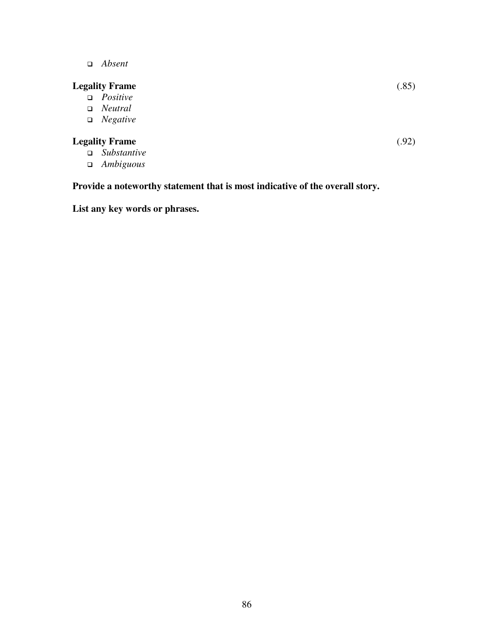*Absent* 

# **Legality Frame** (.85)

- *Positive*
- *Neutral*
- *Negative*

# **Legality Frame** (.92)

- *Substantive*
- *Ambiguous*

# **Provide a noteworthy statement that is most indicative of the overall story.**

**List any key words or phrases.**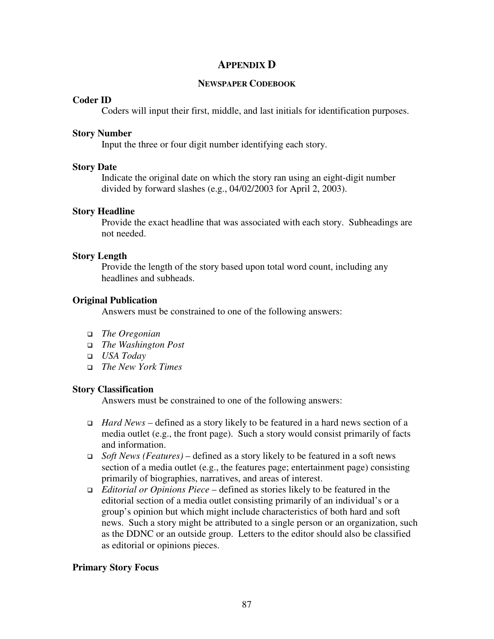# **APPENDIX D**

### **NEWSPAPER CODEBOOK**

### **Coder ID**

Coders will input their first, middle, and last initials for identification purposes.

#### **Story Number**

Input the three or four digit number identifying each story.

### **Story Date**

Indicate the original date on which the story ran using an eight-digit number divided by forward slashes (e.g., 04/02/2003 for April 2, 2003).

### **Story Headline**

Provide the exact headline that was associated with each story. Subheadings are not needed.

### **Story Length**

Provide the length of the story based upon total word count, including any headlines and subheads.

## **Original Publication**

Answers must be constrained to one of the following answers:

- *The Oregonian*
- *The Washington Post*
- *USA Today*
- *The New York Times*

## **Story Classification**

Answers must be constrained to one of the following answers:

- *Hard News* defined as a story likely to be featured in a hard news section of a media outlet (e.g., the front page). Such a story would consist primarily of facts and information.
- *Soft News (Features)* defined as a story likely to be featured in a soft news section of a media outlet (e.g., the features page; entertainment page) consisting primarily of biographies, narratives, and areas of interest.
- *Editorial or Opinions Piece* defined as stories likely to be featured in the editorial section of a media outlet consisting primarily of an individual's or a group's opinion but which might include characteristics of both hard and soft news. Such a story might be attributed to a single person or an organization, such as the DDNC or an outside group. Letters to the editor should also be classified as editorial or opinions pieces.

# **Primary Story Focus**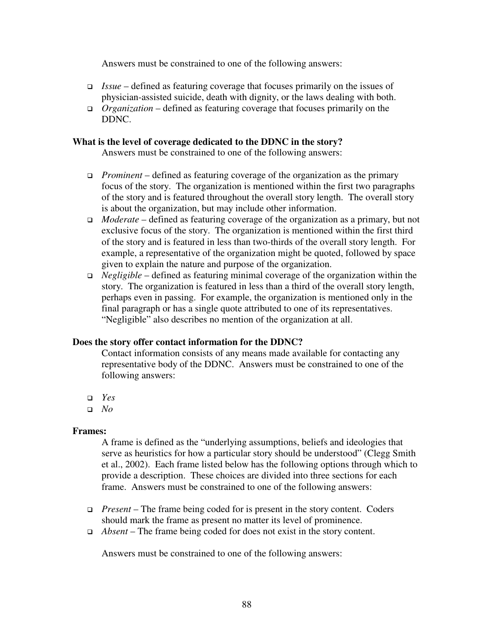Answers must be constrained to one of the following answers:

- *Issue* defined as featuring coverage that focuses primarily on the issues of physician-assisted suicide, death with dignity, or the laws dealing with both.
- *Organization* defined as featuring coverage that focuses primarily on the DDNC.

# **What is the level of coverage dedicated to the DDNC in the story?**

Answers must be constrained to one of the following answers:

- *Prominent* defined as featuring coverage of the organization as the primary focus of the story. The organization is mentioned within the first two paragraphs of the story and is featured throughout the overall story length. The overall story is about the organization, but may include other information.
- *Moderate* defined as featuring coverage of the organization as a primary, but not exclusive focus of the story. The organization is mentioned within the first third of the story and is featured in less than two-thirds of the overall story length. For example, a representative of the organization might be quoted, followed by space given to explain the nature and purpose of the organization.
- *Negligible* defined as featuring minimal coverage of the organization within the story. The organization is featured in less than a third of the overall story length, perhaps even in passing. For example, the organization is mentioned only in the final paragraph or has a single quote attributed to one of its representatives. "Negligible" also describes no mention of the organization at all.

## **Does the story offer contact information for the DDNC?**

Contact information consists of any means made available for contacting any representative body of the DDNC. Answers must be constrained to one of the following answers:

- *Yes*
- *No*

## **Frames:**

A frame is defined as the "underlying assumptions, beliefs and ideologies that serve as heuristics for how a particular story should be understood" (Clegg Smith et al., 2002). Each frame listed below has the following options through which to provide a description. These choices are divided into three sections for each frame. Answers must be constrained to one of the following answers:

- *Present* The frame being coded for is present in the story content. Coders should mark the frame as present no matter its level of prominence.
- *Absent* The frame being coded for does not exist in the story content.

Answers must be constrained to one of the following answers: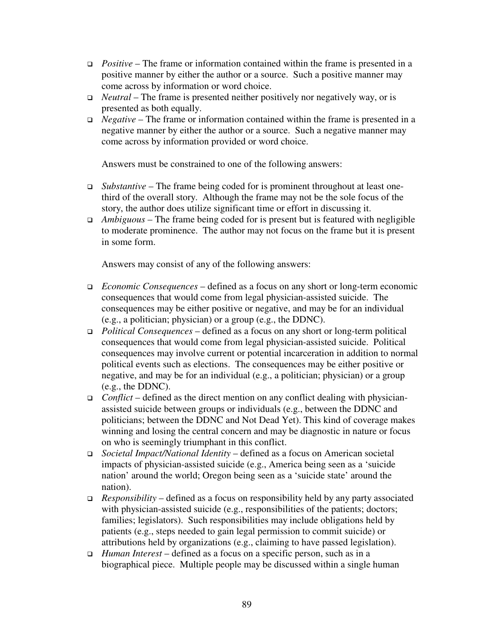- *Positive* The frame or information contained within the frame is presented in a positive manner by either the author or a source. Such a positive manner may come across by information or word choice.
- *Neutral* The frame is presented neither positively nor negatively way, or is presented as both equally.
- *Negative* The frame or information contained within the frame is presented in a negative manner by either the author or a source. Such a negative manner may come across by information provided or word choice.

Answers must be constrained to one of the following answers:

- *Substantive* The frame being coded for is prominent throughout at least onethird of the overall story. Although the frame may not be the sole focus of the story, the author does utilize significant time or effort in discussing it.
- *Ambiguous* The frame being coded for is present but is featured with negligible to moderate prominence. The author may not focus on the frame but it is present in some form.

Answers may consist of any of the following answers:

- *Economic Consequences* defined as a focus on any short or long-term economic consequences that would come from legal physician-assisted suicide. The consequences may be either positive or negative, and may be for an individual (e.g., a politician; physician) or a group (e.g., the DDNC).
- *Political Consequences* defined as a focus on any short or long-term political consequences that would come from legal physician-assisted suicide. Political consequences may involve current or potential incarceration in addition to normal political events such as elections. The consequences may be either positive or negative, and may be for an individual (e.g., a politician; physician) or a group (e.g., the DDNC).
- *Conflict* defined as the direct mention on any conflict dealing with physicianassisted suicide between groups or individuals (e.g., between the DDNC and politicians; between the DDNC and Not Dead Yet). This kind of coverage makes winning and losing the central concern and may be diagnostic in nature or focus on who is seemingly triumphant in this conflict.
- *Societal Impact/National Identity* defined as a focus on American societal impacts of physician-assisted suicide (e.g., America being seen as a 'suicide nation' around the world; Oregon being seen as a 'suicide state' around the nation).
- *Responsibility* defined as a focus on responsibility held by any party associated with physician-assisted suicide (e.g., responsibilities of the patients; doctors; families; legislators). Such responsibilities may include obligations held by patients (e.g., steps needed to gain legal permission to commit suicide) or attributions held by organizations (e.g., claiming to have passed legislation).
- *Human Interest* defined as a focus on a specific person, such as in a biographical piece. Multiple people may be discussed within a single human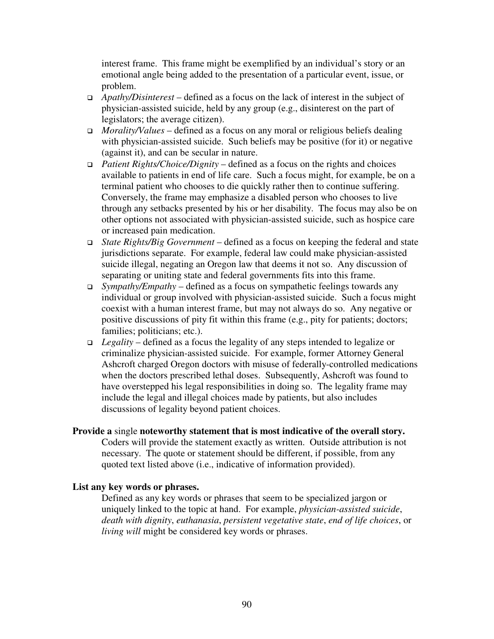interest frame. This frame might be exemplified by an individual's story or an emotional angle being added to the presentation of a particular event, issue, or problem.

- *Apathy/Disinterest* defined as a focus on the lack of interest in the subject of physician-assisted suicide, held by any group (e.g., disinterest on the part of legislators; the average citizen).
- *Morality/Values* defined as a focus on any moral or religious beliefs dealing with physician-assisted suicide. Such beliefs may be positive (for it) or negative (against it), and can be secular in nature.
- *Patient Rights/Choice/Dignity* defined as a focus on the rights and choices available to patients in end of life care. Such a focus might, for example, be on a terminal patient who chooses to die quickly rather then to continue suffering. Conversely, the frame may emphasize a disabled person who chooses to live through any setbacks presented by his or her disability. The focus may also be on other options not associated with physician-assisted suicide, such as hospice care or increased pain medication.
- *State Rights/Big Government* defined as a focus on keeping the federal and state jurisdictions separate. For example, federal law could make physician-assisted suicide illegal, negating an Oregon law that deems it not so. Any discussion of separating or uniting state and federal governments fits into this frame.
- *Sympathy/Empathy* defined as a focus on sympathetic feelings towards any individual or group involved with physician-assisted suicide. Such a focus might coexist with a human interest frame, but may not always do so. Any negative or positive discussions of pity fit within this frame (e.g., pity for patients; doctors; families; politicians; etc.).
- *Legality* defined as a focus the legality of any steps intended to legalize or criminalize physician-assisted suicide. For example, former Attorney General Ashcroft charged Oregon doctors with misuse of federally-controlled medications when the doctors prescribed lethal doses. Subsequently, Ashcroft was found to have overstepped his legal responsibilities in doing so. The legality frame may include the legal and illegal choices made by patients, but also includes discussions of legality beyond patient choices.

# **Provide a** single **noteworthy statement that is most indicative of the overall story.**  Coders will provide the statement exactly as written. Outside attribution is not necessary. The quote or statement should be different, if possible, from any

quoted text listed above (i.e., indicative of information provided).

# **List any key words or phrases.**

Defined as any key words or phrases that seem to be specialized jargon or uniquely linked to the topic at hand. For example, *physician-assisted suicide*, *death with dignity*, *euthanasia*, *persistent vegetative state*, *end of life choices*, or *living will* might be considered key words or phrases.